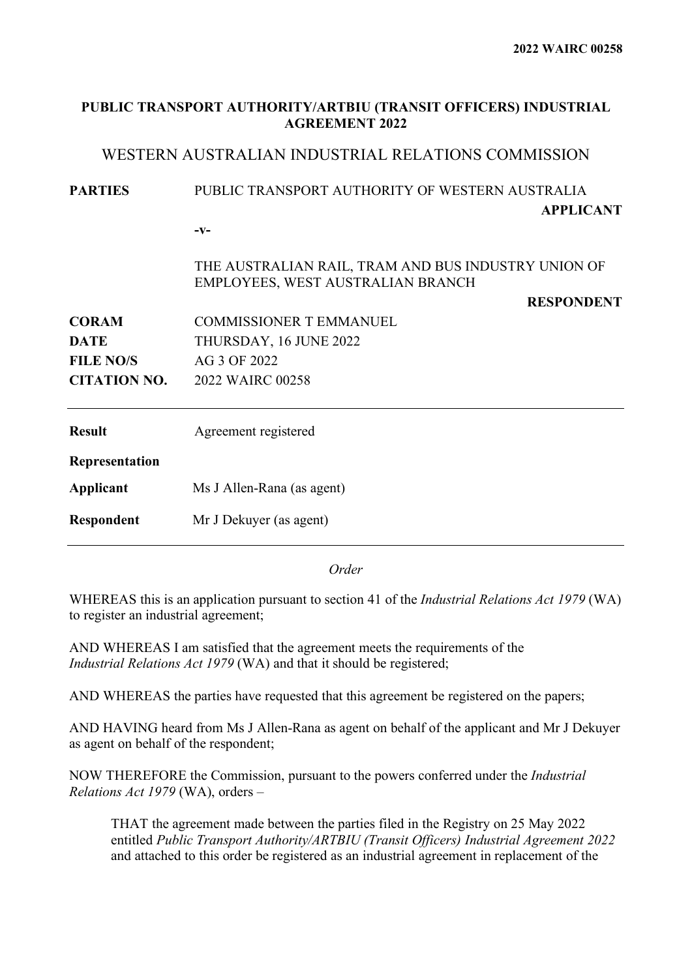| PUBLIC TRANSPORT AUTHORITY/ARTBIU (TRANSIT OFFICERS) INDUSTRIAL<br><b>AGREEMENT 2022</b>       |                                                                                          |  |  |  |
|------------------------------------------------------------------------------------------------|------------------------------------------------------------------------------------------|--|--|--|
|                                                                                                | WESTERN AUSTRALIAN INDUSTRIAL RELATIONS COMMISSION                                       |  |  |  |
| PUBLIC TRANSPORT AUTHORITY OF WESTERN AUSTRALIA<br><b>PARTIES</b><br><b>APPLICANT</b><br>$-V-$ |                                                                                          |  |  |  |
|                                                                                                | THE AUSTRALIAN RAIL, TRAM AND BUS INDUSTRY UNION OF<br>EMPLOYEES, WEST AUSTRALIAN BRANCH |  |  |  |
|                                                                                                | <b>RESPONDENT</b>                                                                        |  |  |  |
| <b>CORAM</b>                                                                                   | <b>COMMISSIONER T EMMANUEL</b>                                                           |  |  |  |
| <b>DATE</b>                                                                                    | THURSDAY, 16 JUNE 2022                                                                   |  |  |  |
| <b>FILE NO/S</b>                                                                               | AG 3 OF 2022                                                                             |  |  |  |
| <b>CITATION NO.</b>                                                                            | 2022 WAIRC 00258                                                                         |  |  |  |
| <b>Result</b>                                                                                  | Agreement registered                                                                     |  |  |  |
| Representation                                                                                 |                                                                                          |  |  |  |
| <b>Applicant</b>                                                                               | Ms J Allen-Rana (as agent)                                                               |  |  |  |
| Respondent                                                                                     | Mr J Dekuyer (as agent)                                                                  |  |  |  |
|                                                                                                |                                                                                          |  |  |  |

*Order*

WHEREAS this is an application pursuant to section 41 of the *Industrial Relations Act 1979* (WA) to register an industrial agreement;

AND WHEREAS I am satisfied that the agreement meets the requirements of the *Industrial Relations Act 1979* (WA) and that it should be registered;

AND WHEREAS the parties have requested that this agreement be registered on the papers;

AND HAVING heard from Ms J Allen-Rana as agent on behalf of the applicant and Mr J Dekuyer as agent on behalf of the respondent;

NOW THEREFORE the Commission, pursuant to the powers conferred under the *Industrial Relations Act 1979* (WA), orders –

THAT the agreement made between the parties filed in the Registry on 25 May 2022 entitled *Public Transport Authority/ARTBIU (Transit Officers) Industrial Agreement 2022* and attached to this order be registered as an industrial agreement in replacement of the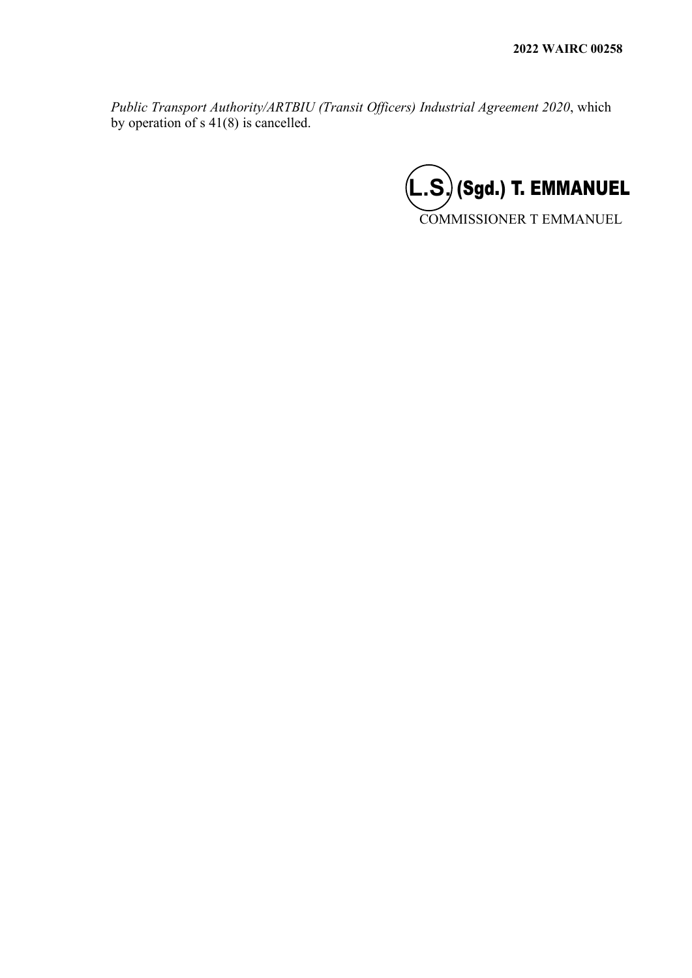*Public Transport Authority/ARTBIU (Transit Officers) Industrial Agreement 2020*, which by operation of s 41(8) is cancelled.

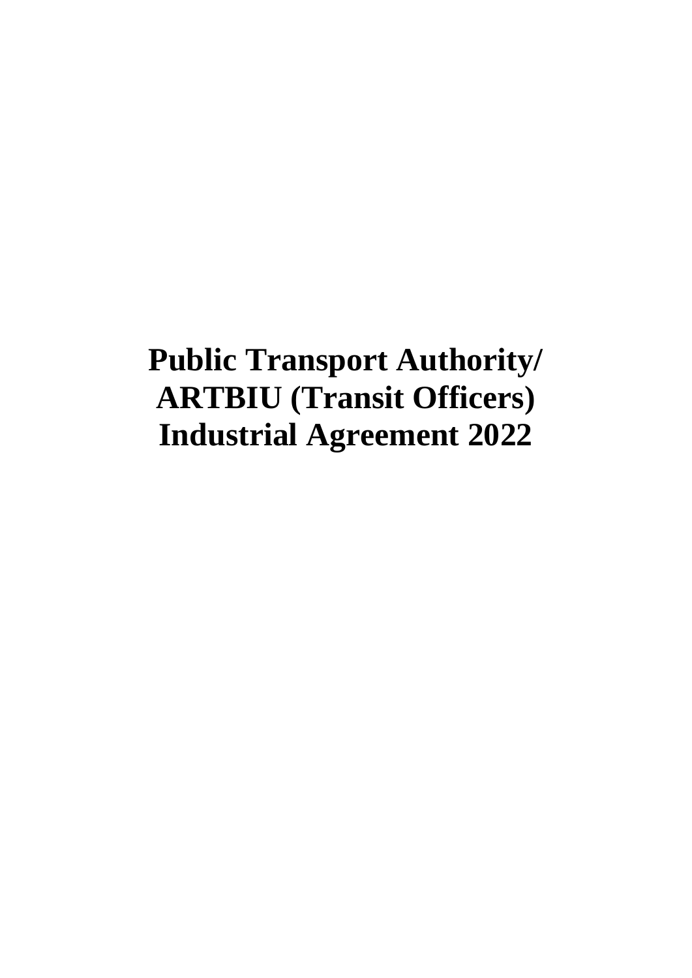# **Public Transport Authority/ ARTBIU (Transit Officers) Industrial Agreement 2022**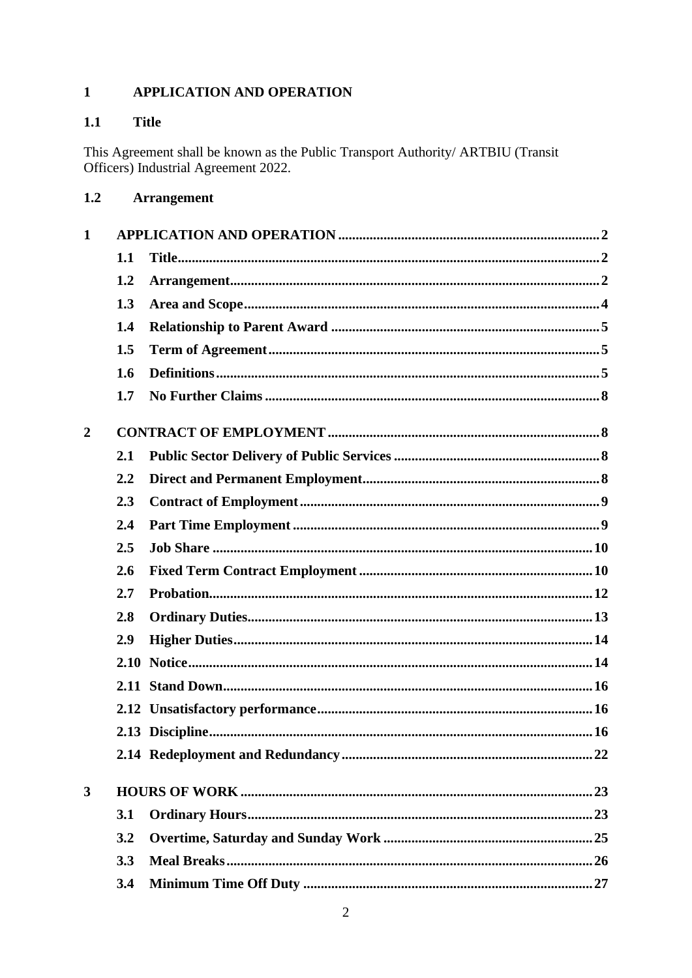#### <span id="page-3-0"></span> $\mathbf{1}$ APPLICATION AND OPERATION

#### <span id="page-3-1"></span> $1.1$ **Title**

This Agreement shall be known as the Public Transport Authority/ ARTBIU (Transit Officers) Industrial Agreement 2022.

<span id="page-3-2"></span>

| 1.2 | <b>Arrangement</b> |  |
|-----|--------------------|--|
|-----|--------------------|--|

| $\mathbf{1}$   |      |  |
|----------------|------|--|
|                | 1.1  |  |
|                | 1.2  |  |
|                | 1.3  |  |
|                | 1.4  |  |
|                | 1.5  |  |
|                | 1.6  |  |
|                | 1.7  |  |
| $\overline{2}$ |      |  |
|                | 2.1  |  |
|                | 2.2  |  |
|                | 2.3  |  |
|                | 2.4  |  |
|                | 2.5  |  |
|                | 2.6  |  |
|                | 2.7  |  |
|                | 2.8  |  |
|                | 2.9  |  |
|                | 2.10 |  |
|                |      |  |
|                |      |  |
|                |      |  |
|                |      |  |
| 3              |      |  |
|                | 3.1  |  |
|                | 3.2  |  |
|                | 3.3  |  |
|                | 3.4  |  |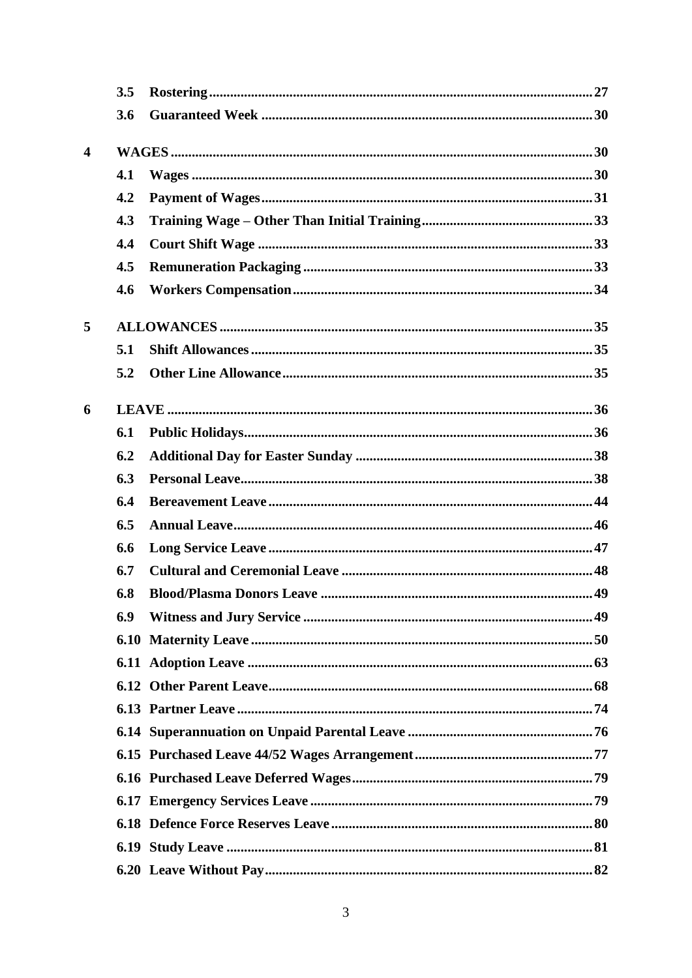|                         | 3.5 |  |
|-------------------------|-----|--|
|                         | 3.6 |  |
|                         |     |  |
| $\overline{\mathbf{4}}$ |     |  |
|                         | 4.1 |  |
|                         | 4.2 |  |
|                         | 4.3 |  |
|                         | 4.4 |  |
|                         | 4.5 |  |
|                         | 4.6 |  |
| 5                       |     |  |
|                         | 5.1 |  |
|                         | 5.2 |  |
| 6                       |     |  |
|                         | 6.1 |  |
|                         | 6.2 |  |
|                         | 6.3 |  |
|                         | 6.4 |  |
|                         | 6.5 |  |
|                         | 6.6 |  |
|                         | 6.7 |  |
|                         | 6.8 |  |
|                         | 6.9 |  |
|                         |     |  |
|                         |     |  |
|                         |     |  |
|                         |     |  |
|                         |     |  |
|                         |     |  |
|                         |     |  |
|                         |     |  |
|                         |     |  |
|                         |     |  |
|                         |     |  |
|                         |     |  |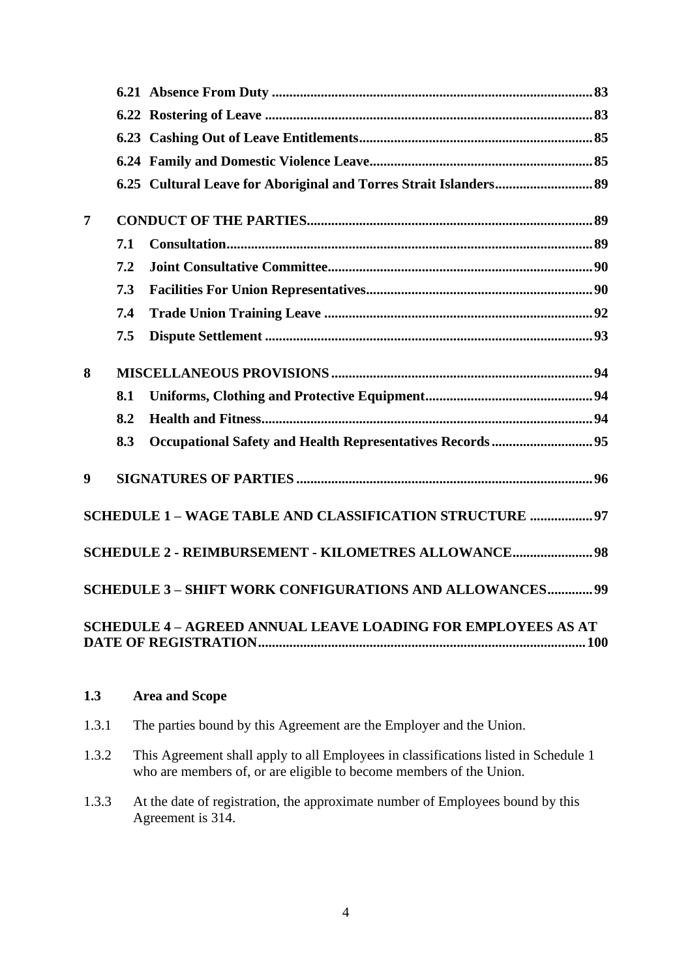| $\overline{7}$   |     |                                                                     |  |
|------------------|-----|---------------------------------------------------------------------|--|
|                  | 7.1 |                                                                     |  |
|                  | 7.2 |                                                                     |  |
|                  | 7.3 |                                                                     |  |
|                  | 7.4 |                                                                     |  |
|                  | 7.5 |                                                                     |  |
| 8                |     |                                                                     |  |
|                  | 8.1 |                                                                     |  |
|                  | 8.2 |                                                                     |  |
|                  | 8.3 | Occupational Safety and Health Representatives Records  95          |  |
| $\boldsymbol{9}$ |     |                                                                     |  |
|                  |     | SCHEDULE 1 - WAGE TABLE AND CLASSIFICATION STRUCTURE  97            |  |
|                  |     | <b>SCHEDULE 2 - REIMBURSEMENT - KILOMETRES ALLOWANCE 98</b>         |  |
|                  |     | <b>SCHEDULE 3 - SHIFT WORK CONFIGURATIONS AND ALLOWANCES 99</b>     |  |
|                  |     | <b>SCHEDULE 4 - AGREED ANNUAL LEAVE LOADING FOR EMPLOYEES AS AT</b> |  |

# <span id="page-5-0"></span>**1.3 Area and Scope**

- 1.3.1 The parties bound by this Agreement are the Employer and the Union.
- 1.3.2 This Agreement shall apply to all Employees in classifications listed in Schedule 1 who are members of, or are eligible to become members of the Union.
- 1.3.3 At the date of registration, the approximate number of Employees bound by this Agreement is 314.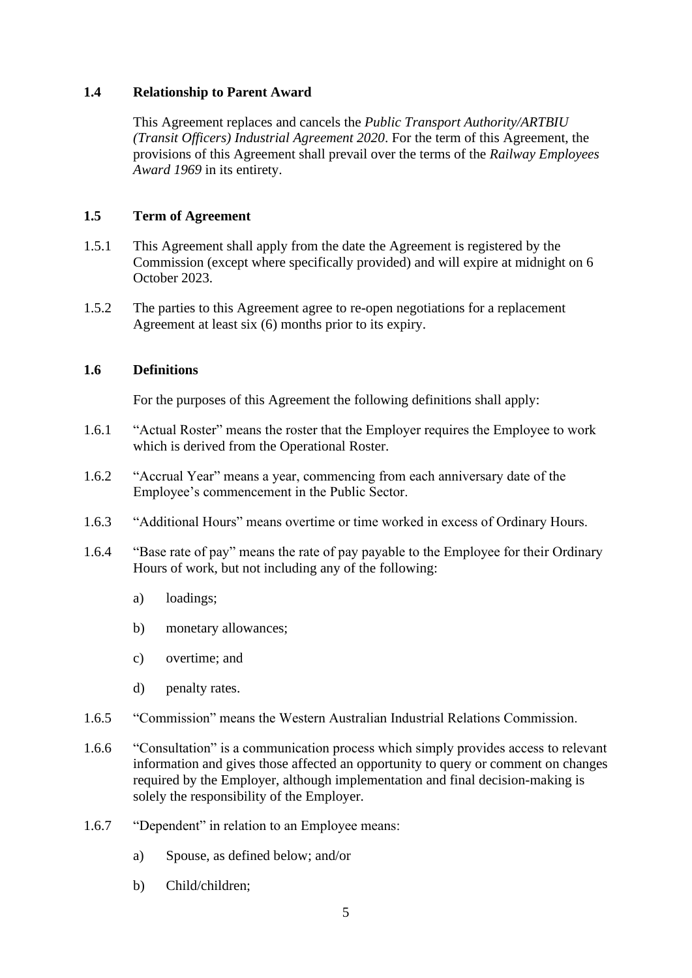#### <span id="page-6-0"></span>**1.4 Relationship to Parent Award**

This Agreement replaces and cancels the *Public Transport Authority/ARTBIU (Transit Officers) Industrial Agreement 2020*. For the term of this Agreement, the provisions of this Agreement shall prevail over the terms of the *Railway Employees Award 1969* in its entirety.

#### <span id="page-6-1"></span>**1.5 Term of Agreement**

- 1.5.1 This Agreement shall apply from the date the Agreement is registered by the Commission (except where specifically provided) and will expire at midnight on 6 October 2023.
- 1.5.2 The parties to this Agreement agree to re-open negotiations for a replacement Agreement at least six (6) months prior to its expiry.

#### <span id="page-6-2"></span>**1.6 Definitions**

For the purposes of this Agreement the following definitions shall apply:

- 1.6.1 "Actual Roster" means the roster that the Employer requires the Employee to work which is derived from the Operational Roster.
- 1.6.2 "Accrual Year" means a year, commencing from each anniversary date of the Employee's commencement in the Public Sector.
- 1.6.3 "Additional Hours" means overtime or time worked in excess of Ordinary Hours.
- 1.6.4 "Base rate of pay" means the rate of pay payable to the Employee for their Ordinary Hours of work, but not including any of the following:
	- a) loadings;
	- b) monetary allowances;
	- c) overtime; and
	- d) penalty rates.
- 1.6.5 "Commission" means the Western Australian Industrial Relations Commission.
- 1.6.6 "Consultation" is a communication process which simply provides access to relevant information and gives those affected an opportunity to query or comment on changes required by the Employer, although implementation and final decision-making is solely the responsibility of the Employer.
- 1.6.7 "Dependent" in relation to an Employee means:
	- a) Spouse, as defined below; and/or
	- b) Child/children;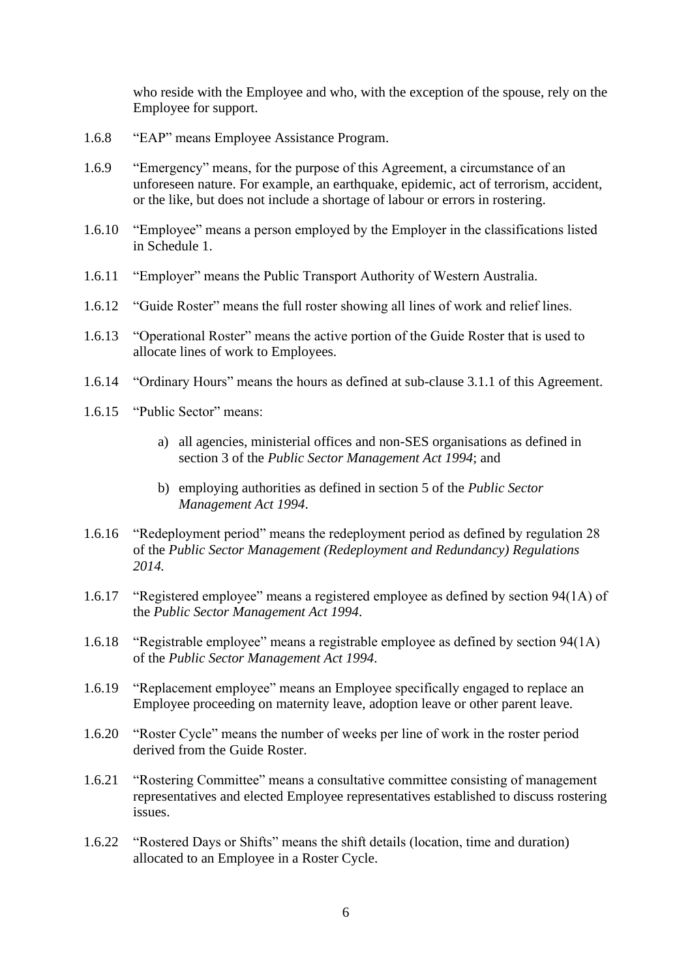who reside with the Employee and who, with the exception of the spouse, rely on the Employee for support.

- 1.6.8 "EAP" means Employee Assistance Program.
- 1.6.9 "Emergency" means, for the purpose of this Agreement, a circumstance of an unforeseen nature. For example, an earthquake, epidemic, act of terrorism, accident, or the like, but does not include a shortage of labour or errors in rostering.
- 1.6.10 "Employee" means a person employed by the Employer in the classifications listed in Schedule 1.
- 1.6.11 "Employer" means the Public Transport Authority of Western Australia.
- 1.6.12 "Guide Roster" means the full roster showing all lines of work and relief lines.
- 1.6.13 "Operational Roster" means the active portion of the Guide Roster that is used to allocate lines of work to Employees.
- 1.6.14 "Ordinary Hours" means the hours as defined at sub-clause [3.1.1](#page-24-2) of this Agreement.
- 1.6.15 "Public Sector" means:
	- a) all agencies, ministerial offices and non-SES organisations as defined in section 3 of the *Public Sector Management Act 1994*; and
	- b) employing authorities as defined in section 5 of the *Public Sector Management Act 1994*.
- 1.6.16 "Redeployment period" means the redeployment period as defined by regulation 28 of the *Public Sector Management (Redeployment and Redundancy) Regulations 2014.*
- 1.6.17 "Registered employee" means a registered employee as defined by section 94(1A) of the *Public Sector Management Act 1994*.
- 1.6.18 "Registrable employee" means a registrable employee as defined by section 94(1A) of the *Public Sector Management Act 1994*.
- 1.6.19 "Replacement employee" means an Employee specifically engaged to replace an Employee proceeding on maternity leave, adoption leave or other parent leave.
- 1.6.20 "Roster Cycle" means the number of weeks per line of work in the roster period derived from the Guide Roster.
- 1.6.21 "Rostering Committee" means a consultative committee consisting of management representatives and elected Employee representatives established to discuss rostering issues.
- 1.6.22 "Rostered Days or Shifts" means the shift details (location, time and duration) allocated to an Employee in a Roster Cycle.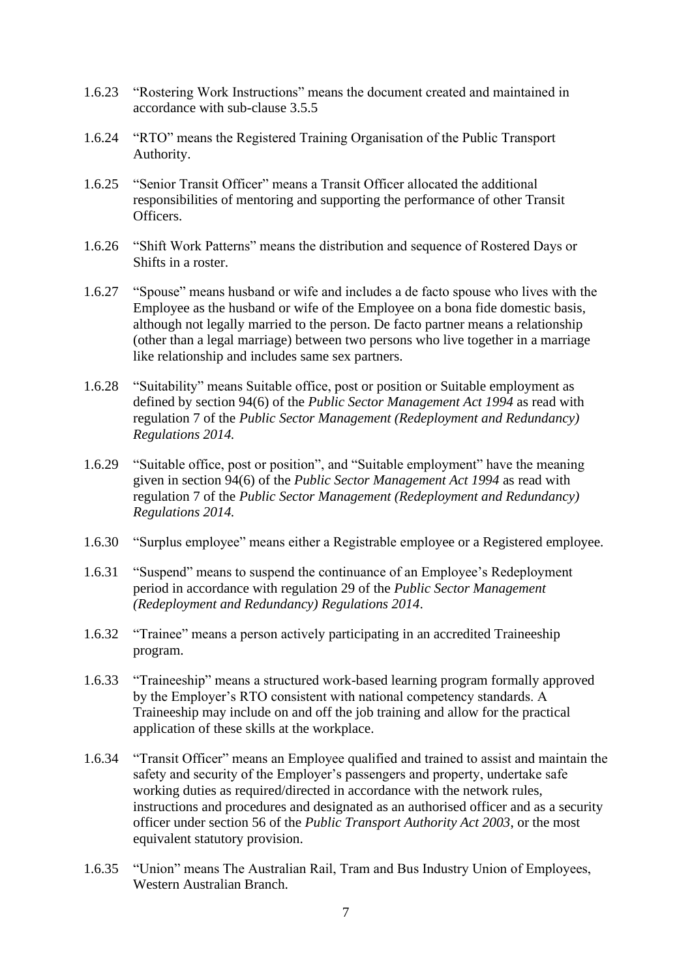- 1.6.23 "Rostering Work Instructions" means the document created and maintained in accordance with sub-clause [3.5.5](#page-29-0)
- 1.6.24 "RTO" means the Registered Training Organisation of the Public Transport Authority.
- 1.6.25 "Senior Transit Officer" means a Transit Officer allocated the additional responsibilities of mentoring and supporting the performance of other Transit **Officers**
- 1.6.26 "Shift Work Patterns" means the distribution and sequence of Rostered Days or Shifts in a roster.
- 1.6.27 "Spouse" means husband or wife and includes a de facto spouse who lives with the Employee as the husband or wife of the Employee on a bona fide domestic basis, although not legally married to the person. De facto partner means a relationship (other than a legal marriage) between two persons who live together in a marriage like relationship and includes same sex partners.
- 1.6.28 "Suitability" means Suitable office, post or position or Suitable employment as defined by section 94(6) of the *Public Sector Management Act 1994* as read with regulation 7 of the *Public Sector Management (Redeployment and Redundancy) Regulations 2014.*
- 1.6.29 "Suitable office, post or position", and "Suitable employment" have the meaning given in section 94(6) of the *Public Sector Management Act 1994* as read with regulation 7 of the *Public Sector Management (Redeployment and Redundancy) Regulations 2014.*
- 1.6.30 "Surplus employee" means either a Registrable employee or a Registered employee.
- 1.6.31 "Suspend" means to suspend the continuance of an Employee's Redeployment period in accordance with regulation 29 of the *Public Sector Management (Redeployment and Redundancy) Regulations 2014*.
- 1.6.32 "Trainee" means a person actively participating in an accredited Traineeship program.
- 1.6.33 "Traineeship" means a structured work-based learning program formally approved by the Employer's RTO consistent with national competency standards. A Traineeship may include on and off the job training and allow for the practical application of these skills at the workplace.
- 1.6.34 "Transit Officer" means an Employee qualified and trained to assist and maintain the safety and security of the Employer's passengers and property, undertake safe working duties as required/directed in accordance with the network rules, instructions and procedures and designated as an authorised officer and as a security officer under section 56 of the *Public Transport Authority Act 2003*, or the most equivalent statutory provision.
- 1.6.35 "Union" means The Australian Rail, Tram and Bus Industry Union of Employees, Western Australian Branch.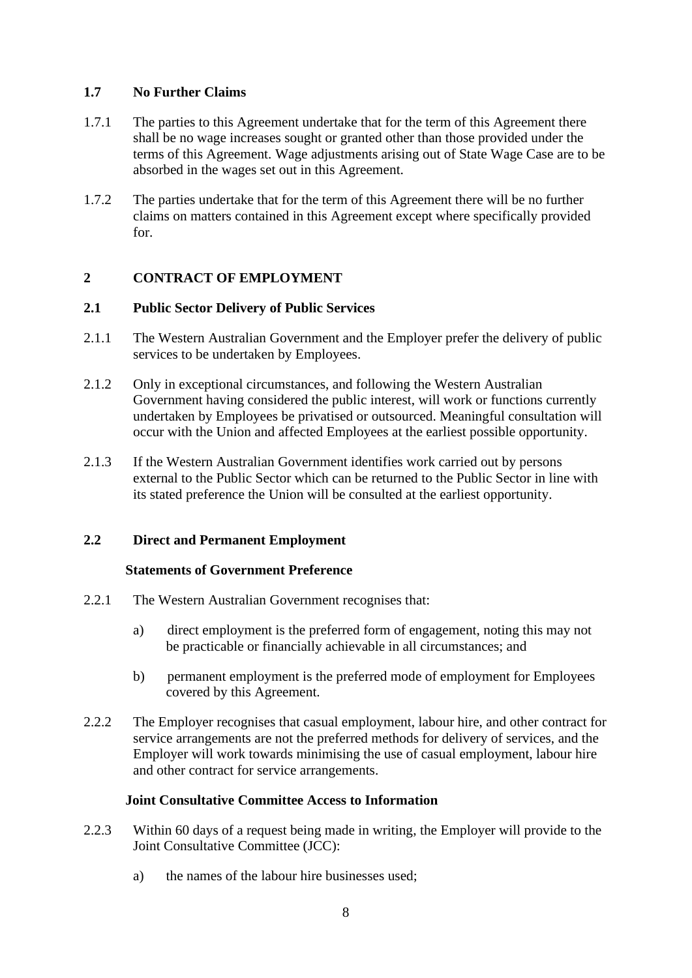#### <span id="page-9-0"></span>**1.7 No Further Claims**

- 1.7.1 The parties to this Agreement undertake that for the term of this Agreement there shall be no wage increases sought or granted other than those provided under the terms of this Agreement. Wage adjustments arising out of State Wage Case are to be absorbed in the wages set out in this Agreement.
- 1.7.2 The parties undertake that for the term of this Agreement there will be no further claims on matters contained in this Agreement except where specifically provided for.

# <span id="page-9-1"></span>**2 CONTRACT OF EMPLOYMENT**

# <span id="page-9-2"></span>**2.1 Public Sector Delivery of Public Services**

- 2.1.1 The Western Australian Government and the Employer prefer the delivery of public services to be undertaken by Employees.
- 2.1.2 Only in exceptional circumstances, and following the Western Australian Government having considered the public interest, will work or functions currently undertaken by Employees be privatised or outsourced. Meaningful consultation will occur with the Union and affected Employees at the earliest possible opportunity.
- 2.1.3 If the Western Australian Government identifies work carried out by persons external to the Public Sector which can be returned to the Public Sector in line with its stated preference the Union will be consulted at the earliest opportunity.

# <span id="page-9-3"></span>**2.2 Direct and Permanent Employment**

#### **Statements of Government Preference**

- 2.2.1 The Western Australian Government recognises that:
	- a) direct employment is the preferred form of engagement, noting this may not be practicable or financially achievable in all circumstances; and
	- b) permanent employment is the preferred mode of employment for Employees covered by this Agreement.
- 2.2.2 The Employer recognises that casual employment, labour hire, and other contract for service arrangements are not the preferred methods for delivery of services, and the Employer will work towards minimising the use of casual employment, labour hire and other contract for service arrangements.

# **Joint Consultative Committee Access to Information**

- 2.2.3 Within 60 days of a request being made in writing, the Employer will provide to the Joint Consultative Committee (JCC):
	- a) the names of the labour hire businesses used;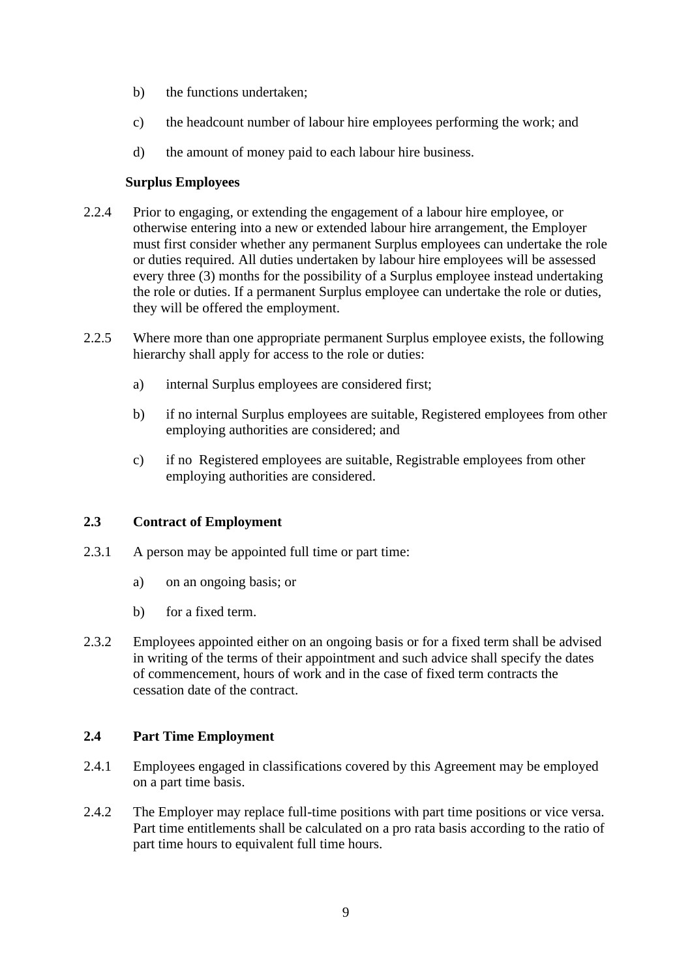- b) the functions undertaken;
- c) the headcount number of labour hire employees performing the work; and
- d) the amount of money paid to each labour hire business.

#### **Surplus Employees**

- 2.2.4 Prior to engaging, or extending the engagement of a labour hire employee, or otherwise entering into a new or extended labour hire arrangement, the Employer must first consider whether any permanent Surplus employees can undertake the role or duties required. All duties undertaken by labour hire employees will be assessed every three (3) months for the possibility of a Surplus employee instead undertaking the role or duties. If a permanent Surplus employee can undertake the role or duties, they will be offered the employment.
- 2.2.5 Where more than one appropriate permanent Surplus employee exists, the following hierarchy shall apply for access to the role or duties:
	- a) internal Surplus employees are considered first;
	- b) if no internal Surplus employees are suitable, Registered employees from other employing authorities are considered; and
	- c) if no Registered employees are suitable, Registrable employees from other employing authorities are considered.

# <span id="page-10-0"></span>**2.3 Contract of Employment**

- 2.3.1 A person may be appointed full time or part time:
	- a) on an ongoing basis; or
	- b) for a fixed term.
- 2.3.2 Employees appointed either on an ongoing basis or for a fixed term shall be advised in writing of the terms of their appointment and such advice shall specify the dates of commencement, hours of work and in the case of fixed term contracts the cessation date of the contract.

#### <span id="page-10-1"></span>**2.4 Part Time Employment**

- 2.4.1 Employees engaged in classifications covered by this Agreement may be employed on a part time basis.
- 2.4.2 The Employer may replace full-time positions with part time positions or vice versa. Part time entitlements shall be calculated on a pro rata basis according to the ratio of part time hours to equivalent full time hours.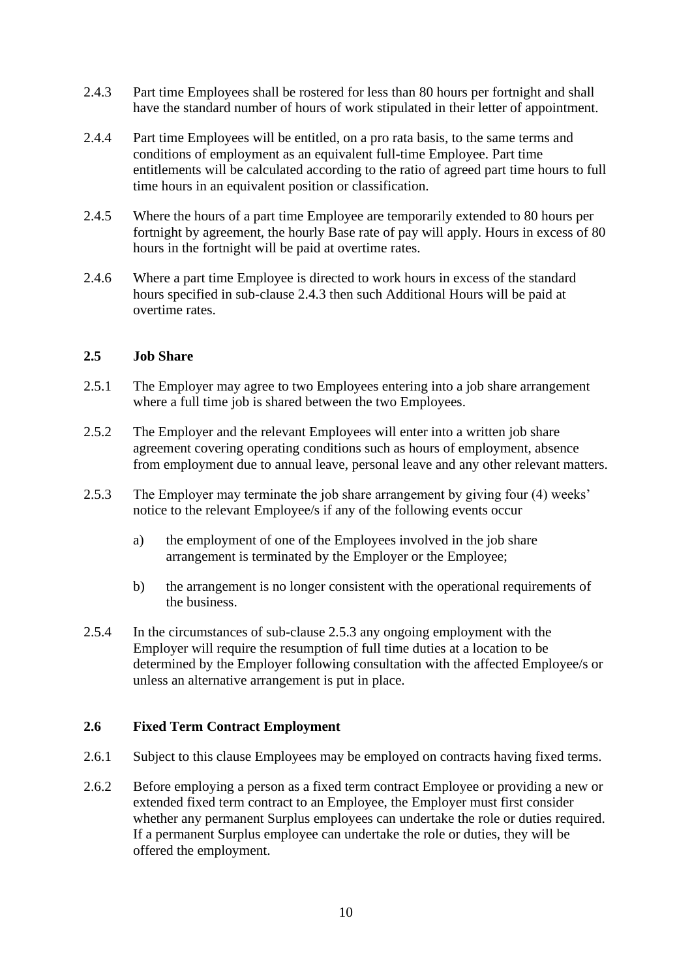- <span id="page-11-2"></span>2.4.3 Part time Employees shall be rostered for less than 80 hours per fortnight and shall have the standard number of hours of work stipulated in their letter of appointment.
- 2.4.4 Part time Employees will be entitled, on a pro rata basis, to the same terms and conditions of employment as an equivalent full-time Employee. Part time entitlements will be calculated according to the ratio of agreed part time hours to full time hours in an equivalent position or classification.
- 2.4.5 Where the hours of a part time Employee are temporarily extended to 80 hours per fortnight by agreement, the hourly Base rate of pay will apply. Hours in excess of 80 hours in the fortnight will be paid at overtime rates.
- 2.4.6 Where a part time Employee is directed to work hours in excess of the standard hours specified in sub-clause [2.4.3](#page-11-2) then such Additional Hours will be paid at overtime rates.

#### <span id="page-11-0"></span>**2.5 Job Share**

- 2.5.1 The Employer may agree to two Employees entering into a job share arrangement where a full time job is shared between the two Employees.
- 2.5.2 The Employer and the relevant Employees will enter into a written job share agreement covering operating conditions such as hours of employment, absence from employment due to annual leave, personal leave and any other relevant matters.
- <span id="page-11-3"></span>2.5.3 The Employer may terminate the job share arrangement by giving four (4) weeks' notice to the relevant Employee/s if any of the following events occur
	- a) the employment of one of the Employees involved in the job share arrangement is terminated by the Employer or the Employee;
	- b) the arrangement is no longer consistent with the operational requirements of the business.
- 2.5.4 In the circumstances of sub-clause [2.5.3](#page-11-3) any ongoing employment with the Employer will require the resumption of full time duties at a location to be determined by the Employer following consultation with the affected Employee/s or unless an alternative arrangement is put in place.

#### <span id="page-11-1"></span>**2.6 Fixed Term Contract Employment**

- 2.6.1 Subject to this clause Employees may be employed on contracts having fixed terms.
- <span id="page-11-4"></span>2.6.2 Before employing a person as a fixed term contract Employee or providing a new or extended fixed term contract to an Employee, the Employer must first consider whether any permanent Surplus employees can undertake the role or duties required. If a permanent Surplus employee can undertake the role or duties, they will be offered the employment.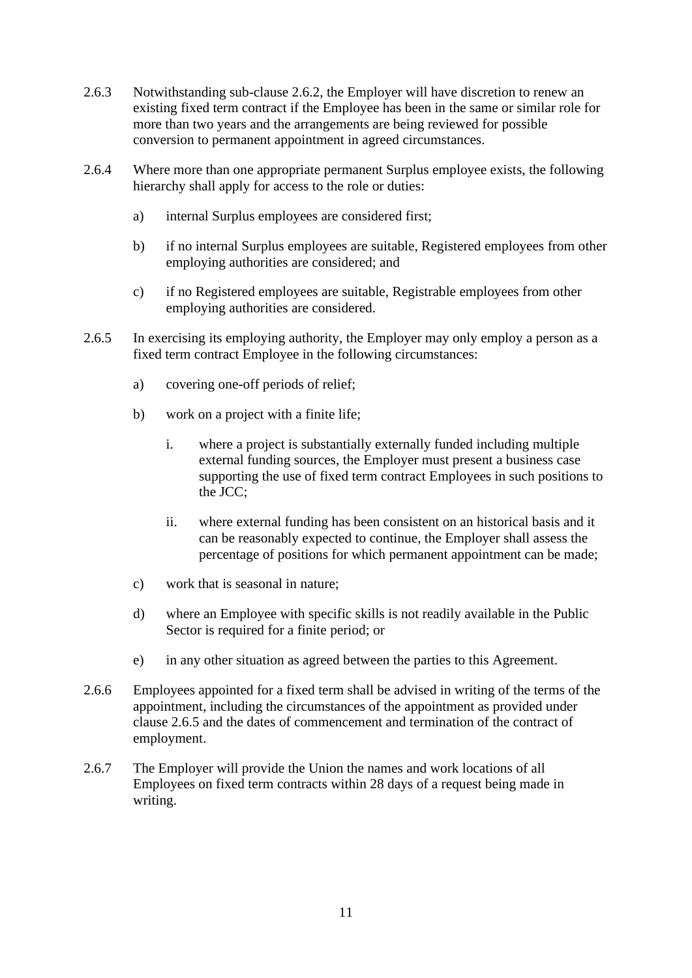- 2.6.3 Notwithstanding sub-clause [2.6.2,](#page-11-4) the Employer will have discretion to renew an existing fixed term contract if the Employee has been in the same or similar role for more than two years and the arrangements are being reviewed for possible conversion to permanent appointment in agreed circumstances.
- 2.6.4 Where more than one appropriate permanent Surplus employee exists, the following hierarchy shall apply for access to the role or duties:
	- a) internal Surplus employees are considered first;
	- b) if no internal Surplus employees are suitable, Registered employees from other employing authorities are considered; and
	- c) if no Registered employees are suitable, Registrable employees from other employing authorities are considered.
- <span id="page-12-0"></span>2.6.5 In exercising its employing authority, the Employer may only employ a person as a fixed term contract Employee in the following circumstances:
	- a) covering one-off periods of relief;
	- b) work on a project with a finite life;
		- i. where a project is substantially externally funded including multiple external funding sources, the Employer must present a business case supporting the use of fixed term contract Employees in such positions to the JCC;
		- ii. where external funding has been consistent on an historical basis and it can be reasonably expected to continue, the Employer shall assess the percentage of positions for which permanent appointment can be made;
	- c) work that is seasonal in nature;
	- d) where an Employee with specific skills is not readily available in the Public Sector is required for a finite period; or
	- e) in any other situation as agreed between the parties to this Agreement.
- 2.6.6 Employees appointed for a fixed term shall be advised in writing of the terms of the appointment, including the circumstances of the appointment as provided under clause [2.6.5](#page-12-0) and the dates of commencement and termination of the contract of employment.
- 2.6.7 The Employer will provide the Union the names and work locations of all Employees on fixed term contracts within 28 days of a request being made in writing.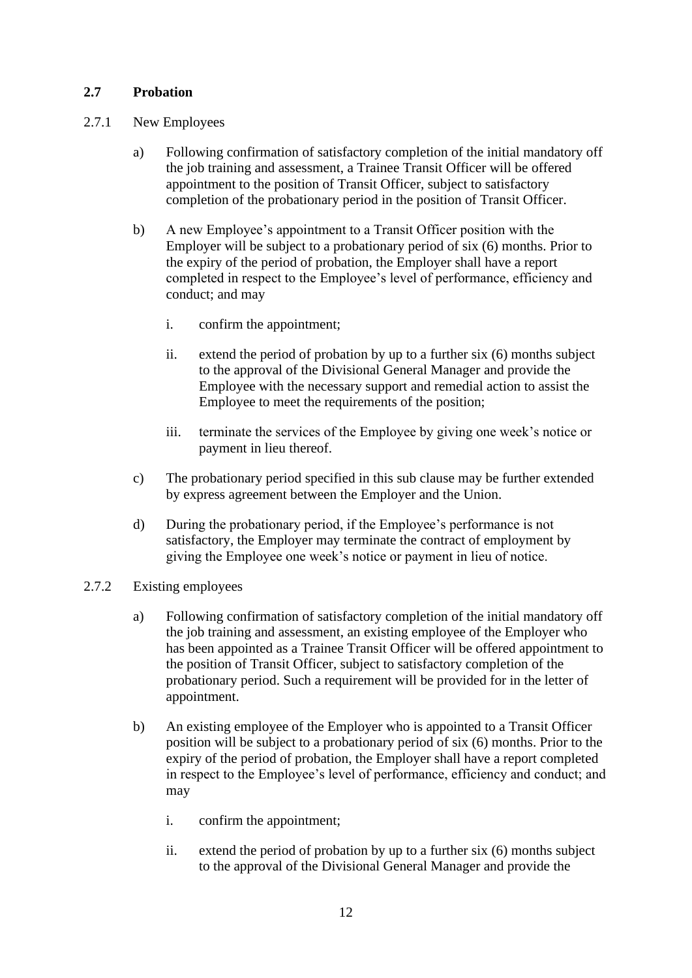# <span id="page-13-0"></span>**2.7 Probation**

- 2.7.1 New Employees
	- a) Following confirmation of satisfactory completion of the initial mandatory off the job training and assessment, a Trainee Transit Officer will be offered appointment to the position of Transit Officer, subject to satisfactory completion of the probationary period in the position of Transit Officer.
	- b) A new Employee's appointment to a Transit Officer position with the Employer will be subject to a probationary period of six (6) months. Prior to the expiry of the period of probation, the Employer shall have a report completed in respect to the Employee's level of performance, efficiency and conduct; and may
		- i. confirm the appointment;
		- ii. extend the period of probation by up to a further six (6) months subject to the approval of the Divisional General Manager and provide the Employee with the necessary support and remedial action to assist the Employee to meet the requirements of the position;
		- iii. terminate the services of the Employee by giving one week's notice or payment in lieu thereof.
	- c) The probationary period specified in this sub clause may be further extended by express agreement between the Employer and the Union.
	- d) During the probationary period, if the Employee's performance is not satisfactory, the Employer may terminate the contract of employment by giving the Employee one week's notice or payment in lieu of notice.
- <span id="page-13-2"></span><span id="page-13-1"></span>2.7.2 Existing employees
	- a) Following confirmation of satisfactory completion of the initial mandatory off the job training and assessment, an existing employee of the Employer who has been appointed as a Trainee Transit Officer will be offered appointment to the position of Transit Officer, subject to satisfactory completion of the probationary period. Such a requirement will be provided for in the letter of appointment.
	- b) An existing employee of the Employer who is appointed to a Transit Officer position will be subject to a probationary period of six (6) months. Prior to the expiry of the period of probation, the Employer shall have a report completed in respect to the Employee's level of performance, efficiency and conduct; and may
		- i. confirm the appointment;
		- ii. extend the period of probation by up to a further six (6) months subject to the approval of the Divisional General Manager and provide the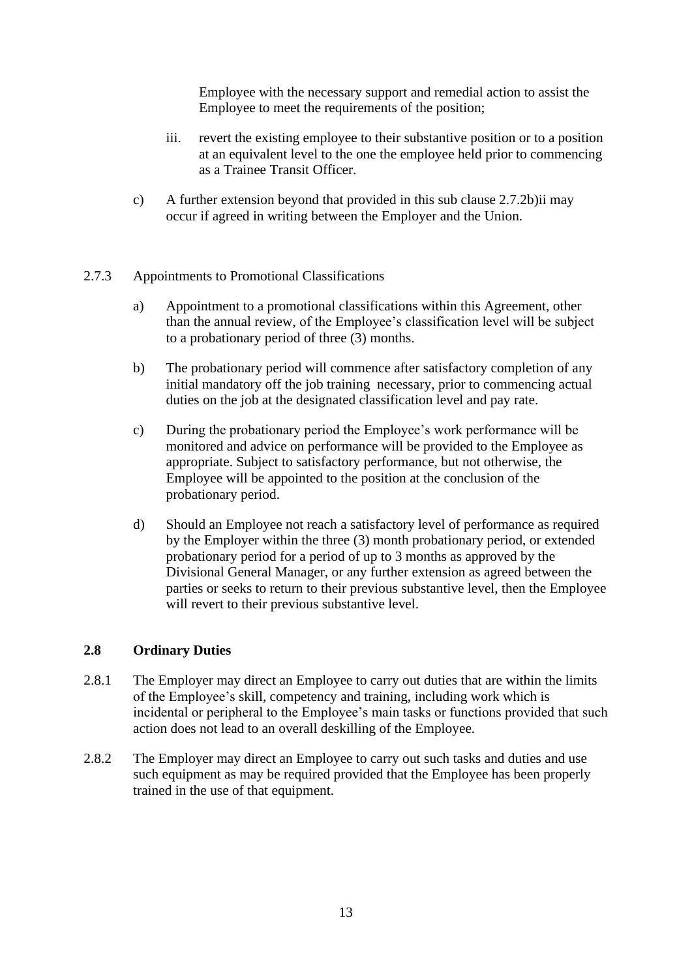Employee with the necessary support and remedial action to assist the Employee to meet the requirements of the position;

- iii. revert the existing employee to their substantive position or to a position at an equivalent level to the one the employee held prior to commencing as a Trainee Transit Officer.
- c) A further extension beyond that provided in this sub clause [2.7.2](#page-13-1)[b\)ii](#page-13-2) may occur if agreed in writing between the Employer and the Union.

# 2.7.3 Appointments to Promotional Classifications

- a) Appointment to a promotional classifications within this Agreement, other than the annual review, of the Employee's classification level will be subject to a probationary period of three (3) months.
- b) The probationary period will commence after satisfactory completion of any initial mandatory off the job training necessary, prior to commencing actual duties on the job at the designated classification level and pay rate.
- c) During the probationary period the Employee's work performance will be monitored and advice on performance will be provided to the Employee as appropriate. Subject to satisfactory performance, but not otherwise, the Employee will be appointed to the position at the conclusion of the probationary period.
- d) Should an Employee not reach a satisfactory level of performance as required by the Employer within the three (3) month probationary period, or extended probationary period for a period of up to 3 months as approved by the Divisional General Manager, or any further extension as agreed between the parties or seeks to return to their previous substantive level, then the Employee will revert to their previous substantive level.

#### <span id="page-14-0"></span>**2.8 Ordinary Duties**

- 2.8.1 The Employer may direct an Employee to carry out duties that are within the limits of the Employee's skill, competency and training, including work which is incidental or peripheral to the Employee's main tasks or functions provided that such action does not lead to an overall deskilling of the Employee.
- 2.8.2 The Employer may direct an Employee to carry out such tasks and duties and use such equipment as may be required provided that the Employee has been properly trained in the use of that equipment.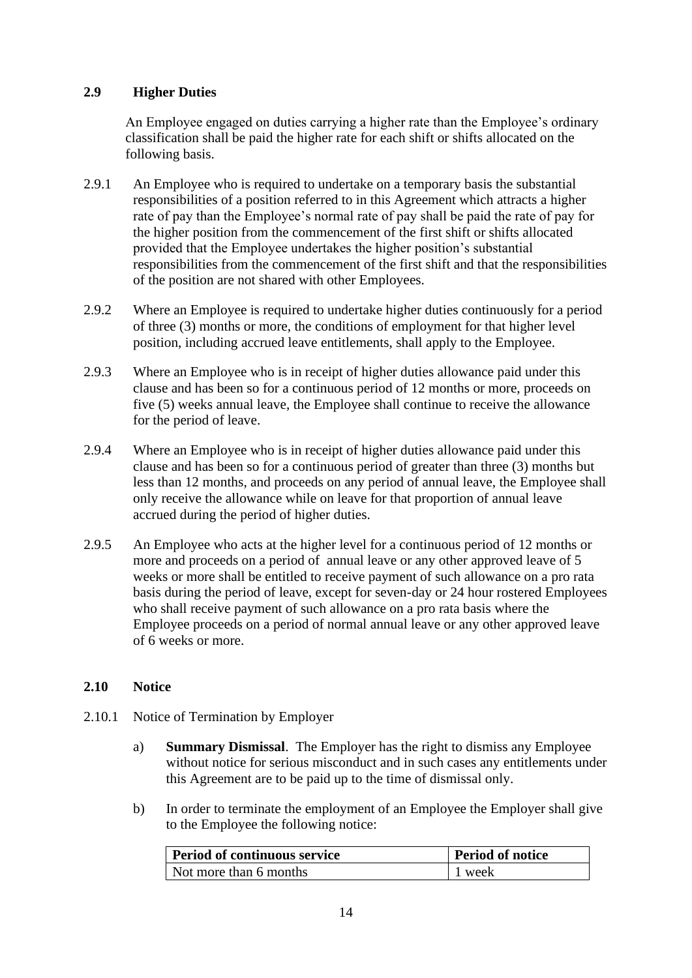# <span id="page-15-0"></span>**2.9 Higher Duties**

An Employee engaged on duties carrying a higher rate than the Employee's ordinary classification shall be paid the higher rate for each shift or shifts allocated on the following basis.

- 2.9.1 An Employee who is required to undertake on a temporary basis the substantial responsibilities of a position referred to in this Agreement which attracts a higher rate of pay than the Employee's normal rate of pay shall be paid the rate of pay for the higher position from the commencement of the first shift or shifts allocated provided that the Employee undertakes the higher position's substantial responsibilities from the commencement of the first shift and that the responsibilities of the position are not shared with other Employees.
- 2.9.2 Where an Employee is required to undertake higher duties continuously for a period of three (3) months or more, the conditions of employment for that higher level position, including accrued leave entitlements, shall apply to the Employee.
- 2.9.3 Where an Employee who is in receipt of higher duties allowance paid under this clause and has been so for a continuous period of 12 months or more, proceeds on five (5) weeks annual leave, the Employee shall continue to receive the allowance for the period of leave.
- 2.9.4 Where an Employee who is in receipt of higher duties allowance paid under this clause and has been so for a continuous period of greater than three (3) months but less than 12 months, and proceeds on any period of annual leave, the Employee shall only receive the allowance while on leave for that proportion of annual leave accrued during the period of higher duties.
- 2.9.5 An Employee who acts at the higher level for a continuous period of 12 months or more and proceeds on a period of annual leave or any other approved leave of 5 weeks or more shall be entitled to receive payment of such allowance on a pro rata basis during the period of leave, except for seven-day or 24 hour rostered Employees who shall receive payment of such allowance on a pro rata basis where the Employee proceeds on a period of normal annual leave or any other approved leave of 6 weeks or more.

# <span id="page-15-1"></span>**2.10 Notice**

- 2.10.1 Notice of Termination by Employer
	- a) **Summary Dismissal**. The Employer has the right to dismiss any Employee without notice for serious misconduct and in such cases any entitlements under this Agreement are to be paid up to the time of dismissal only.
	- b) In order to terminate the employment of an Employee the Employer shall give to the Employee the following notice:

| <b>Period of continuous service</b> | Period of notice |  |
|-------------------------------------|------------------|--|
| Not more than 6 months              | 1 week           |  |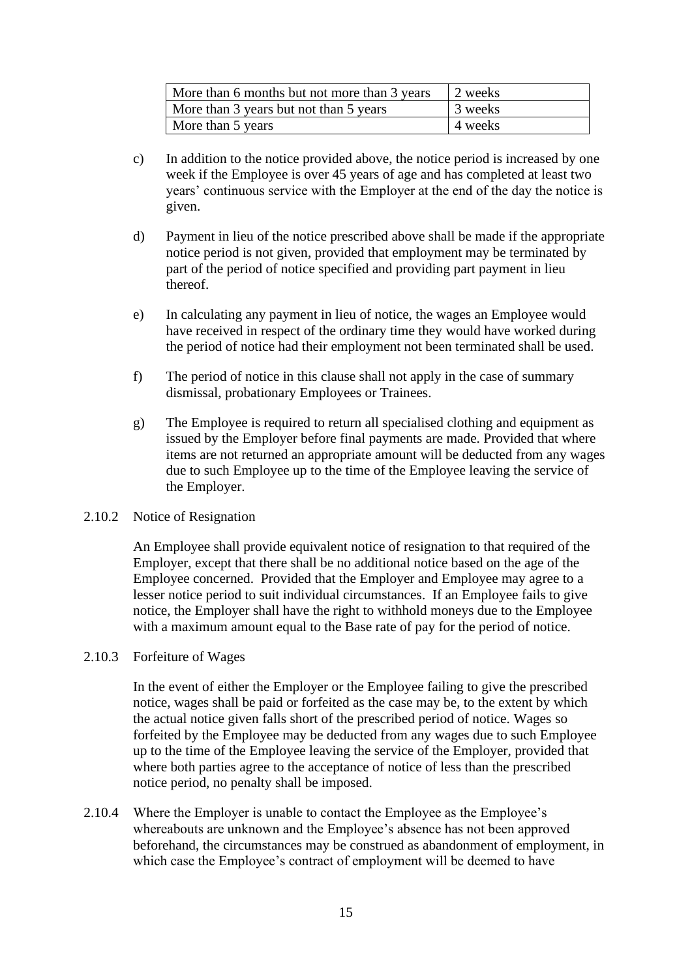| More than 6 months but not more than 3 years | 2 weeks |
|----------------------------------------------|---------|
| More than 3 years but not than 5 years       | 3 weeks |
| More than 5 years                            | 4 weeks |

- c) In addition to the notice provided above, the notice period is increased by one week if the Employee is over 45 years of age and has completed at least two years' continuous service with the Employer at the end of the day the notice is given.
- d) Payment in lieu of the notice prescribed above shall be made if the appropriate notice period is not given, provided that employment may be terminated by part of the period of notice specified and providing part payment in lieu thereof.
- e) In calculating any payment in lieu of notice, the wages an Employee would have received in respect of the ordinary time they would have worked during the period of notice had their employment not been terminated shall be used.
- f) The period of notice in this clause shall not apply in the case of summary dismissal, probationary Employees or Trainees.
- g) The Employee is required to return all specialised clothing and equipment as issued by the Employer before final payments are made. Provided that where items are not returned an appropriate amount will be deducted from any wages due to such Employee up to the time of the Employee leaving the service of the Employer.

#### 2.10.2 Notice of Resignation

An Employee shall provide equivalent notice of resignation to that required of the Employer, except that there shall be no additional notice based on the age of the Employee concerned. Provided that the Employer and Employee may agree to a lesser notice period to suit individual circumstances. If an Employee fails to give notice, the Employer shall have the right to withhold moneys due to the Employee with a maximum amount equal to the Base rate of pay for the period of notice.

#### 2.10.3 Forfeiture of Wages

In the event of either the Employer or the Employee failing to give the prescribed notice, wages shall be paid or forfeited as the case may be, to the extent by which the actual notice given falls short of the prescribed period of notice. Wages so forfeited by the Employee may be deducted from any wages due to such Employee up to the time of the Employee leaving the service of the Employer, provided that where both parties agree to the acceptance of notice of less than the prescribed notice period, no penalty shall be imposed.

2.10.4 Where the Employer is unable to contact the Employee as the Employee's whereabouts are unknown and the Employee's absence has not been approved beforehand, the circumstances may be construed as abandonment of employment, in which case the Employee's contract of employment will be deemed to have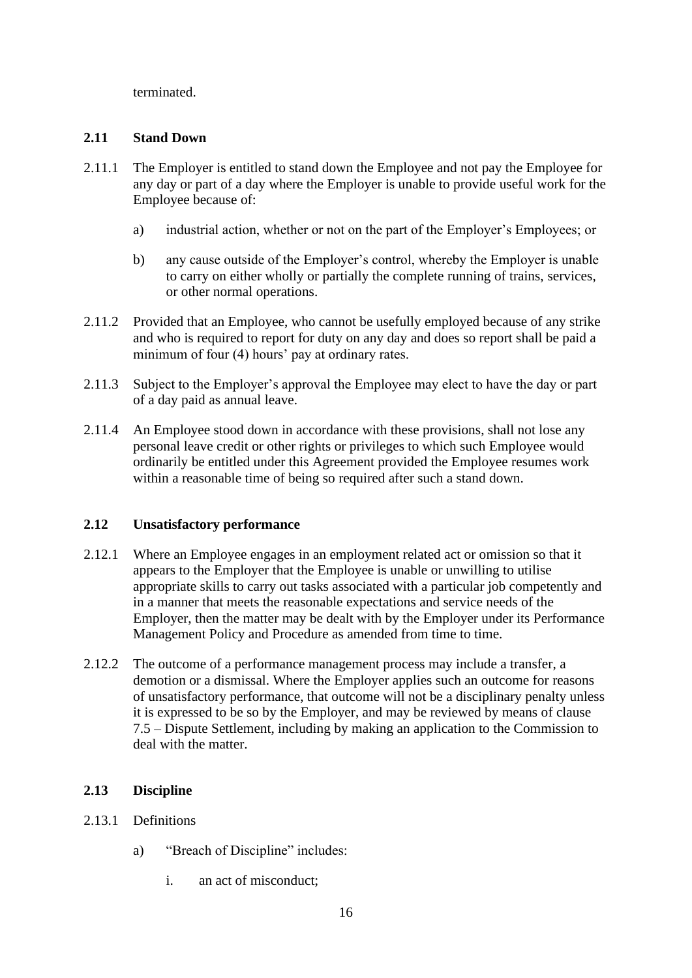terminated.

# <span id="page-17-0"></span>**2.11 Stand Down**

- 2.11.1 The Employer is entitled to stand down the Employee and not pay the Employee for any day or part of a day where the Employer is unable to provide useful work for the Employee because of:
	- a) industrial action, whether or not on the part of the Employer's Employees; or
	- b) any cause outside of the Employer's control, whereby the Employer is unable to carry on either wholly or partially the complete running of trains, services, or other normal operations.
- 2.11.2 Provided that an Employee, who cannot be usefully employed because of any strike and who is required to report for duty on any day and does so report shall be paid a minimum of four (4) hours' pay at ordinary rates.
- 2.11.3 Subject to the Employer's approval the Employee may elect to have the day or part of a day paid as annual leave.
- 2.11.4 An Employee stood down in accordance with these provisions, shall not lose any personal leave credit or other rights or privileges to which such Employee would ordinarily be entitled under this Agreement provided the Employee resumes work within a reasonable time of being so required after such a stand down.

# <span id="page-17-1"></span>**2.12 Unsatisfactory performance**

- 2.12.1 Where an Employee engages in an employment related act or omission so that it appears to the Employer that the Employee is unable or unwilling to utilise appropriate skills to carry out tasks associated with a particular job competently and in a manner that meets the reasonable expectations and service needs of the Employer, then the matter may be dealt with by the Employer under its Performance Management Policy and Procedure as amended from time to time.
- 2.12.2 The outcome of a performance management process may include a transfer, a demotion or a dismissal. Where the Employer applies such an outcome for reasons of unsatisfactory performance, that outcome will not be a disciplinary penalty unless it is expressed to be so by the Employer, and may be reviewed by means of clause [7.5](#page-94-0) – Dispute Settlement, including by making an application to the Commission to deal with the matter.

# <span id="page-17-2"></span>**2.13 Discipline**

- 2.13.1 Definitions
	- a) "Breach of Discipline" includes:
		- i. an act of misconduct;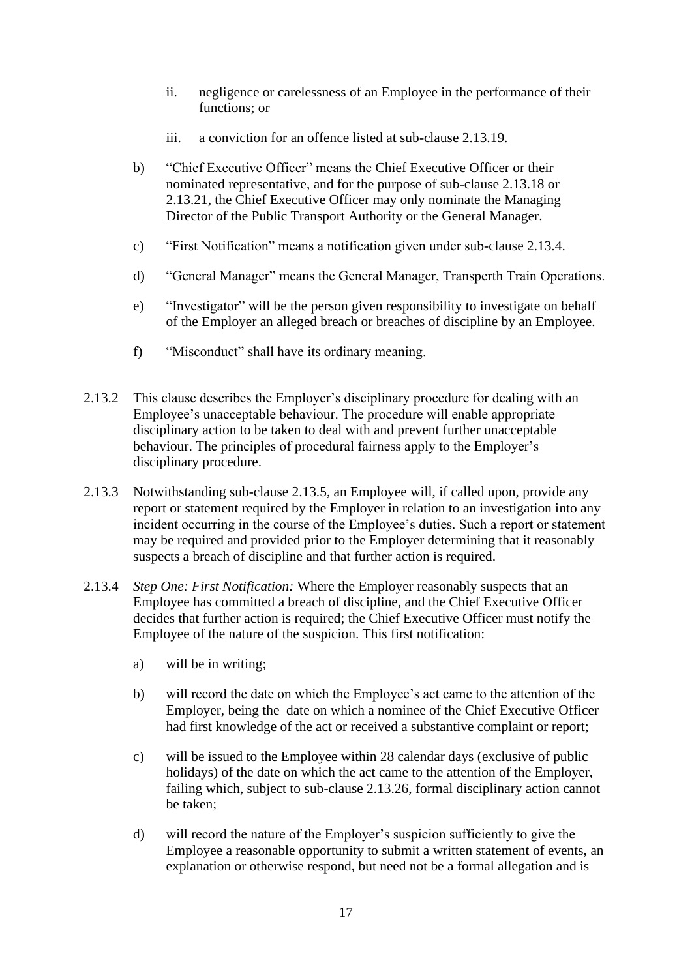- ii. negligence or carelessness of an Employee in the performance of their functions; or
- iii. a conviction for an offence listed at sub-clause [2.13.19.](#page-22-0)
- b) "Chief Executive Officer" means the Chief Executive Officer or their nominated representative, and for the purpose of sub-clause [2.13.18](#page-21-0) or [2.13.21,](#page-22-1) the Chief Executive Officer may only nominate the Managing Director of the Public Transport Authority or the General Manager.
- c) "First Notification" means a notification given under sub-clause [2.13.4.](#page-18-0)
- d) "General Manager" means the General Manager, Transperth Train Operations.
- e) "Investigator" will be the person given responsibility to investigate on behalf of the Employer an alleged breach or breaches of discipline by an Employee.
- f) "Misconduct" shall have its ordinary meaning.
- 2.13.2 This clause describes the Employer's disciplinary procedure for dealing with an Employee's unacceptable behaviour. The procedure will enable appropriate disciplinary action to be taken to deal with and prevent further unacceptable behaviour. The principles of procedural fairness apply to the Employer's disciplinary procedure.
- 2.13.3 Notwithstanding sub-clause [2.13.5,](#page-19-0) an Employee will, if called upon, provide any report or statement required by the Employer in relation to an investigation into any incident occurring in the course of the Employee's duties. Such a report or statement may be required and provided prior to the Employer determining that it reasonably suspects a breach of discipline and that further action is required.
- <span id="page-18-0"></span>2.13.4 *Step One: First Notification:* Where the Employer reasonably suspects that an Employee has committed a breach of discipline, and the Chief Executive Officer decides that further action is required; the Chief Executive Officer must notify the Employee of the nature of the suspicion. This first notification:
	- a) will be in writing;
	- b) will record the date on which the Employee's act came to the attention of the Employer, being the date on which a nominee of the Chief Executive Officer had first knowledge of the act or received a substantive complaint or report;
	- c) will be issued to the Employee within 28 calendar days (exclusive of public holidays) of the date on which the act came to the attention of the Employer, failing which, subject to sub-clause [2.13.26,](#page-23-1) formal disciplinary action cannot be taken;
	- d) will record the nature of the Employer's suspicion sufficiently to give the Employee a reasonable opportunity to submit a written statement of events, an explanation or otherwise respond, but need not be a formal allegation and is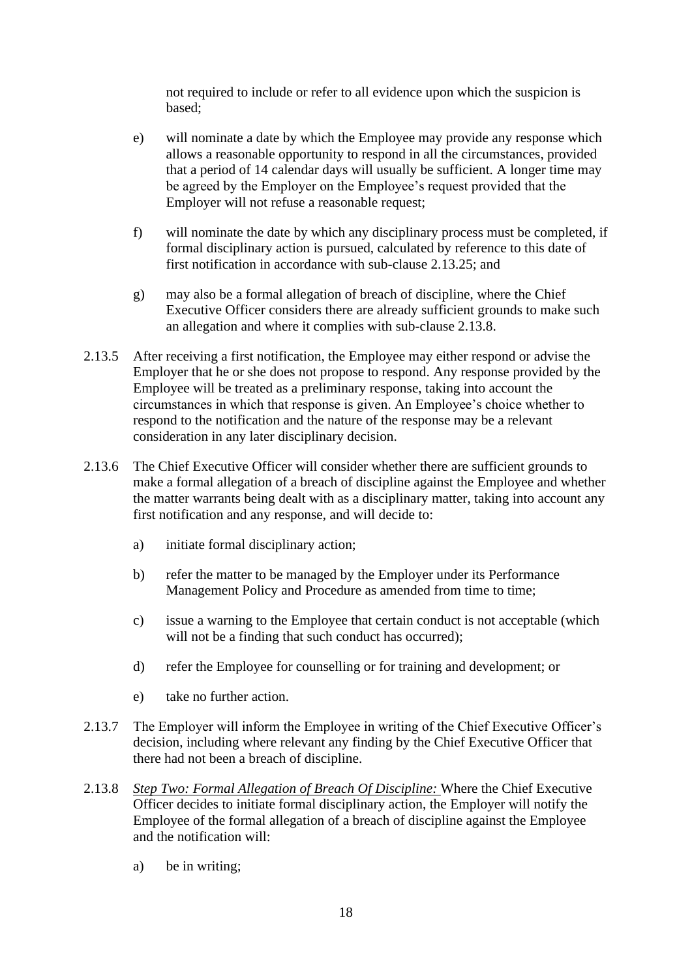not required to include or refer to all evidence upon which the suspicion is based;

- e) will nominate a date by which the Employee may provide any response which allows a reasonable opportunity to respond in all the circumstances, provided that a period of 14 calendar days will usually be sufficient. A longer time may be agreed by the Employer on the Employee's request provided that the Employer will not refuse a reasonable request;
- f) will nominate the date by which any disciplinary process must be completed, if formal disciplinary action is pursued, calculated by reference to this date of first notification in accordance with sub-clause [2.13.25;](#page-23-2) and
- g) may also be a formal allegation of breach of discipline, where the Chief Executive Officer considers there are already sufficient grounds to make such an allegation and where it complies with sub-clause [2.13.8.](#page-19-1)
- <span id="page-19-0"></span>2.13.5 After receiving a first notification, the Employee may either respond or advise the Employer that he or she does not propose to respond. Any response provided by the Employee will be treated as a preliminary response, taking into account the circumstances in which that response is given. An Employee's choice whether to respond to the notification and the nature of the response may be a relevant consideration in any later disciplinary decision.
- 2.13.6 The Chief Executive Officer will consider whether there are sufficient grounds to make a formal allegation of a breach of discipline against the Employee and whether the matter warrants being dealt with as a disciplinary matter, taking into account any first notification and any response, and will decide to:
	- a) initiate formal disciplinary action;
	- b) refer the matter to be managed by the Employer under its Performance Management Policy and Procedure as amended from time to time;
	- c) issue a warning to the Employee that certain conduct is not acceptable (which will not be a finding that such conduct has occurred);
	- d) refer the Employee for counselling or for training and development; or
	- e) take no further action.
- 2.13.7 The Employer will inform the Employee in writing of the Chief Executive Officer's decision, including where relevant any finding by the Chief Executive Officer that there had not been a breach of discipline.
- <span id="page-19-1"></span>2.13.8 *Step Two: Formal Allegation of Breach Of Discipline:* Where the Chief Executive Officer decides to initiate formal disciplinary action, the Employer will notify the Employee of the formal allegation of a breach of discipline against the Employee and the notification will:
	- a) be in writing;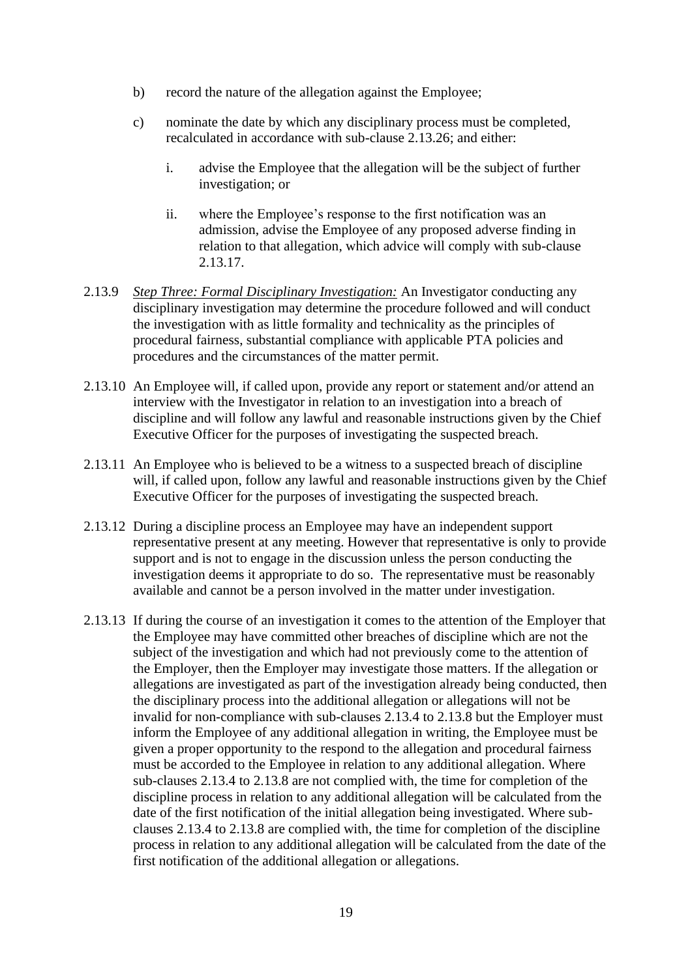- b) record the nature of the allegation against the Employee;
- c) nominate the date by which any disciplinary process must be completed, recalculated in accordance with sub-clause [2.13.26;](#page-23-1) and either:
	- i. advise the Employee that the allegation will be the subject of further investigation; or
	- ii. where the Employee's response to the first notification was an admission, advise the Employee of any proposed adverse finding in relation to that allegation, which advice will comply with sub-clause [2.13.17.](#page-21-1)
- 2.13.9 *Step Three: Formal Disciplinary Investigation:* An Investigator conducting any disciplinary investigation may determine the procedure followed and will conduct the investigation with as little formality and technicality as the principles of procedural fairness, substantial compliance with applicable PTA policies and procedures and the circumstances of the matter permit.
- 2.13.10 An Employee will, if called upon, provide any report or statement and/or attend an interview with the Investigator in relation to an investigation into a breach of discipline and will follow any lawful and reasonable instructions given by the Chief Executive Officer for the purposes of investigating the suspected breach.
- 2.13.11 An Employee who is believed to be a witness to a suspected breach of discipline will, if called upon, follow any lawful and reasonable instructions given by the Chief Executive Officer for the purposes of investigating the suspected breach.
- 2.13.12 During a discipline process an Employee may have an independent support representative present at any meeting. However that representative is only to provide support and is not to engage in the discussion unless the person conducting the investigation deems it appropriate to do so. The representative must be reasonably available and cannot be a person involved in the matter under investigation.
- 2.13.13 If during the course of an investigation it comes to the attention of the Employer that the Employee may have committed other breaches of discipline which are not the subject of the investigation and which had not previously come to the attention of the Employer, then the Employer may investigate those matters. If the allegation or allegations are investigated as part of the investigation already being conducted, then the disciplinary process into the additional allegation or allegations will not be invalid for non-compliance with sub-clauses [2.13.4](#page-18-0) to [2.13.8](#page-19-1) but the Employer must inform the Employee of any additional allegation in writing, the Employee must be given a proper opportunity to the respond to the allegation and procedural fairness must be accorded to the Employee in relation to any additional allegation. Where sub-clauses [2.13.4](#page-18-0) to [2.13.8](#page-19-1) are not complied with, the time for completion of the discipline process in relation to any additional allegation will be calculated from the date of the first notification of the initial allegation being investigated. Where subclauses [2.13.4](#page-18-0) to [2.13.8](#page-19-1) are complied with, the time for completion of the discipline process in relation to any additional allegation will be calculated from the date of the first notification of the additional allegation or allegations.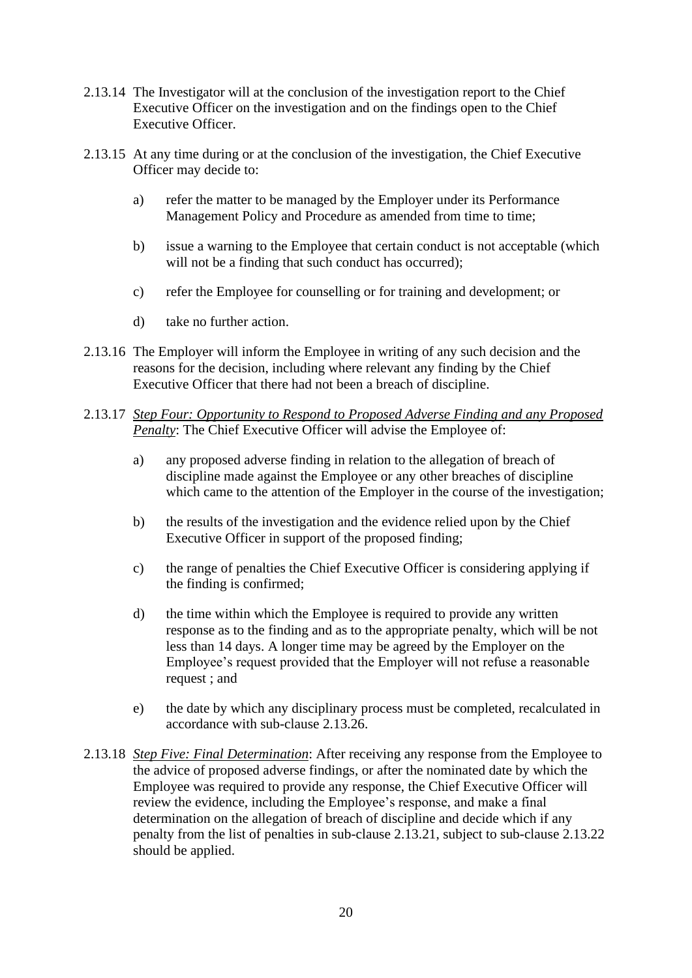- 2.13.14 The Investigator will at the conclusion of the investigation report to the Chief Executive Officer on the investigation and on the findings open to the Chief Executive Officer.
- 2.13.15 At any time during or at the conclusion of the investigation, the Chief Executive Officer may decide to:
	- a) refer the matter to be managed by the Employer under its Performance Management Policy and Procedure as amended from time to time;
	- b) issue a warning to the Employee that certain conduct is not acceptable (which will not be a finding that such conduct has occurred);
	- c) refer the Employee for counselling or for training and development; or
	- d) take no further action.
- 2.13.16 The Employer will inform the Employee in writing of any such decision and the reasons for the decision, including where relevant any finding by the Chief Executive Officer that there had not been a breach of discipline.
- <span id="page-21-1"></span>2.13.17 *Step Four: Opportunity to Respond to Proposed Adverse Finding and any Proposed Penalty*: The Chief Executive Officer will advise the Employee of:
	- a) any proposed adverse finding in relation to the allegation of breach of discipline made against the Employee or any other breaches of discipline which came to the attention of the Employer in the course of the investigation:
	- b) the results of the investigation and the evidence relied upon by the Chief Executive Officer in support of the proposed finding;
	- c) the range of penalties the Chief Executive Officer is considering applying if the finding is confirmed;
	- d) the time within which the Employee is required to provide any written response as to the finding and as to the appropriate penalty, which will be not less than 14 days. A longer time may be agreed by the Employer on the Employee's request provided that the Employer will not refuse a reasonable request ; and
	- e) the date by which any disciplinary process must be completed, recalculated in accordance with sub-clause [2.13.26.](#page-23-1)
- <span id="page-21-0"></span>2.13.18 *Step Five: Final Determination*: After receiving any response from the Employee to the advice of proposed adverse findings, or after the nominated date by which the Employee was required to provide any response, the Chief Executive Officer will review the evidence, including the Employee's response, and make a final determination on the allegation of breach of discipline and decide which if any penalty from the list of penalties in sub-clause [2.13.21,](#page-22-1) subject to sub-clause [2.13.22](#page-22-2) should be applied.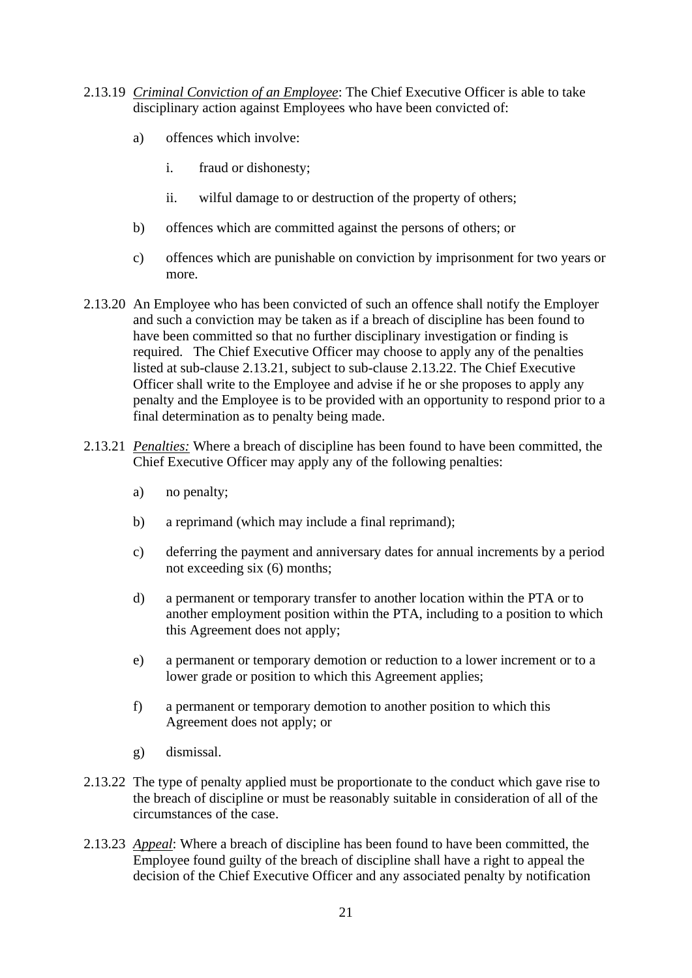- <span id="page-22-0"></span>2.13.19 *Criminal Conviction of an Employee*: The Chief Executive Officer is able to take disciplinary action against Employees who have been convicted of:
	- a) offences which involve:
		- i. fraud or dishonesty;
		- ii. wilful damage to or destruction of the property of others;
	- b) offences which are committed against the persons of others; or
	- c) offences which are punishable on conviction by imprisonment for two years or more.
- 2.13.20 An Employee who has been convicted of such an offence shall notify the Employer and such a conviction may be taken as if a breach of discipline has been found to have been committed so that no further disciplinary investigation or finding is required. The Chief Executive Officer may choose to apply any of the penalties listed at sub-clause [2.13.21,](#page-22-1) subject to sub-clause [2.13.22.](#page-22-2) The Chief Executive Officer shall write to the Employee and advise if he or she proposes to apply any penalty and the Employee is to be provided with an opportunity to respond prior to a final determination as to penalty being made.
- <span id="page-22-1"></span>2.13.21 *Penalties:* Where a breach of discipline has been found to have been committed, the Chief Executive Officer may apply any of the following penalties:
	- a) no penalty;
	- b) a reprimand (which may include a final reprimand);
	- c) deferring the payment and anniversary dates for annual increments by a period not exceeding six (6) months;
	- d) a permanent or temporary transfer to another location within the PTA or to another employment position within the PTA, including to a position to which this Agreement does not apply;
	- e) a permanent or temporary demotion or reduction to a lower increment or to a lower grade or position to which this Agreement applies;
	- f) a permanent or temporary demotion to another position to which this Agreement does not apply; or
	- g) dismissal.
- <span id="page-22-2"></span>2.13.22 The type of penalty applied must be proportionate to the conduct which gave rise to the breach of discipline or must be reasonably suitable in consideration of all of the circumstances of the case.
- 2.13.23 *Appeal*: Where a breach of discipline has been found to have been committed, the Employee found guilty of the breach of discipline shall have a right to appeal the decision of the Chief Executive Officer and any associated penalty by notification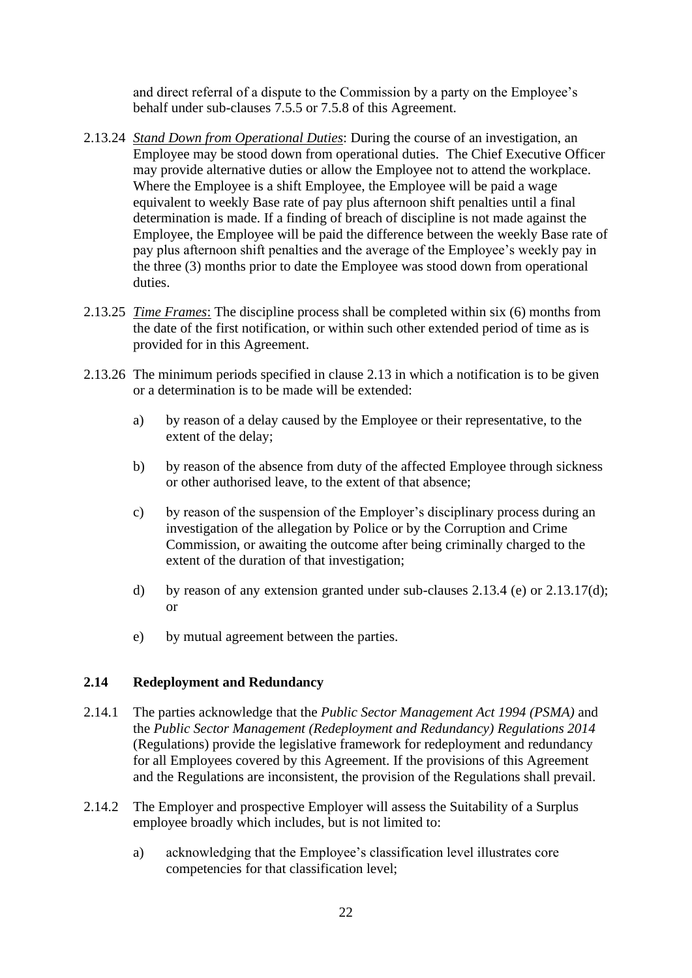and direct referral of a dispute to the Commission by a party on the Employee's behalf under sub-clauses [7.5.5](#page-94-1) or [7.5.8](#page-95-3) of this Agreement.

- 2.13.24 *Stand Down from Operational Duties*: During the course of an investigation, an Employee may be stood down from operational duties. The Chief Executive Officer may provide alternative duties or allow the Employee not to attend the workplace. Where the Employee is a shift Employee, the Employee will be paid a wage equivalent to weekly Base rate of pay plus afternoon shift penalties until a final determination is made. If a finding of breach of discipline is not made against the Employee, the Employee will be paid the difference between the weekly Base rate of pay plus afternoon shift penalties and the average of the Employee's weekly pay in the three (3) months prior to date the Employee was stood down from operational duties.
- <span id="page-23-2"></span>2.13.25 *Time Frames*: The discipline process shall be completed within six (6) months from the date of the first notification, or within such other extended period of time as is provided for in this Agreement.
- <span id="page-23-1"></span>2.13.26 The minimum periods specified in clause [2.13](#page-17-2) in which a notification is to be given or a determination is to be made will be extended:
	- a) by reason of a delay caused by the Employee or their representative, to the extent of the delay;
	- b) by reason of the absence from duty of the affected Employee through sickness or other authorised leave, to the extent of that absence;
	- c) by reason of the suspension of the Employer's disciplinary process during an investigation of the allegation by Police or by the Corruption and Crime Commission, or awaiting the outcome after being criminally charged to the extent of the duration of that investigation;
	- d) by reason of any extension granted under sub-clauses [2.13.4](#page-18-0) (e) or [2.13.17\(](#page-21-1)d); or
	- e) by mutual agreement between the parties.

#### <span id="page-23-0"></span>**2.14 Redeployment and Redundancy**

- 2.14.1 The parties acknowledge that the *Public Sector Management Act 1994 (PSMA)* and the *Public Sector Management (Redeployment and Redundancy) Regulations 2014* (Regulations) provide the legislative framework for redeployment and redundancy for all Employees covered by this Agreement. If the provisions of this Agreement and the Regulations are inconsistent, the provision of the Regulations shall prevail.
- <span id="page-23-3"></span>2.14.2 The Employer and prospective Employer will assess the Suitability of a Surplus employee broadly which includes, but is not limited to:
	- a) acknowledging that the Employee's classification level illustrates core competencies for that classification level;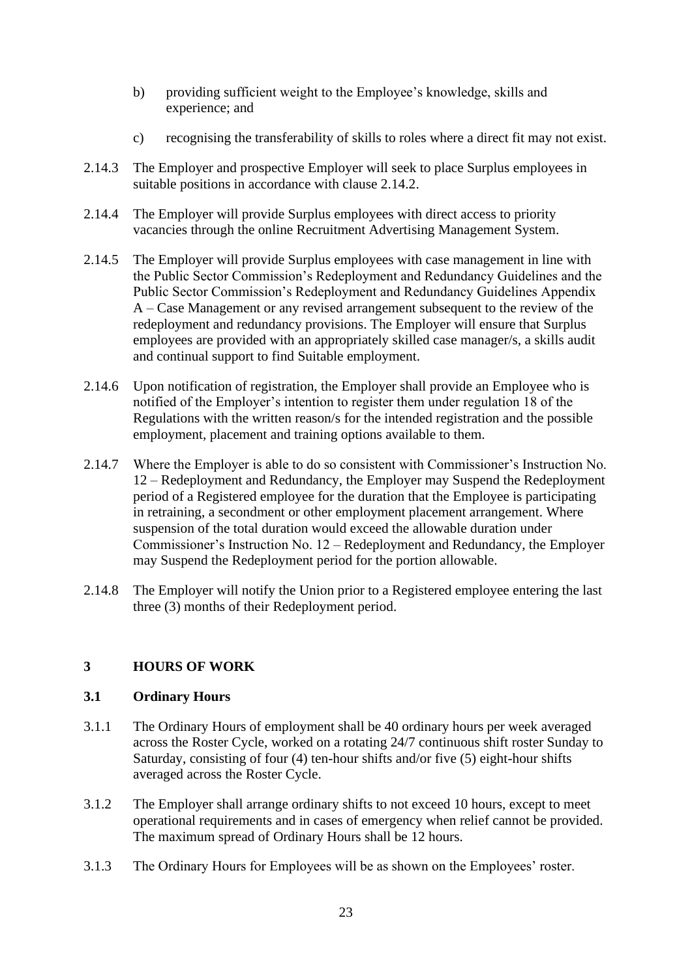- b) providing sufficient weight to the Employee's knowledge, skills and experience; and
- c) recognising the transferability of skills to roles where a direct fit may not exist.
- 2.14.3 The Employer and prospective Employer will seek to place Surplus employees in suitable positions in accordance with clause [2.14.2.](#page-23-3)
- 2.14.4 The Employer will provide Surplus employees with direct access to priority vacancies through the online Recruitment Advertising Management System.
- 2.14.5 The Employer will provide Surplus employees with case management in line with the Public Sector Commission's Redeployment and Redundancy Guidelines and the Public Sector Commission's Redeployment and Redundancy Guidelines Appendix A – Case Management or any revised arrangement subsequent to the review of the redeployment and redundancy provisions. The Employer will ensure that Surplus employees are provided with an appropriately skilled case manager/s, a skills audit and continual support to find Suitable employment.
- 2.14.6 Upon notification of registration, the Employer shall provide an Employee who is notified of the Employer's intention to register them under regulation 18 of the Regulations with the written reason/s for the intended registration and the possible employment, placement and training options available to them.
- 2.14.7 Where the Employer is able to do so consistent with Commissioner's Instruction No. 12 – Redeployment and Redundancy, the Employer may Suspend the Redeployment period of a Registered employee for the duration that the Employee is participating in retraining, a secondment or other employment placement arrangement. Where suspension of the total duration would exceed the allowable duration under Commissioner's Instruction No. 12 – Redeployment and Redundancy, the Employer may Suspend the Redeployment period for the portion allowable.
- 2.14.8 The Employer will notify the Union prior to a Registered employee entering the last three (3) months of their Redeployment period.

# <span id="page-24-0"></span>**3 HOURS OF WORK**

#### <span id="page-24-1"></span>**3.1 Ordinary Hours**

- <span id="page-24-2"></span>3.1.1 The Ordinary Hours of employment shall be 40 ordinary hours per week averaged across the Roster Cycle, worked on a rotating 24/7 continuous shift roster Sunday to Saturday, consisting of four (4) ten-hour shifts and/or five (5) eight-hour shifts averaged across the Roster Cycle.
- 3.1.2 The Employer shall arrange ordinary shifts to not exceed 10 hours, except to meet operational requirements and in cases of emergency when relief cannot be provided. The maximum spread of Ordinary Hours shall be 12 hours.
- 3.1.3 The Ordinary Hours for Employees will be as shown on the Employees' roster.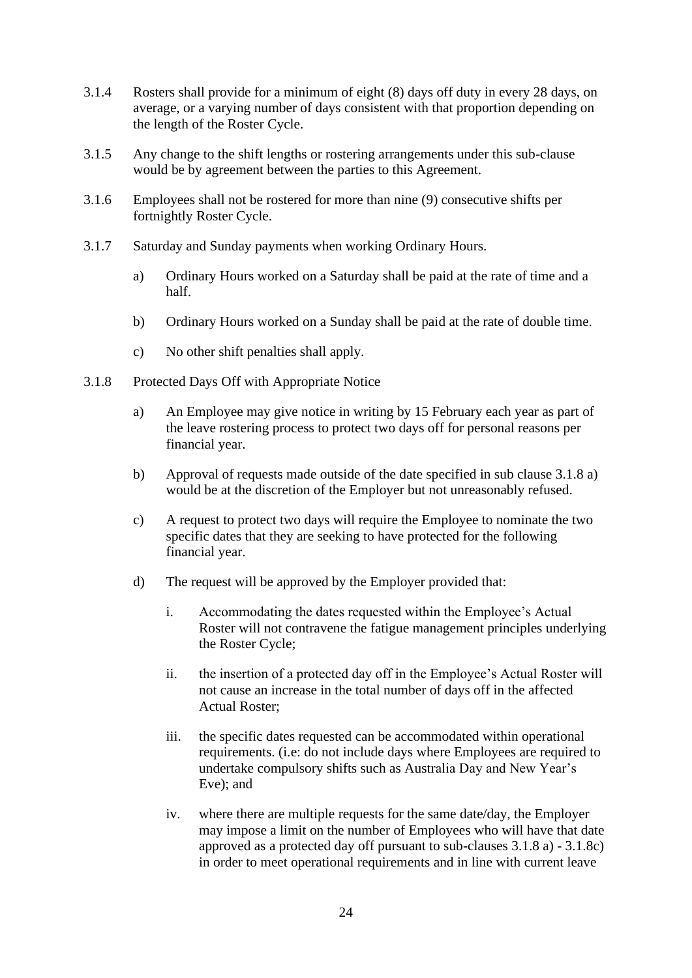- 3.1.4 Rosters shall provide for a minimum of eight (8) days off duty in every 28 days, on average, or a varying number of days consistent with that proportion depending on the length of the Roster Cycle.
- 3.1.5 Any change to the shift lengths or rostering arrangements under this sub-clause would be by agreement between the parties to this Agreement.
- 3.1.6 Employees shall not be rostered for more than nine (9) consecutive shifts per fortnightly Roster Cycle.
- 3.1.7 Saturday and Sunday payments when working Ordinary Hours.
	- a) Ordinary Hours worked on a Saturday shall be paid at the rate of time and a half.
	- b) Ordinary Hours worked on a Sunday shall be paid at the rate of double time.
	- c) No other shift penalties shall apply.
- <span id="page-25-0"></span>3.1.8 Protected Days Off with Appropriate Notice
	- a) An Employee may give notice in writing by 15 February each year as part of the leave rostering process to protect two days off for personal reasons per financial year.
	- b) Approval of requests made outside of the date specified in sub clause [3.1.8](#page-25-0) a) would be at the discretion of the Employer but not unreasonably refused.
	- c) A request to protect two days will require the Employee to nominate the two specific dates that they are seeking to have protected for the following financial year.
	- d) The request will be approved by the Employer provided that:
		- i. Accommodating the dates requested within the Employee's Actual Roster will not contravene the fatigue management principles underlying the Roster Cycle;
		- ii. the insertion of a protected day off in the Employee's Actual Roster will not cause an increase in the total number of days off in the affected Actual Roster;
		- iii. the specific dates requested can be accommodated within operational requirements. (i.e: do not include days where Employees are required to undertake compulsory shifts such as Australia Day and New Year's Eve); and
		- iv. where there are multiple requests for the same date/day, the Employer may impose a limit on the number of Employees who will have that date approved as a protected day off pursuant to sub-clauses [3.1.8](#page-25-0) a) - [3.1.8c](#page-25-0)) in order to meet operational requirements and in line with current leave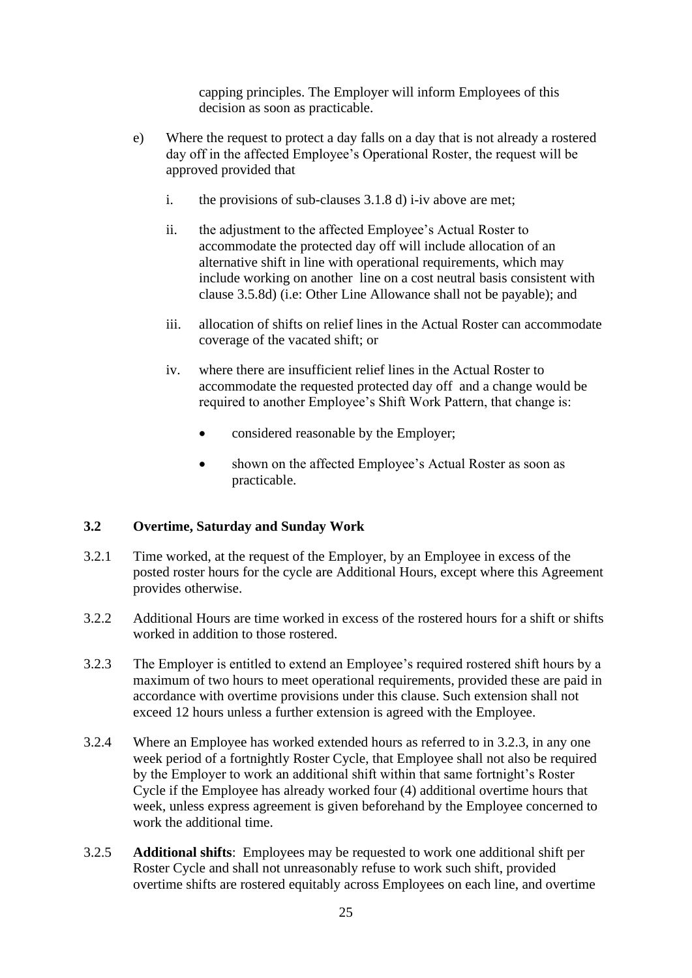capping principles. The Employer will inform Employees of this decision as soon as practicable.

- e) Where the request to protect a day falls on a day that is not already a rostered day off in the affected Employee's Operational Roster, the request will be approved provided that
	- i. the provisions of sub-clauses [3.1.8](#page-25-0) d) i-iv above are met;
	- ii. the adjustment to the affected Employee's Actual Roster to accommodate the protected day off will include allocation of an alternative shift in line with operational requirements, which may include working on another line on a cost neutral basis consistent with clause [3.5.8d\)](#page-30-0) (i.e: Other Line Allowance shall not be payable); and
	- iii. allocation of shifts on relief lines in the Actual Roster can accommodate coverage of the vacated shift; or
	- iv. where there are insufficient relief lines in the Actual Roster to accommodate the requested protected day off and a change would be required to another Employee's Shift Work Pattern, that change is:
		- considered reasonable by the Employer;
		- shown on the affected Employee's Actual Roster as soon as practicable.

# <span id="page-26-0"></span>**3.2 Overtime, Saturday and Sunday Work**

- 3.2.1 Time worked, at the request of the Employer, by an Employee in excess of the posted roster hours for the cycle are Additional Hours, except where this Agreement provides otherwise.
- 3.2.2 Additional Hours are time worked in excess of the rostered hours for a shift or shifts worked in addition to those rostered.
- <span id="page-26-1"></span>3.2.3 The Employer is entitled to extend an Employee's required rostered shift hours by a maximum of two hours to meet operational requirements, provided these are paid in accordance with overtime provisions under this clause. Such extension shall not exceed 12 hours unless a further extension is agreed with the Employee.
- 3.2.4 Where an Employee has worked extended hours as referred to in [3.2.3,](#page-26-1) in any one week period of a fortnightly Roster Cycle, that Employee shall not also be required by the Employer to work an additional shift within that same fortnight's Roster Cycle if the Employee has already worked four (4) additional overtime hours that week, unless express agreement is given beforehand by the Employee concerned to work the additional time.
- 3.2.5 **Additional shifts**: Employees may be requested to work one additional shift per Roster Cycle and shall not unreasonably refuse to work such shift, provided overtime shifts are rostered equitably across Employees on each line, and overtime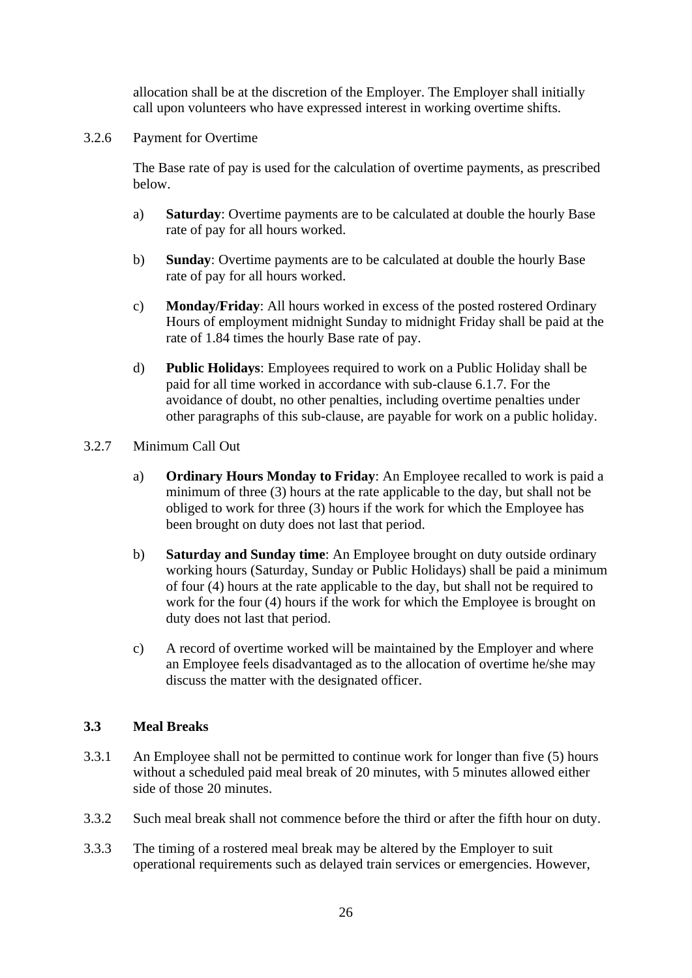allocation shall be at the discretion of the Employer. The Employer shall initially call upon volunteers who have expressed interest in working overtime shifts.

3.2.6 Payment for Overtime

The Base rate of pay is used for the calculation of overtime payments, as prescribed below.

- a) **Saturday**: Overtime payments are to be calculated at double the hourly Base rate of pay for all hours worked.
- b) **Sunday**: Overtime payments are to be calculated at double the hourly Base rate of pay for all hours worked.
- c) **Monday/Friday**: All hours worked in excess of the posted rostered Ordinary Hours of employment midnight Sunday to midnight Friday shall be paid at the rate of 1.84 times the hourly Base rate of pay.
- d) **Public Holidays**: Employees required to work on a Public Holiday shall be paid for all time worked in accordance with sub-clause [6.1.7.](#page-38-0) For the avoidance of doubt, no other penalties, including overtime penalties under other paragraphs of this sub-clause, are payable for work on a public holiday.

#### 3.2.7 Minimum Call Out

- a) **Ordinary Hours Monday to Friday**: An Employee recalled to work is paid a minimum of three (3) hours at the rate applicable to the day, but shall not be obliged to work for three (3) hours if the work for which the Employee has been brought on duty does not last that period.
- b) **Saturday and Sunday time**: An Employee brought on duty outside ordinary working hours (Saturday, Sunday or Public Holidays) shall be paid a minimum of four (4) hours at the rate applicable to the day, but shall not be required to work for the four (4) hours if the work for which the Employee is brought on duty does not last that period.
- c) A record of overtime worked will be maintained by the Employer and where an Employee feels disadvantaged as to the allocation of overtime he/she may discuss the matter with the designated officer.

# <span id="page-27-0"></span>**3.3 Meal Breaks**

- 3.3.1 An Employee shall not be permitted to continue work for longer than five (5) hours without a scheduled paid meal break of 20 minutes, with 5 minutes allowed either side of those 20 minutes.
- 3.3.2 Such meal break shall not commence before the third or after the fifth hour on duty.
- 3.3.3 The timing of a rostered meal break may be altered by the Employer to suit operational requirements such as delayed train services or emergencies. However,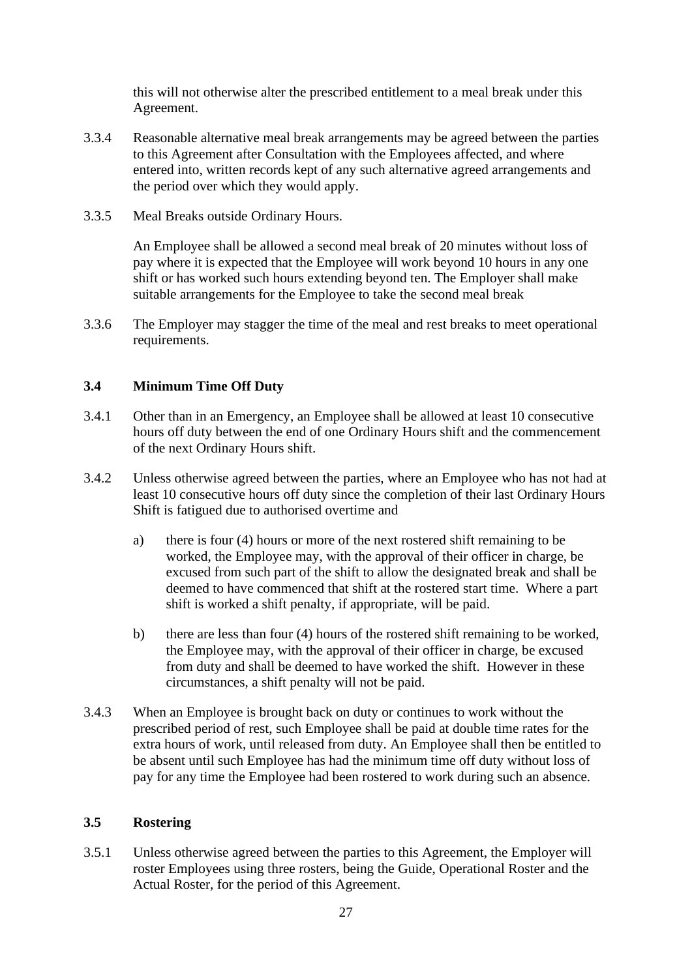this will not otherwise alter the prescribed entitlement to a meal break under this Agreement.

- 3.3.4 Reasonable alternative meal break arrangements may be agreed between the parties to this Agreement after Consultation with the Employees affected, and where entered into, written records kept of any such alternative agreed arrangements and the period over which they would apply.
- 3.3.5 Meal Breaks outside Ordinary Hours.

An Employee shall be allowed a second meal break of 20 minutes without loss of pay where it is expected that the Employee will work beyond 10 hours in any one shift or has worked such hours extending beyond ten. The Employer shall make suitable arrangements for the Employee to take the second meal break

3.3.6 The Employer may stagger the time of the meal and rest breaks to meet operational requirements.

#### <span id="page-28-0"></span>**3.4 Minimum Time Off Duty**

- 3.4.1 Other than in an Emergency, an Employee shall be allowed at least 10 consecutive hours off duty between the end of one Ordinary Hours shift and the commencement of the next Ordinary Hours shift.
- 3.4.2 Unless otherwise agreed between the parties, where an Employee who has not had at least 10 consecutive hours off duty since the completion of their last Ordinary Hours Shift is fatigued due to authorised overtime and
	- a) there is four (4) hours or more of the next rostered shift remaining to be worked, the Employee may, with the approval of their officer in charge, be excused from such part of the shift to allow the designated break and shall be deemed to have commenced that shift at the rostered start time. Where a part shift is worked a shift penalty, if appropriate, will be paid.
	- b) there are less than four (4) hours of the rostered shift remaining to be worked, the Employee may, with the approval of their officer in charge, be excused from duty and shall be deemed to have worked the shift. However in these circumstances, a shift penalty will not be paid.
- 3.4.3 When an Employee is brought back on duty or continues to work without the prescribed period of rest, such Employee shall be paid at double time rates for the extra hours of work, until released from duty. An Employee shall then be entitled to be absent until such Employee has had the minimum time off duty without loss of pay for any time the Employee had been rostered to work during such an absence.

#### <span id="page-28-1"></span>**3.5 Rostering**

3.5.1 Unless otherwise agreed between the parties to this Agreement, the Employer will roster Employees using three rosters, being the Guide, Operational Roster and the Actual Roster, for the period of this Agreement.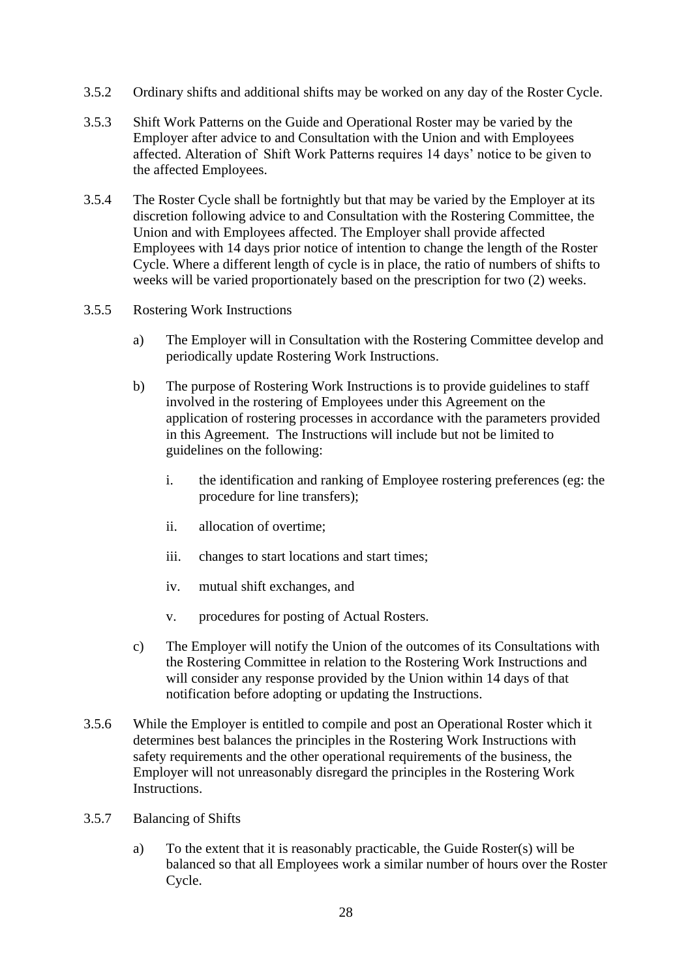- 3.5.2 Ordinary shifts and additional shifts may be worked on any day of the Roster Cycle.
- 3.5.3 Shift Work Patterns on the Guide and Operational Roster may be varied by the Employer after advice to and Consultation with the Union and with Employees affected. Alteration of Shift Work Patterns requires 14 days' notice to be given to the affected Employees.
- 3.5.4 The Roster Cycle shall be fortnightly but that may be varied by the Employer at its discretion following advice to and Consultation with the Rostering Committee, the Union and with Employees affected. The Employer shall provide affected Employees with 14 days prior notice of intention to change the length of the Roster Cycle. Where a different length of cycle is in place, the ratio of numbers of shifts to weeks will be varied proportionately based on the prescription for two (2) weeks.
- <span id="page-29-0"></span>3.5.5 Rostering Work Instructions
	- a) The Employer will in Consultation with the Rostering Committee develop and periodically update Rostering Work Instructions.
	- b) The purpose of Rostering Work Instructions is to provide guidelines to staff involved in the rostering of Employees under this Agreement on the application of rostering processes in accordance with the parameters provided in this Agreement. The Instructions will include but not be limited to guidelines on the following:
		- i. the identification and ranking of Employee rostering preferences (eg: the procedure for line transfers);
		- ii. allocation of overtime;
		- iii. changes to start locations and start times;
		- iv. mutual shift exchanges, and
		- v. procedures for posting of Actual Rosters.
	- c) The Employer will notify the Union of the outcomes of its Consultations with the Rostering Committee in relation to the Rostering Work Instructions and will consider any response provided by the Union within 14 days of that notification before adopting or updating the Instructions.
- 3.5.6 While the Employer is entitled to compile and post an Operational Roster which it determines best balances the principles in the Rostering Work Instructions with safety requirements and the other operational requirements of the business, the Employer will not unreasonably disregard the principles in the Rostering Work Instructions.
- 3.5.7 Balancing of Shifts
	- a) To the extent that it is reasonably practicable, the Guide Roster(s) will be balanced so that all Employees work a similar number of hours over the Roster Cycle.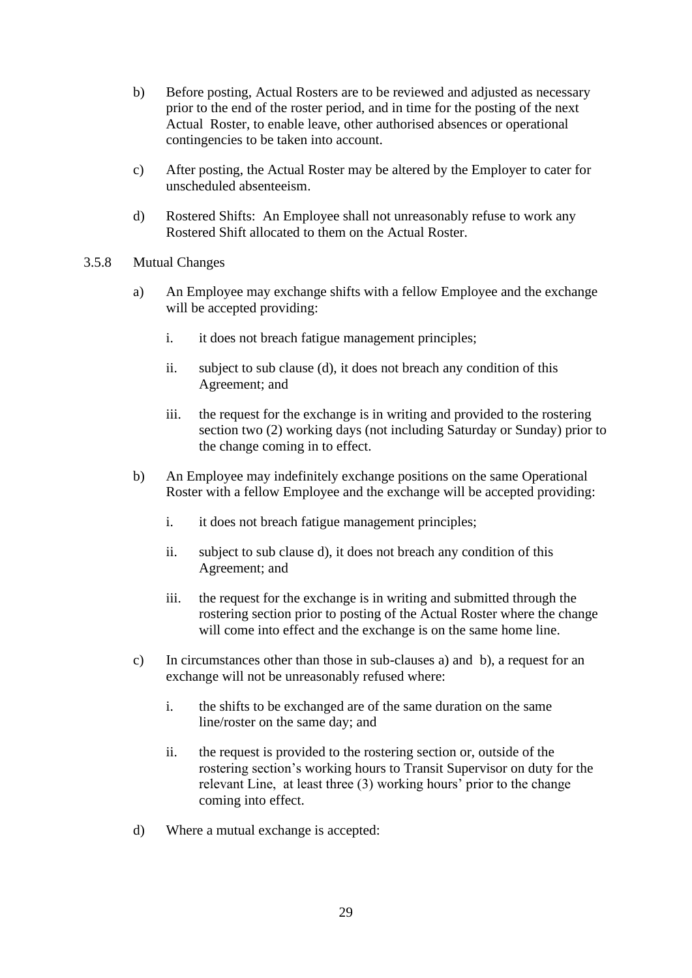- b) Before posting, Actual Rosters are to be reviewed and adjusted as necessary prior to the end of the roster period, and in time for the posting of the next Actual Roster, to enable leave, other authorised absences or operational contingencies to be taken into account.
- c) After posting, the Actual Roster may be altered by the Employer to cater for unscheduled absenteeism.
- d) Rostered Shifts: An Employee shall not unreasonably refuse to work any Rostered Shift allocated to them on the Actual Roster.
- <span id="page-30-0"></span>3.5.8 Mutual Changes
	- a) An Employee may exchange shifts with a fellow Employee and the exchange will be accepted providing:
		- i. it does not breach fatigue management principles;
		- ii. subject to sub clause (d), it does not breach any condition of this Agreement; and
		- iii. the request for the exchange is in writing and provided to the rostering section two (2) working days (not including Saturday or Sunday) prior to the change coming in to effect.
	- b) An Employee may indefinitely exchange positions on the same Operational Roster with a fellow Employee and the exchange will be accepted providing:
		- i. it does not breach fatigue management principles;
		- ii. subject to sub clause d), it does not breach any condition of this Agreement; and
		- iii. the request for the exchange is in writing and submitted through the rostering section prior to posting of the Actual Roster where the change will come into effect and the exchange is on the same home line.
	- c) In circumstances other than those in sub-clauses a) and b), a request for an exchange will not be unreasonably refused where:
		- i. the shifts to be exchanged are of the same duration on the same line/roster on the same day; and
		- ii. the request is provided to the rostering section or, outside of the rostering section's working hours to Transit Supervisor on duty for the relevant Line, at least three (3) working hours' prior to the change coming into effect.
	- d) Where a mutual exchange is accepted: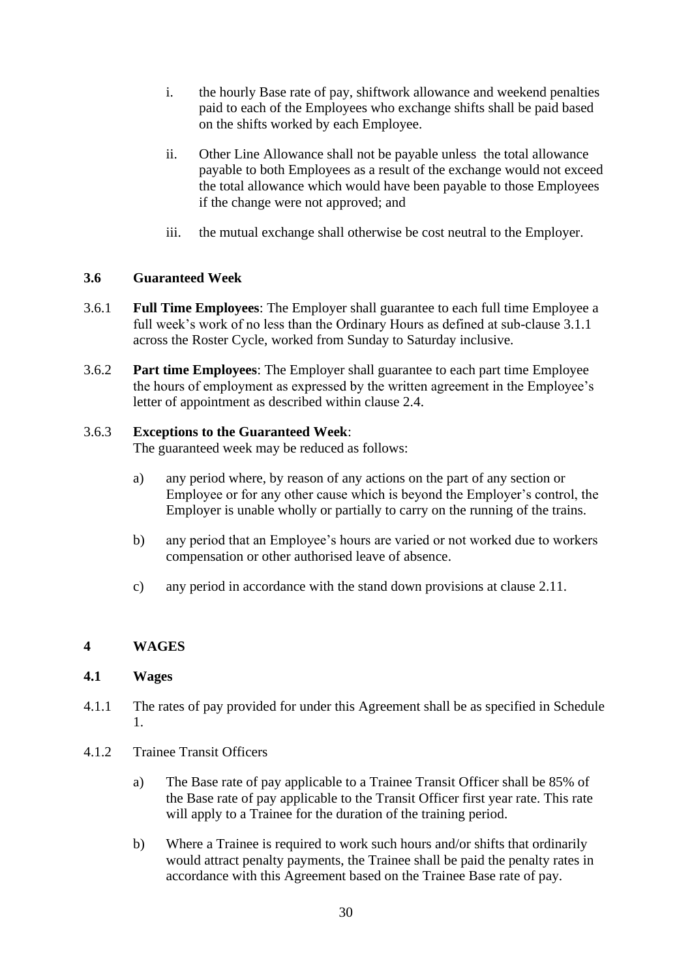- i. the hourly Base rate of pay, shiftwork allowance and weekend penalties paid to each of the Employees who exchange shifts shall be paid based on the shifts worked by each Employee.
- ii. Other Line Allowance shall not be payable unless the total allowance payable to both Employees as a result of the exchange would not exceed the total allowance which would have been payable to those Employees if the change were not approved; and
- iii. the mutual exchange shall otherwise be cost neutral to the Employer.

#### <span id="page-31-0"></span>**3.6 Guaranteed Week**

- 3.6.1 **Full Time Employees**: The Employer shall guarantee to each full time Employee a full week's work of no less than the Ordinary Hours as defined at sub-clause [3.1.1](#page-24-2) across the Roster Cycle, worked from Sunday to Saturday inclusive.
- 3.6.2 **Part time Employees**: The Employer shall guarantee to each part time Employee the hours of employment as expressed by the written agreement in the Employee's letter of appointment as described within clause [2.4.](#page-10-1)

#### 3.6.3 **Exceptions to the Guaranteed Week**:

The guaranteed week may be reduced as follows:

- a) any period where, by reason of any actions on the part of any section or Employee or for any other cause which is beyond the Employer's control, the Employer is unable wholly or partially to carry on the running of the trains.
- b) any period that an Employee's hours are varied or not worked due to workers compensation or other authorised leave of absence.
- c) any period in accordance with the stand down provisions at clause [2.11.](#page-17-0)

# <span id="page-31-1"></span>**4 WAGES**

#### <span id="page-31-2"></span>**4.1 Wages**

- 4.1.1 The rates of pay provided for under this Agreement shall be as specified in Schedule 1.
- 4.1.2 Trainee Transit Officers
	- a) The Base rate of pay applicable to a Trainee Transit Officer shall be 85% of the Base rate of pay applicable to the Transit Officer first year rate. This rate will apply to a Trainee for the duration of the training period.
	- b) Where a Trainee is required to work such hours and/or shifts that ordinarily would attract penalty payments, the Trainee shall be paid the penalty rates in accordance with this Agreement based on the Trainee Base rate of pay.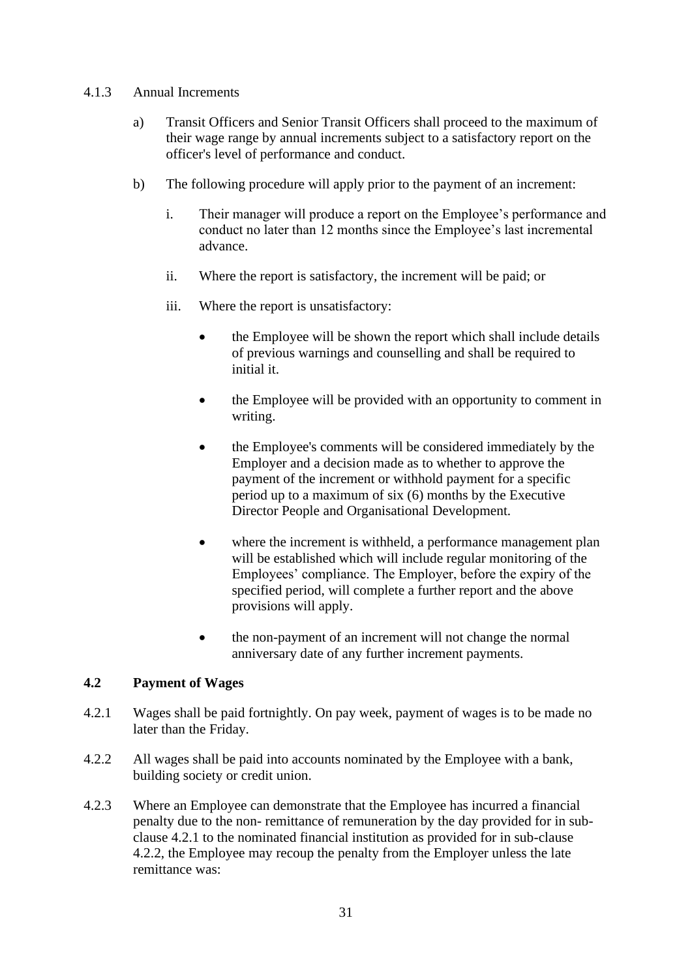#### 4.1.3 Annual Increments

- a) Transit Officers and Senior Transit Officers shall proceed to the maximum of their wage range by annual increments subject to a satisfactory report on the officer's level of performance and conduct.
- b) The following procedure will apply prior to the payment of an increment:
	- i. Their manager will produce a report on the Employee's performance and conduct no later than 12 months since the Employee's last incremental advance.
	- ii. Where the report is satisfactory, the increment will be paid; or
	- iii. Where the report is unsatisfactory:
		- the Employee will be shown the report which shall include details of previous warnings and counselling and shall be required to initial it.
		- the Employee will be provided with an opportunity to comment in writing.
		- the Employee's comments will be considered immediately by the Employer and a decision made as to whether to approve the payment of the increment or withhold payment for a specific period up to a maximum of six (6) months by the Executive Director People and Organisational Development.
		- where the increment is withheld, a performance management plan will be established which will include regular monitoring of the Employees' compliance. The Employer, before the expiry of the specified period, will complete a further report and the above provisions will apply.
		- the non-payment of an increment will not change the normal anniversary date of any further increment payments.

# <span id="page-32-0"></span>**4.2 Payment of Wages**

- <span id="page-32-1"></span>4.2.1 Wages shall be paid fortnightly. On pay week, payment of wages is to be made no later than the Friday.
- <span id="page-32-2"></span>4.2.2 All wages shall be paid into accounts nominated by the Employee with a bank, building society or credit union.
- 4.2.3 Where an Employee can demonstrate that the Employee has incurred a financial penalty due to the non- remittance of remuneration by the day provided for in subclause [4.2.1](#page-32-1) to the nominated financial institution as provided for in sub-clause [4.2.2,](#page-32-2) the Employee may recoup the penalty from the Employer unless the late remittance was: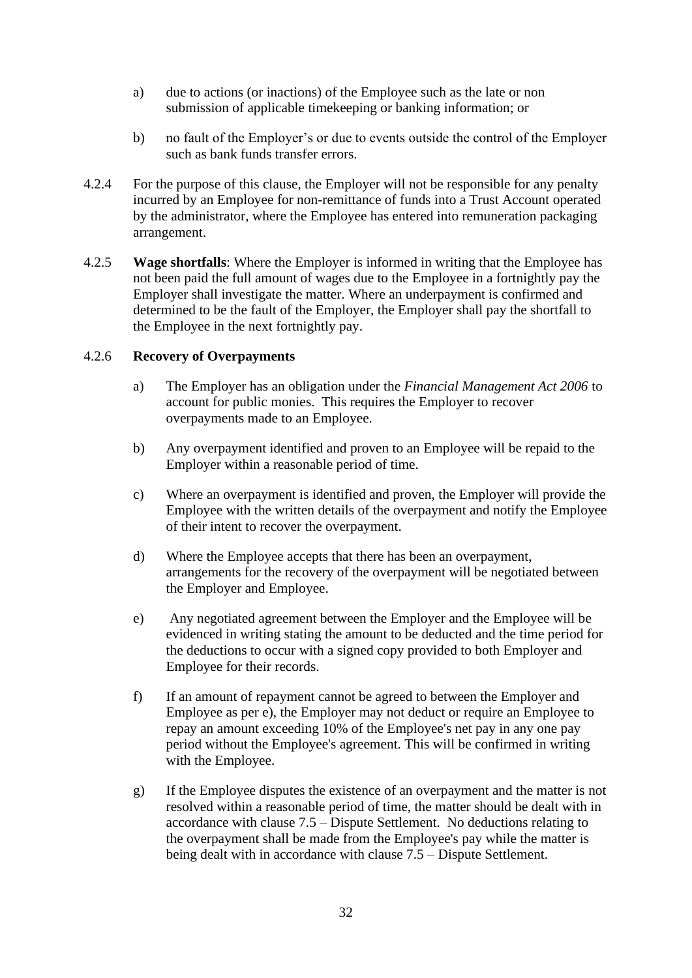- a) due to actions (or inactions) of the Employee such as the late or non submission of applicable timekeeping or banking information; or
- b) no fault of the Employer's or due to events outside the control of the Employer such as bank funds transfer errors.
- 4.2.4 For the purpose of this clause, the Employer will not be responsible for any penalty incurred by an Employee for non-remittance of funds into a Trust Account operated by the administrator, where the Employee has entered into remuneration packaging arrangement.
- 4.2.5 **Wage shortfalls**: Where the Employer is informed in writing that the Employee has not been paid the full amount of wages due to the Employee in a fortnightly pay the Employer shall investigate the matter. Where an underpayment is confirmed and determined to be the fault of the Employer, the Employer shall pay the shortfall to the Employee in the next fortnightly pay.

#### 4.2.6 **Recovery of Overpayments**

- a) The Employer has an obligation under the *Financial Management Act 2006* to account for public monies. This requires the Employer to recover overpayments made to an Employee.
- b) Any overpayment identified and proven to an Employee will be repaid to the Employer within a reasonable period of time.
- c) Where an overpayment is identified and proven, the Employer will provide the Employee with the written details of the overpayment and notify the Employee of their intent to recover the overpayment.
- d) Where the Employee accepts that there has been an overpayment, arrangements for the recovery of the overpayment will be negotiated between the Employer and Employee.
- <span id="page-33-0"></span>e) Any negotiated agreement between the Employer and the Employee will be evidenced in writing stating the amount to be deducted and the time period for the deductions to occur with a signed copy provided to both Employer and Employee for their records.
- f) If an amount of repayment cannot be agreed to between the Employer and Employee as per [e\),](#page-33-0) the Employer may not deduct or require an Employee to repay an amount exceeding 10% of the Employee's net pay in any one pay period without the Employee's agreement. This will be confirmed in writing with the Employee.
- g) If the Employee disputes the existence of an overpayment and the matter is not resolved within a reasonable period of time, the matter should be dealt with in accordance with clause [7.5](#page-94-0) – Dispute Settlement. No deductions relating to the overpayment shall be made from the Employee's pay while the matter is being dealt with in accordance with clause 7.5 – Dispute Settlement.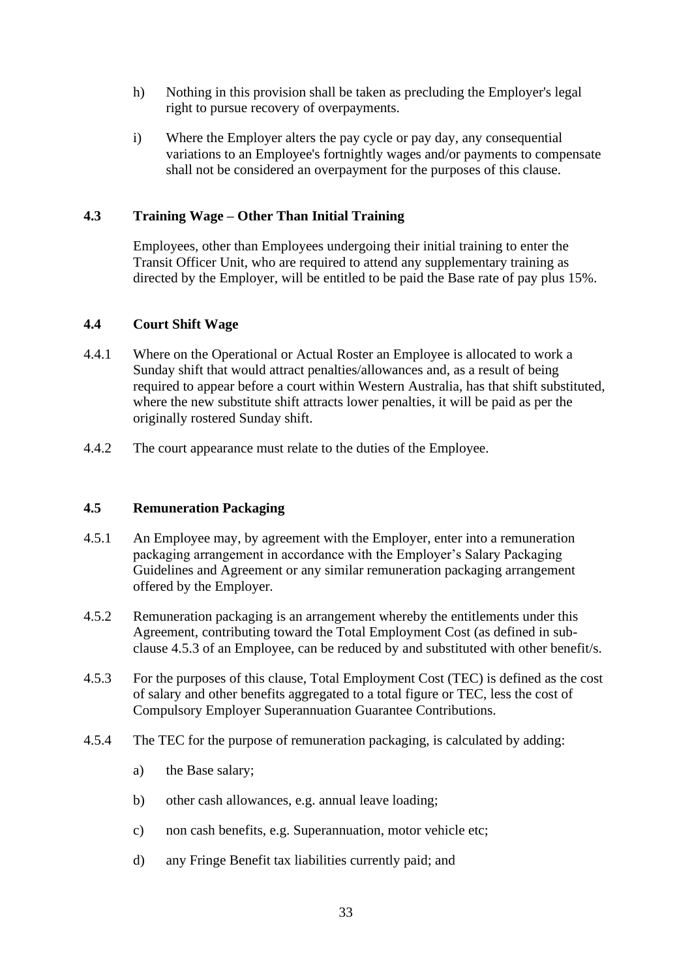- h) Nothing in this provision shall be taken as precluding the Employer's legal right to pursue recovery of overpayments.
- i) Where the Employer alters the pay cycle or pay day, any consequential variations to an Employee's fortnightly wages and/or payments to compensate shall not be considered an overpayment for the purposes of this clause.

# <span id="page-34-0"></span>**4.3 Training Wage – Other Than Initial Training**

Employees, other than Employees undergoing their initial training to enter the Transit Officer Unit, who are required to attend any supplementary training as directed by the Employer, will be entitled to be paid the Base rate of pay plus 15%.

#### <span id="page-34-1"></span>**4.4 Court Shift Wage**

- 4.4.1 Where on the Operational or Actual Roster an Employee is allocated to work a Sunday shift that would attract penalties/allowances and, as a result of being required to appear before a court within Western Australia, has that shift substituted, where the new substitute shift attracts lower penalties, it will be paid as per the originally rostered Sunday shift.
- 4.4.2 The court appearance must relate to the duties of the Employee.

#### <span id="page-34-2"></span>**4.5 Remuneration Packaging**

- 4.5.1 An Employee may, by agreement with the Employer, enter into a remuneration packaging arrangement in accordance with the Employer's Salary Packaging Guidelines and Agreement or any similar remuneration packaging arrangement offered by the Employer.
- 4.5.2 Remuneration packaging is an arrangement whereby the entitlements under this Agreement, contributing toward the Total Employment Cost (as defined in subclause [4.5.3](#page-34-3) of an Employee, can be reduced by and substituted with other benefit/s.
- <span id="page-34-3"></span>4.5.3 For the purposes of this clause, Total Employment Cost (TEC) is defined as the cost of salary and other benefits aggregated to a total figure or TEC, less the cost of Compulsory Employer Superannuation Guarantee Contributions.
- 4.5.4 The TEC for the purpose of remuneration packaging, is calculated by adding:
	- a) the Base salary;
	- b) other cash allowances, e.g. annual leave loading;
	- c) non cash benefits, e.g. Superannuation, motor vehicle etc;
	- d) any Fringe Benefit tax liabilities currently paid; and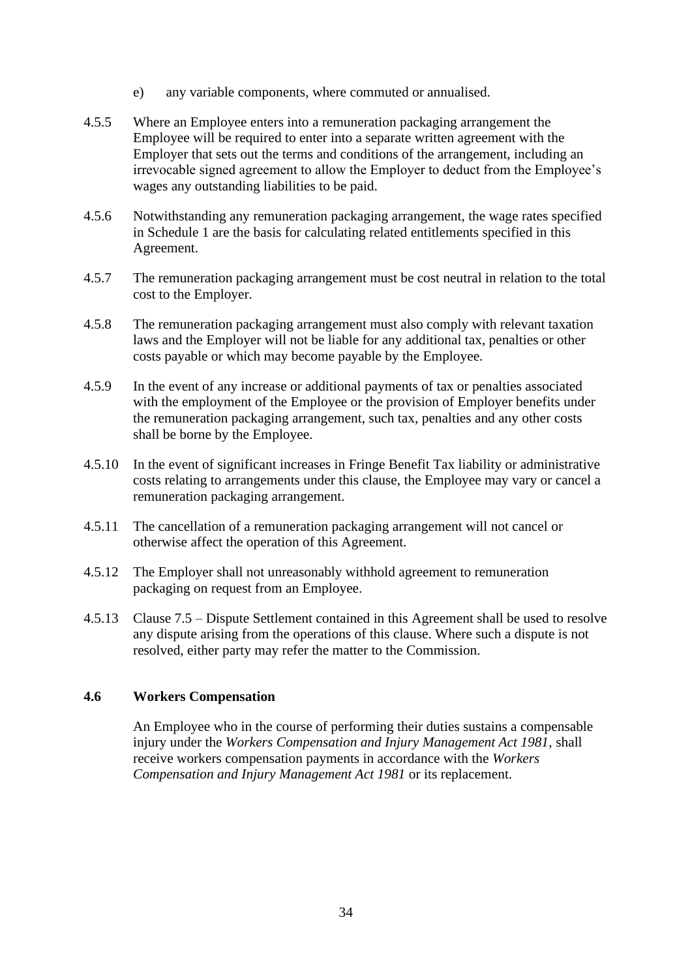- e) any variable components, where commuted or annualised.
- 4.5.5 Where an Employee enters into a remuneration packaging arrangement the Employee will be required to enter into a separate written agreement with the Employer that sets out the terms and conditions of the arrangement, including an irrevocable signed agreement to allow the Employer to deduct from the Employee's wages any outstanding liabilities to be paid.
- 4.5.6 Notwithstanding any remuneration packaging arrangement, the wage rates specified in Schedule 1 are the basis for calculating related entitlements specified in this Agreement.
- 4.5.7 The remuneration packaging arrangement must be cost neutral in relation to the total cost to the Employer.
- 4.5.8 The remuneration packaging arrangement must also comply with relevant taxation laws and the Employer will not be liable for any additional tax, penalties or other costs payable or which may become payable by the Employee.
- 4.5.9 In the event of any increase or additional payments of tax or penalties associated with the employment of the Employee or the provision of Employer benefits under the remuneration packaging arrangement, such tax, penalties and any other costs shall be borne by the Employee.
- 4.5.10 In the event of significant increases in Fringe Benefit Tax liability or administrative costs relating to arrangements under this clause, the Employee may vary or cancel a remuneration packaging arrangement.
- 4.5.11 The cancellation of a remuneration packaging arrangement will not cancel or otherwise affect the operation of this Agreement.
- 4.5.12 The Employer shall not unreasonably withhold agreement to remuneration packaging on request from an Employee.
- 4.5.13 Clause 7.5 Dispute Settlement contained in this Agreement shall be used to resolve any dispute arising from the operations of this clause. Where such a dispute is not resolved, either party may refer the matter to the Commission.

#### <span id="page-35-0"></span>**4.6 Workers Compensation**

An Employee who in the course of performing their duties sustains a compensable injury under the *Workers Compensation and Injury Management Act 1981*, shall receive workers compensation payments in accordance with the *Workers Compensation and Injury Management Act 1981* or its replacement.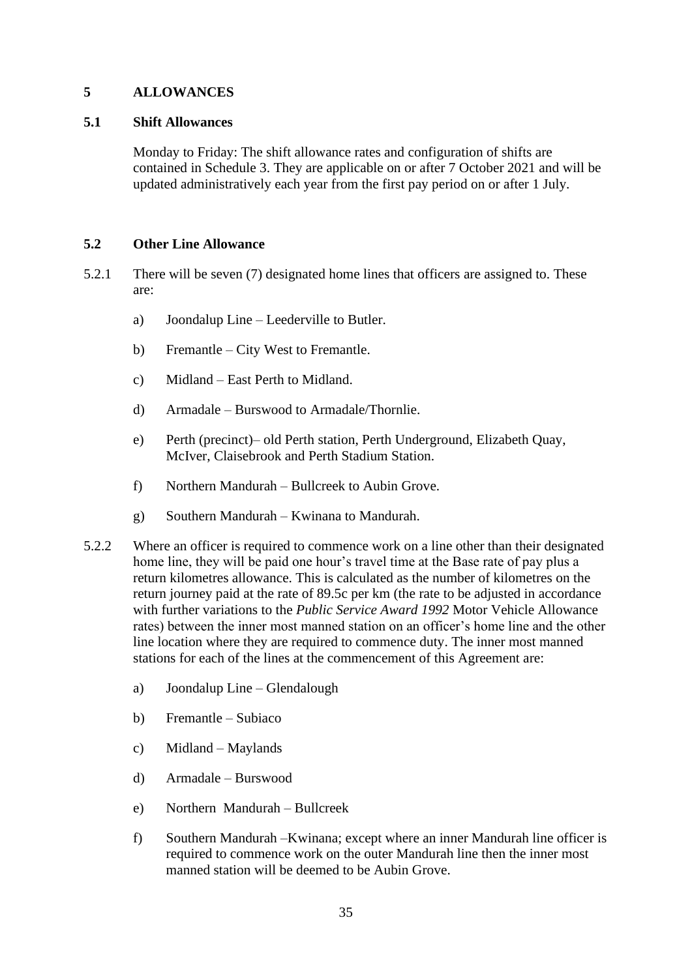### **5 ALLOWANCES**

#### **5.1 Shift Allowances**

Monday to Friday: The shift allowance rates and configuration of shifts are contained in Schedule 3. They are applicable on or after 7 October 2021 and will be updated administratively each year from the first pay period on or after 1 July.

### **5.2 Other Line Allowance**

- <span id="page-36-0"></span>5.2.1 There will be seven (7) designated home lines that officers are assigned to. These are:
	- a) Joondalup Line Leederville to Butler.
	- b) Fremantle City West to Fremantle.
	- c) Midland East Perth to Midland.
	- d) Armadale Burswood to Armadale/Thornlie.
	- e) Perth (precinct)– old Perth station, Perth Underground, Elizabeth Quay, McIver, Claisebrook and Perth Stadium Station.
	- f) Northern Mandurah Bullcreek to Aubin Grove.
	- g) Southern Mandurah Kwinana to Mandurah.
- 5.2.2 Where an officer is required to commence work on a line other than their designated home line, they will be paid one hour's travel time at the Base rate of pay plus a return kilometres allowance. This is calculated as the number of kilometres on the return journey paid at the rate of 89.5c per km (the rate to be adjusted in accordance with further variations to the *Public Service Award 1992* Motor Vehicle Allowance rates) between the inner most manned station on an officer's home line and the other line location where they are required to commence duty. The inner most manned stations for each of the lines at the commencement of this Agreement are:
	- a) Joondalup Line Glendalough
	- b) Fremantle Subiaco
	- c) Midland Maylands
	- d) Armadale Burswood
	- e) Northern Mandurah Bullcreek
	- f) Southern Mandurah –Kwinana; except where an inner Mandurah line officer is required to commence work on the outer Mandurah line then the inner most manned station will be deemed to be Aubin Grove.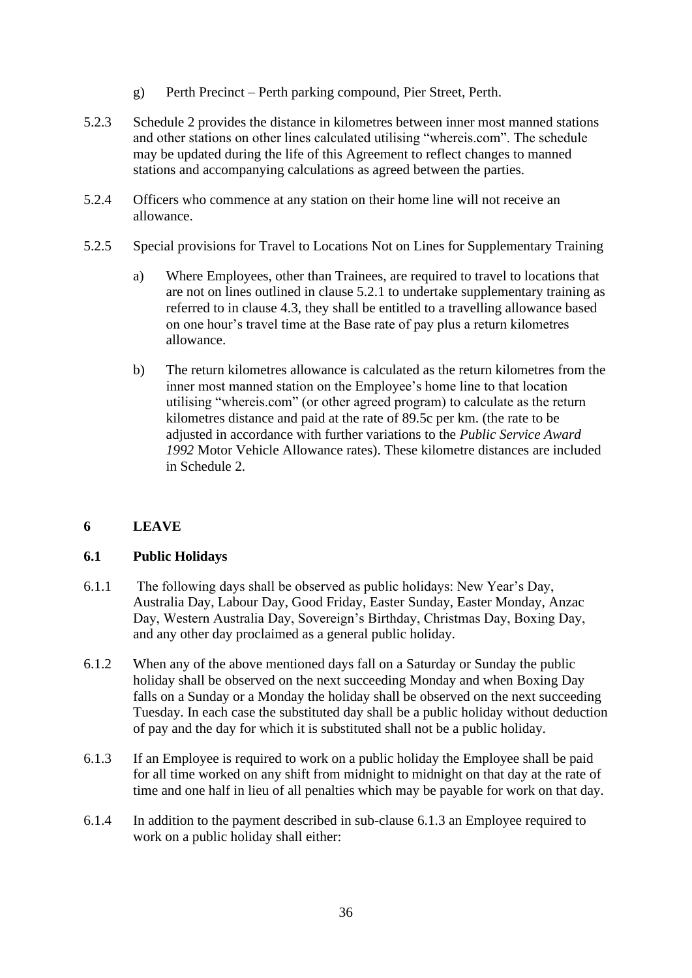- g) Perth Precinct Perth parking compound, Pier Street, Perth.
- 5.2.3 Schedule 2 provides the distance in kilometres between inner most manned stations and other stations on other lines calculated utilising "whereis.com". The schedule may be updated during the life of this Agreement to reflect changes to manned stations and accompanying calculations as agreed between the parties.
- 5.2.4 Officers who commence at any station on their home line will not receive an allowance.
- 5.2.5 Special provisions for Travel to Locations Not on Lines for Supplementary Training
	- a) Where Employees, other than Trainees, are required to travel to locations that are not on lines outlined in clause [5.2.1](#page-36-0) to undertake supplementary training as referred to in clause [4.3,](#page-34-0) they shall be entitled to a travelling allowance based on one hour's travel time at the Base rate of pay plus a return kilometres allowance.
	- b) The return kilometres allowance is calculated as the return kilometres from the inner most manned station on the Employee's home line to that location utilising "whereis.com" (or other agreed program) to calculate as the return kilometres distance and paid at the rate of 89.5c per km. (the rate to be adjusted in accordance with further variations to the *Public Service Award 1992* Motor Vehicle Allowance rates). These kilometre distances are included in Schedule 2.

# **6 LEAVE**

# **6.1 Public Holidays**

- 6.1.1 The following days shall be observed as public holidays: New Year's Day, Australia Day, Labour Day, Good Friday, Easter Sunday, Easter Monday, Anzac Day, Western Australia Day, Sovereign's Birthday, Christmas Day, Boxing Day, and any other day proclaimed as a general public holiday.
- 6.1.2 When any of the above mentioned days fall on a Saturday or Sunday the public holiday shall be observed on the next succeeding Monday and when Boxing Day falls on a Sunday or a Monday the holiday shall be observed on the next succeeding Tuesday. In each case the substituted day shall be a public holiday without deduction of pay and the day for which it is substituted shall not be a public holiday.
- <span id="page-37-0"></span>6.1.3 If an Employee is required to work on a public holiday the Employee shall be paid for all time worked on any shift from midnight to midnight on that day at the rate of time and one half in lieu of all penalties which may be payable for work on that day.
- <span id="page-37-1"></span>6.1.4 In addition to the payment described in sub-clause [6.1.3](#page-37-0) an Employee required to work on a public holiday shall either: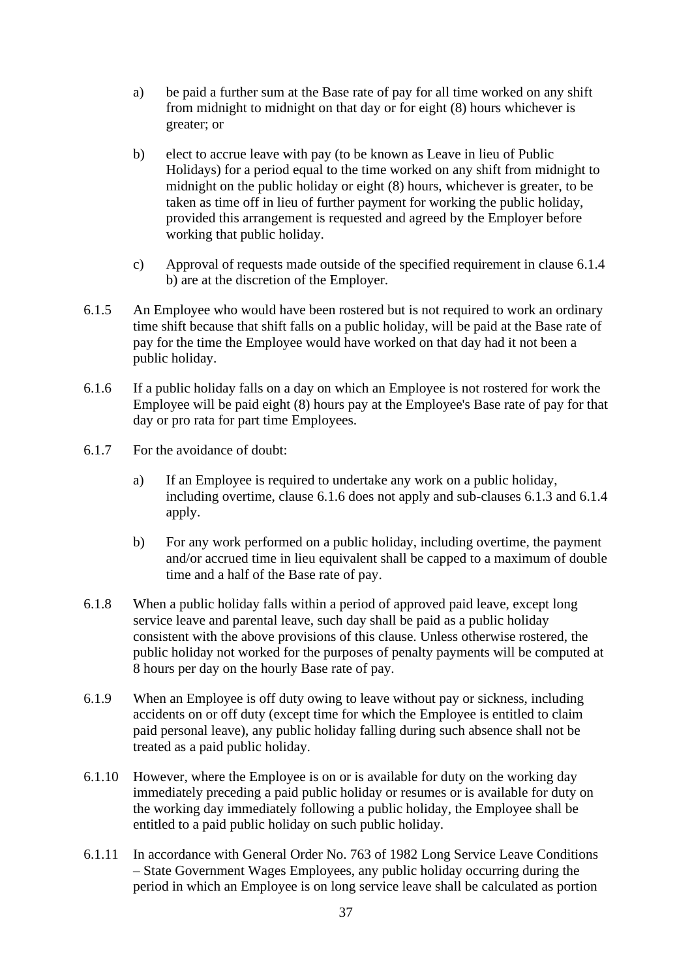- a) be paid a further sum at the Base rate of pay for all time worked on any shift from midnight to midnight on that day or for eight (8) hours whichever is greater; or
- b) elect to accrue leave with pay (to be known as Leave in lieu of Public Holidays) for a period equal to the time worked on any shift from midnight to midnight on the public holiday or eight (8) hours, whichever is greater, to be taken as time off in lieu of further payment for working the public holiday, provided this arrangement is requested and agreed by the Employer before working that public holiday.
- c) Approval of requests made outside of the specified requirement in clause [6.1.4](#page-37-1) b) are at the discretion of the Employer.
- 6.1.5 An Employee who would have been rostered but is not required to work an ordinary time shift because that shift falls on a public holiday, will be paid at the Base rate of pay for the time the Employee would have worked on that day had it not been a public holiday.
- <span id="page-38-0"></span>6.1.6 If a public holiday falls on a day on which an Employee is not rostered for work the Employee will be paid eight (8) hours pay at the Employee's Base rate of pay for that day or pro rata for part time Employees.
- 6.1.7 For the avoidance of doubt:
	- a) If an Employee is required to undertake any work on a public holiday, including overtime, clause [6.1.6](#page-38-0) does not apply and sub-clauses [6.1.3](#page-37-0) and [6.1.4](#page-37-1) apply.
	- b) For any work performed on a public holiday, including overtime, the payment and/or accrued time in lieu equivalent shall be capped to a maximum of double time and a half of the Base rate of pay.
- 6.1.8 When a public holiday falls within a period of approved paid leave, except long service leave and parental leave, such day shall be paid as a public holiday consistent with the above provisions of this clause. Unless otherwise rostered, the public holiday not worked for the purposes of penalty payments will be computed at 8 hours per day on the hourly Base rate of pay.
- 6.1.9 When an Employee is off duty owing to leave without pay or sickness, including accidents on or off duty (except time for which the Employee is entitled to claim paid personal leave), any public holiday falling during such absence shall not be treated as a paid public holiday.
- 6.1.10 However, where the Employee is on or is available for duty on the working day immediately preceding a paid public holiday or resumes or is available for duty on the working day immediately following a public holiday, the Employee shall be entitled to a paid public holiday on such public holiday.
- 6.1.11 In accordance with General Order No. 763 of 1982 Long Service Leave Conditions – State Government Wages Employees, any public holiday occurring during the period in which an Employee is on long service leave shall be calculated as portion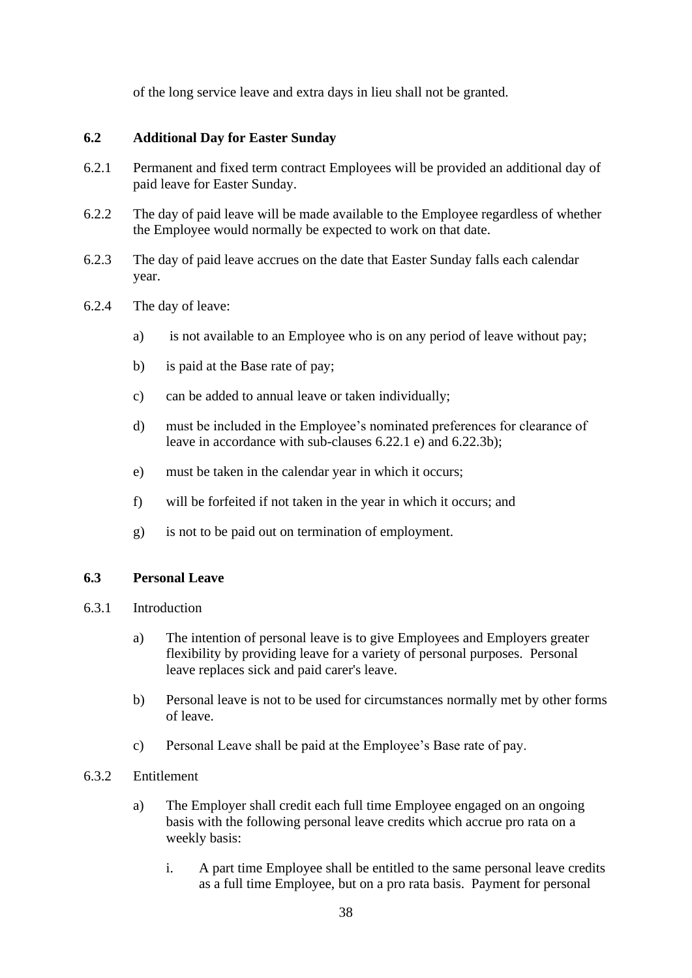of the long service leave and extra days in lieu shall not be granted.

## **6.2 Additional Day for Easter Sunday**

- 6.2.1 Permanent and fixed term contract Employees will be provided an additional day of paid leave for Easter Sunday.
- 6.2.2 The day of paid leave will be made available to the Employee regardless of whether the Employee would normally be expected to work on that date.
- 6.2.3 The day of paid leave accrues on the date that Easter Sunday falls each calendar year.
- 6.2.4 The day of leave:
	- a) is not available to an Employee who is on any period of leave without pay;
	- b) is paid at the Base rate of pay;
	- c) can be added to annual leave or taken individually;
	- d) must be included in the Employee's nominated preferences for clearance of leave in accordance with sub-clauses 6.22.1 e) and [6.22.3b\);](#page-85-0)
	- e) must be taken in the calendar year in which it occurs;
	- f) will be forfeited if not taken in the year in which it occurs; and
	- g) is not to be paid out on termination of employment.

# **6.3 Personal Leave**

- 6.3.1 Introduction
	- a) The intention of personal leave is to give Employees and Employers greater flexibility by providing leave for a variety of personal purposes. Personal leave replaces sick and paid carer's leave.
	- b) Personal leave is not to be used for circumstances normally met by other forms of leave.
	- c) Personal Leave shall be paid at the Employee's Base rate of pay.
- <span id="page-39-0"></span>6.3.2 Entitlement
	- a) The Employer shall credit each full time Employee engaged on an ongoing basis with the following personal leave credits which accrue pro rata on a weekly basis:
		- i. A part time Employee shall be entitled to the same personal leave credits as a full time Employee, but on a pro rata basis. Payment for personal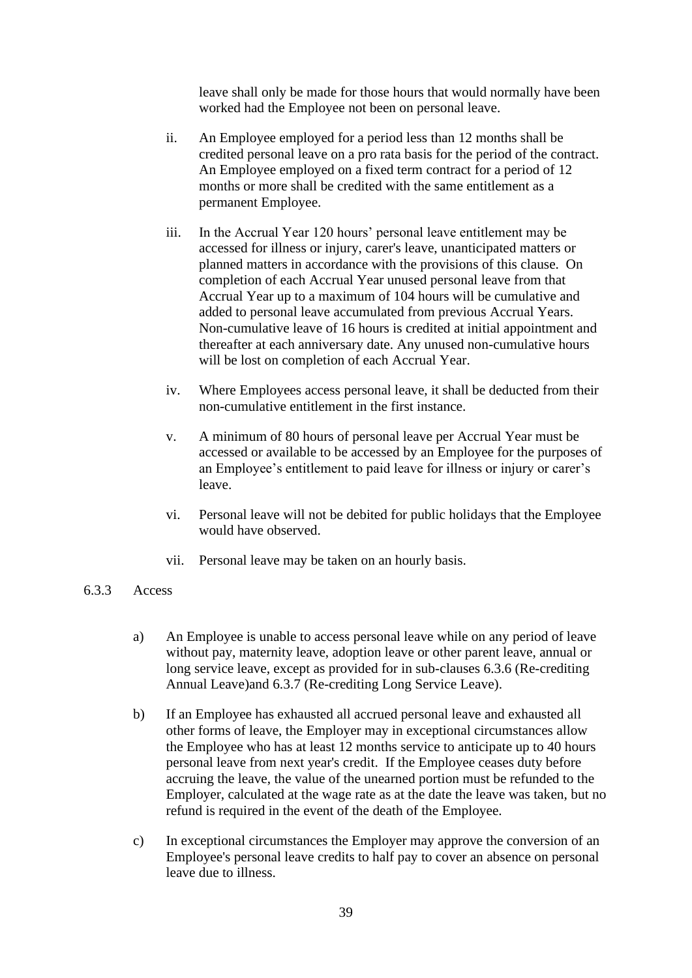leave shall only be made for those hours that would normally have been worked had the Employee not been on personal leave.

- ii. An Employee employed for a period less than 12 months shall be credited personal leave on a pro rata basis for the period of the contract. An Employee employed on a fixed term contract for a period of 12 months or more shall be credited with the same entitlement as a permanent Employee.
- iii. In the Accrual Year 120 hours' personal leave entitlement may be accessed for illness or injury, carer's leave, unanticipated matters or planned matters in accordance with the provisions of this clause. On completion of each Accrual Year unused personal leave from that Accrual Year up to a maximum of 104 hours will be cumulative and added to personal leave accumulated from previous Accrual Years. Non-cumulative leave of 16 hours is credited at initial appointment and thereafter at each anniversary date. Any unused non-cumulative hours will be lost on completion of each Accrual Year.
- iv. Where Employees access personal leave, it shall be deducted from their non-cumulative entitlement in the first instance.
- v. A minimum of 80 hours of personal leave per Accrual Year must be accessed or available to be accessed by an Employee for the purposes of an Employee's entitlement to paid leave for illness or injury or carer's leave.
- vi. Personal leave will not be debited for public holidays that the Employee would have observed.
- vii. Personal leave may be taken on an hourly basis.
- <span id="page-40-0"></span>6.3.3 Access
	- a) An Employee is unable to access personal leave while on any period of leave without pay, maternity leave, adoption leave or other parent leave, annual or long service leave, except as provided for in sub-clauses [6.3.6](#page-43-0) (Re-crediting Annual Leave)and [6.3.7](#page-43-1) (Re-crediting Long Service Leave).
	- b) If an Employee has exhausted all accrued personal leave and exhausted all other forms of leave, the Employer may in exceptional circumstances allow the Employee who has at least 12 months service to anticipate up to 40 hours personal leave from next year's credit. If the Employee ceases duty before accruing the leave, the value of the unearned portion must be refunded to the Employer, calculated at the wage rate as at the date the leave was taken, but no refund is required in the event of the death of the Employee.
	- c) In exceptional circumstances the Employer may approve the conversion of an Employee's personal leave credits to half pay to cover an absence on personal leave due to illness.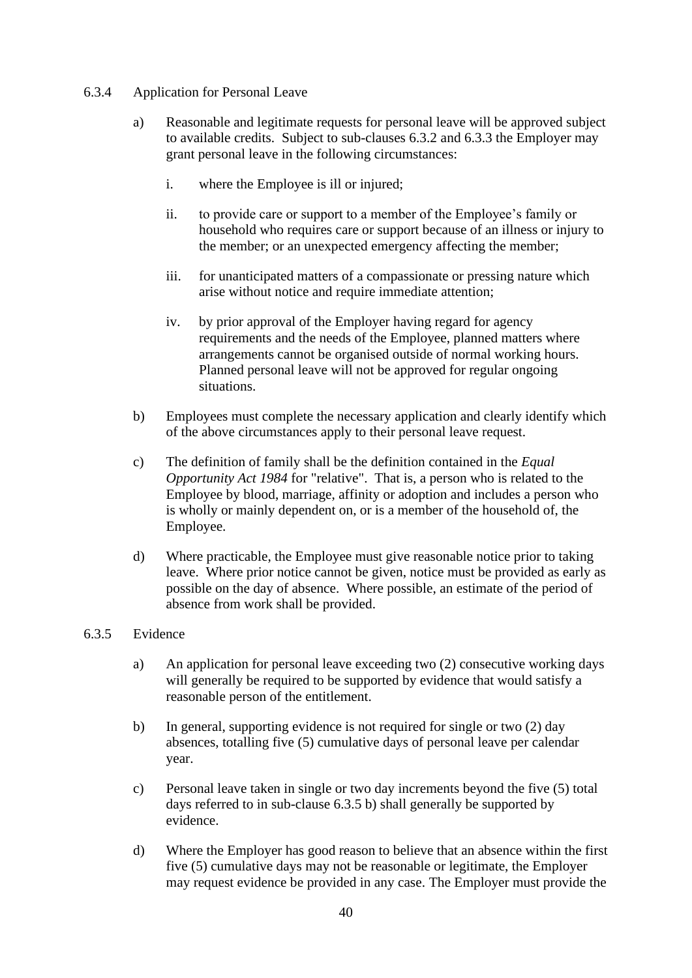### <span id="page-41-2"></span><span id="page-41-1"></span>6.3.4 Application for Personal Leave

- a) Reasonable and legitimate requests for personal leave will be approved subject to available credits. Subject to sub-clauses [6.3.2](#page-39-0) and [6.3.3](#page-40-0) the Employer may grant personal leave in the following circumstances:
	- i. where the Employee is ill or injured;
	- ii. to provide care or support to a member of the Employee's family or household who requires care or support because of an illness or injury to the member; or an unexpected emergency affecting the member;
	- iii. for unanticipated matters of a compassionate or pressing nature which arise without notice and require immediate attention;
	- iv. by prior approval of the Employer having regard for agency requirements and the needs of the Employee, planned matters where arrangements cannot be organised outside of normal working hours. Planned personal leave will not be approved for regular ongoing situations.
- b) Employees must complete the necessary application and clearly identify which of the above circumstances apply to their personal leave request.
- c) The definition of family shall be the definition contained in the *Equal Opportunity Act 1984* for "relative". That is, a person who is related to the Employee by blood, marriage, affinity or adoption and includes a person who is wholly or mainly dependent on, or is a member of the household of, the Employee.
- d) Where practicable, the Employee must give reasonable notice prior to taking leave. Where prior notice cannot be given, notice must be provided as early as possible on the day of absence. Where possible, an estimate of the period of absence from work shall be provided.

### <span id="page-41-0"></span>6.3.5 Evidence

- a) An application for personal leave exceeding two (2) consecutive working days will generally be required to be supported by evidence that would satisfy a reasonable person of the entitlement.
- b) In general, supporting evidence is not required for single or two (2) day absences, totalling five (5) cumulative days of personal leave per calendar year.
- c) Personal leave taken in single or two day increments beyond the five (5) total days referred to in sub-clause [6.3.5](#page-41-0) b) shall generally be supported by evidence.
- d) Where the Employer has good reason to believe that an absence within the first five (5) cumulative days may not be reasonable or legitimate, the Employer may request evidence be provided in any case. The Employer must provide the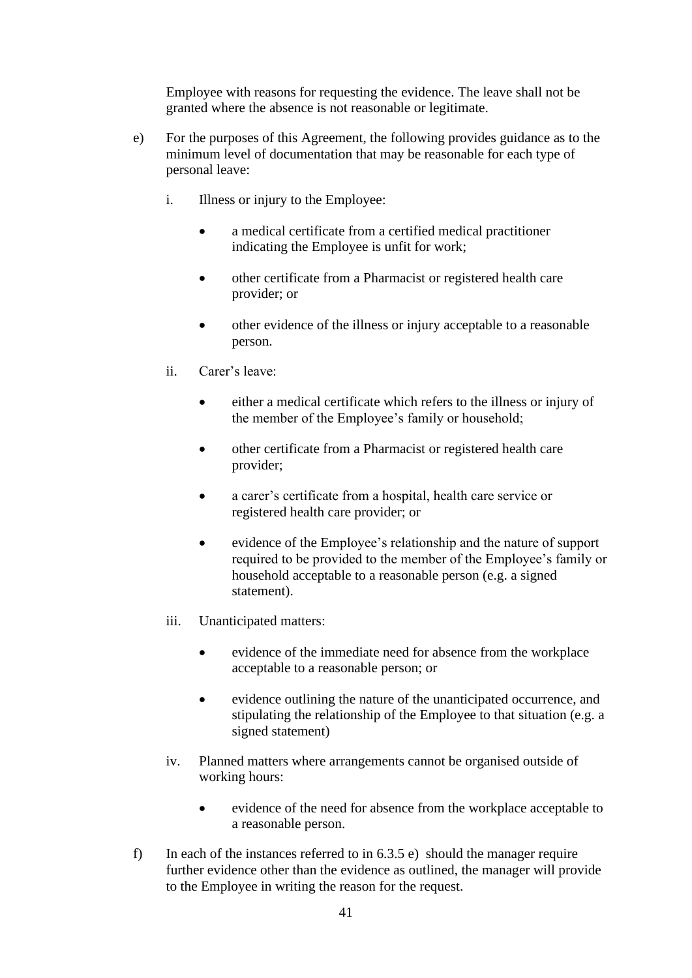Employee with reasons for requesting the evidence. The leave shall not be granted where the absence is not reasonable or legitimate.

- <span id="page-42-0"></span>e) For the purposes of this Agreement, the following provides guidance as to the minimum level of documentation that may be reasonable for each type of personal leave:
	- i. Illness or injury to the Employee:
		- a medical certificate from a certified medical practitioner indicating the Employee is unfit for work;
		- other certificate from a Pharmacist or registered health care provider; or
		- other evidence of the illness or injury acceptable to a reasonable person.
	- ii. Carer's leave:
		- either a medical certificate which refers to the illness or injury of the member of the Employee's family or household;
		- other certificate from a Pharmacist or registered health care provider;
		- a carer's certificate from a hospital, health care service or registered health care provider; or
		- evidence of the Employee's relationship and the nature of support required to be provided to the member of the Employee's family or household acceptable to a reasonable person (e.g. a signed statement).
	- iii. Unanticipated matters:
		- evidence of the immediate need for absence from the workplace acceptable to a reasonable person; or
		- evidence outlining the nature of the unanticipated occurrence, and stipulating the relationship of the Employee to that situation (e.g. a signed statement)
	- iv. Planned matters where arrangements cannot be organised outside of working hours:
		- evidence of the need for absence from the workplace acceptable to a reasonable person.
- f) In each of the instances referred to in [6.3.5](#page-41-0) [e\)](#page-42-0) should the manager require further evidence other than the evidence as outlined, the manager will provide to the Employee in writing the reason for the request.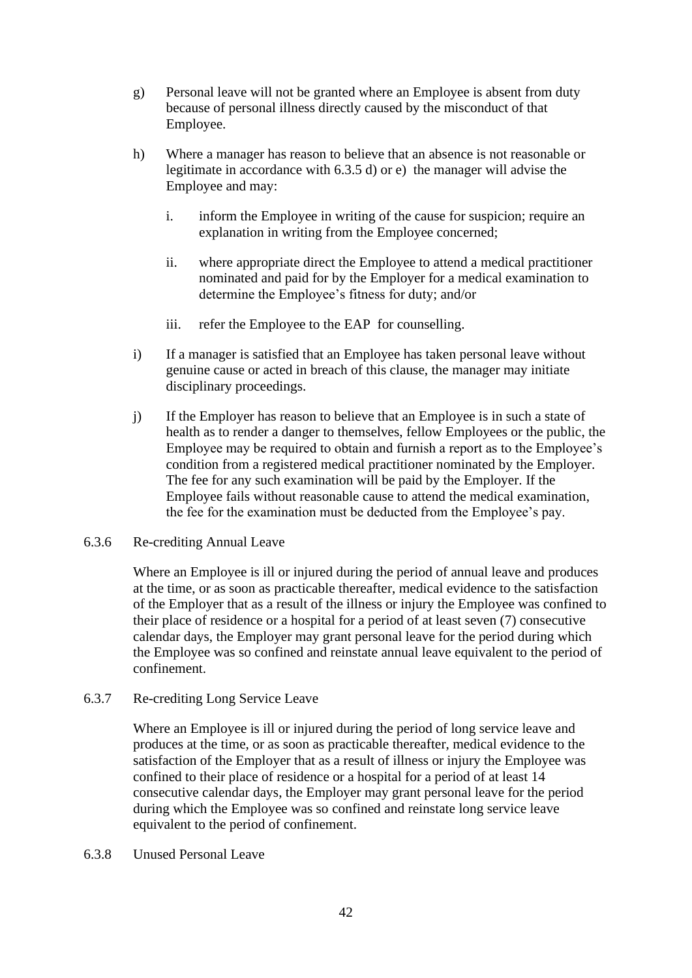- g) Personal leave will not be granted where an Employee is absent from duty because of personal illness directly caused by the misconduct of that Employee.
- h) Where a manager has reason to believe that an absence is not reasonable or legitimate in accordance with [6.3.5](#page-41-0) d) or e) the manager will advise the Employee and may:
	- i. inform the Employee in writing of the cause for suspicion; require an explanation in writing from the Employee concerned;
	- ii. where appropriate direct the Employee to attend a medical practitioner nominated and paid for by the Employer for a medical examination to determine the Employee's fitness for duty; and/or
	- iii. refer the Employee to the EAP for counselling.
- i) If a manager is satisfied that an Employee has taken personal leave without genuine cause or acted in breach of this clause, the manager may initiate disciplinary proceedings.
- j) If the Employer has reason to believe that an Employee is in such a state of health as to render a danger to themselves, fellow Employees or the public, the Employee may be required to obtain and furnish a report as to the Employee's condition from a registered medical practitioner nominated by the Employer. The fee for any such examination will be paid by the Employer. If the Employee fails without reasonable cause to attend the medical examination, the fee for the examination must be deducted from the Employee's pay.

### <span id="page-43-0"></span>6.3.6 Re-crediting Annual Leave

Where an Employee is ill or injured during the period of annual leave and produces at the time, or as soon as practicable thereafter, medical evidence to the satisfaction of the Employer that as a result of the illness or injury the Employee was confined to their place of residence or a hospital for a period of at least seven (7) consecutive calendar days, the Employer may grant personal leave for the period during which the Employee was so confined and reinstate annual leave equivalent to the period of confinement.

### <span id="page-43-1"></span>6.3.7 Re-crediting Long Service Leave

Where an Employee is ill or injured during the period of long service leave and produces at the time, or as soon as practicable thereafter, medical evidence to the satisfaction of the Employer that as a result of illness or injury the Employee was confined to their place of residence or a hospital for a period of at least 14 consecutive calendar days, the Employer may grant personal leave for the period during which the Employee was so confined and reinstate long service leave equivalent to the period of confinement.

6.3.8 Unused Personal Leave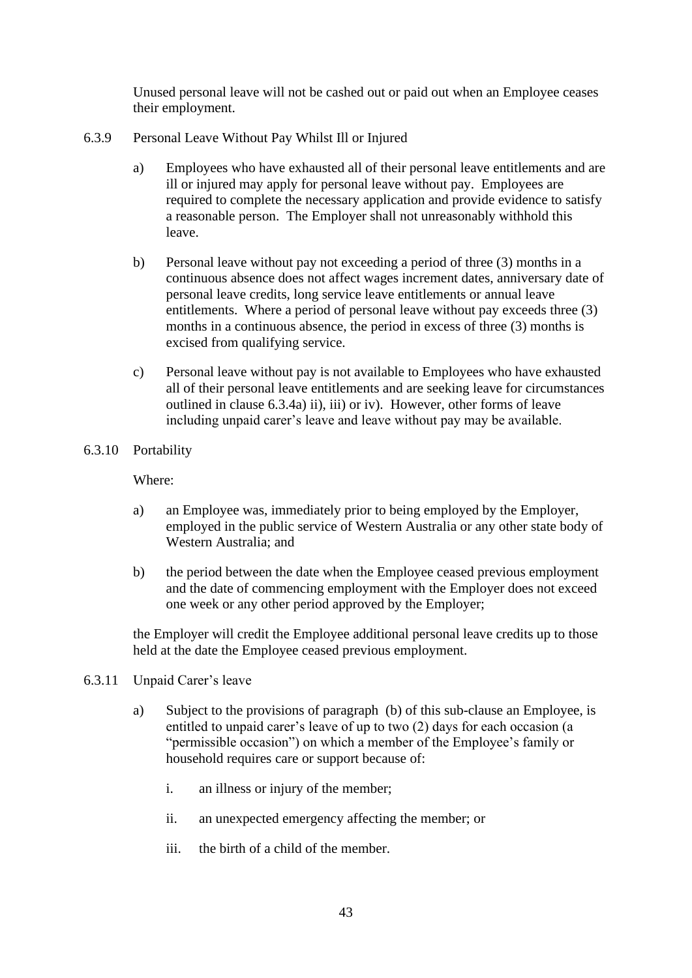Unused personal leave will not be cashed out or paid out when an Employee ceases their employment.

- 6.3.9 Personal Leave Without Pay Whilst Ill or Injured
	- a) Employees who have exhausted all of their personal leave entitlements and are ill or injured may apply for personal leave without pay. Employees are required to complete the necessary application and provide evidence to satisfy a reasonable person. The Employer shall not unreasonably withhold this leave.
	- b) Personal leave without pay not exceeding a period of three (3) months in a continuous absence does not affect wages increment dates, anniversary date of personal leave credits, long service leave entitlements or annual leave entitlements. Where a period of personal leave without pay exceeds three (3) months in a continuous absence, the period in excess of three (3) months is excised from qualifying service.
	- c) Personal leave without pay is not available to Employees who have exhausted all of their personal leave entitlements and are seeking leave for circumstances outlined in clause [6.3.4a\)](#page-41-1) ii), iii) or iv). However, other forms of leave including unpaid carer's leave and leave without pay may be available.
- 6.3.10 Portability

Where:

- a) an Employee was, immediately prior to being employed by the Employer, employed in the public service of Western Australia or any other state body of Western Australia; and
- b) the period between the date when the Employee ceased previous employment and the date of commencing employment with the Employer does not exceed one week or any other period approved by the Employer;

the Employer will credit the Employee additional personal leave credits up to those held at the date the Employee ceased previous employment.

- 6.3.11 Unpaid Carer's leave
	- a) Subject to the provisions of paragraph [\(b\)](#page-45-0) of this sub-clause an Employee, is entitled to unpaid carer's leave of up to two (2) days for each occasion (a "permissible occasion") on which a member of the Employee's family or household requires care or support because of:
		- i. an illness or injury of the member;
		- ii. an unexpected emergency affecting the member; or
		- iii. the birth of a child of the member.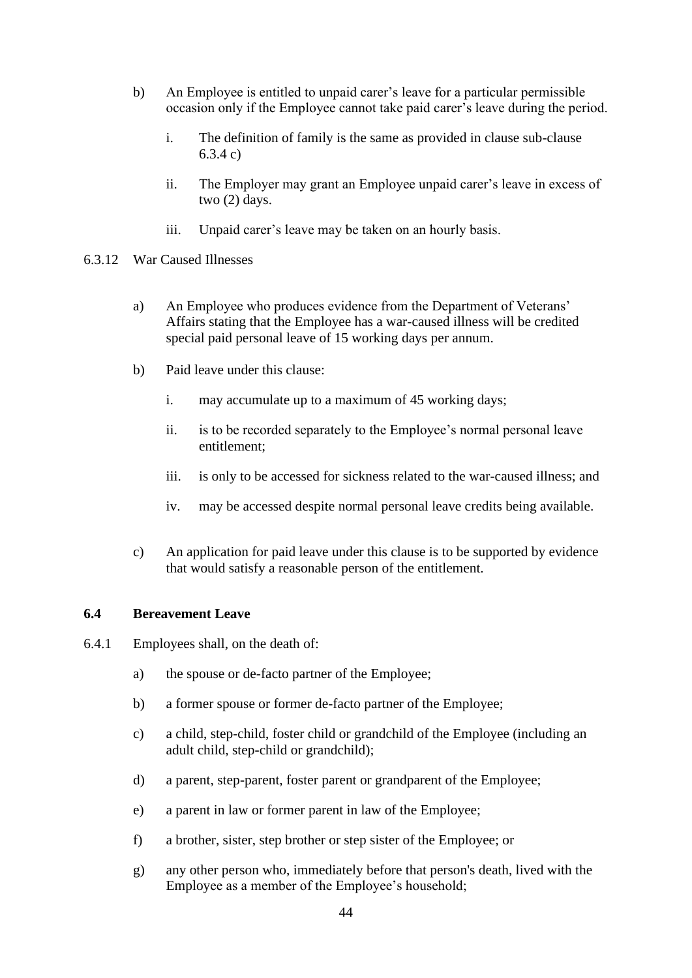- <span id="page-45-0"></span>b) An Employee is entitled to unpaid carer's leave for a particular permissible occasion only if the Employee cannot take paid carer's leave during the period.
	- i. The definition of family is the same as provided in clause sub-clause [6.3.4](#page-41-2) c)
	- ii. The Employer may grant an Employee unpaid carer's leave in excess of two (2) days.
	- iii. Unpaid carer's leave may be taken on an hourly basis.
- 6.3.12 War Caused Illnesses
	- a) An Employee who produces evidence from the Department of Veterans' Affairs stating that the Employee has a war-caused illness will be credited special paid personal leave of 15 working days per annum.
	- b) Paid leave under this clause:
		- i. may accumulate up to a maximum of 45 working days;
		- ii. is to be recorded separately to the Employee's normal personal leave entitlement;
		- iii. is only to be accessed for sickness related to the war-caused illness; and
		- iv. may be accessed despite normal personal leave credits being available.
	- c) An application for paid leave under this clause is to be supported by evidence that would satisfy a reasonable person of the entitlement.

#### **6.4 Bereavement Leave**

- <span id="page-45-1"></span>6.4.1 Employees shall, on the death of:
	- a) the spouse or de-facto partner of the Employee;
	- b) a former spouse or former de-facto partner of the Employee;
	- c) a child, step-child, foster child or grandchild of the Employee (including an adult child, step-child or grandchild);
	- d) a parent, step-parent, foster parent or grandparent of the Employee;
	- e) a parent in law or former parent in law of the Employee;
	- f) a brother, sister, step brother or step sister of the Employee; or
	- g) any other person who, immediately before that person's death, lived with the Employee as a member of the Employee's household;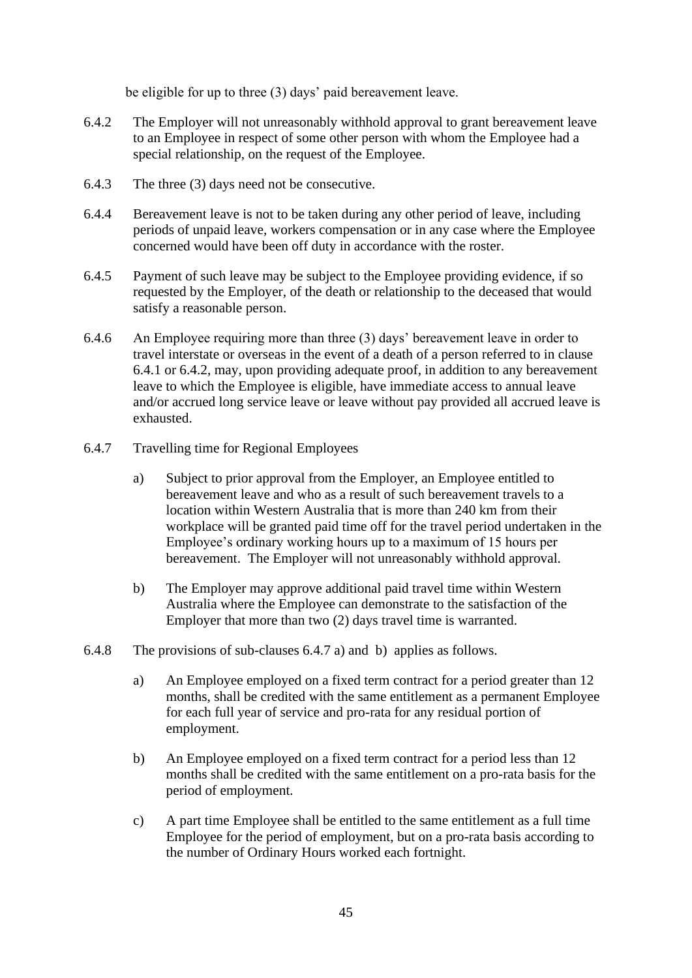be eligible for up to three (3) days' paid bereavement leave.

- <span id="page-46-0"></span>6.4.2 The Employer will not unreasonably withhold approval to grant bereavement leave to an Employee in respect of some other person with whom the Employee had a special relationship, on the request of the Employee.
- 6.4.3 The three (3) days need not be consecutive.
- 6.4.4 Bereavement leave is not to be taken during any other period of leave, including periods of unpaid leave, workers compensation or in any case where the Employee concerned would have been off duty in accordance with the roster.
- 6.4.5 Payment of such leave may be subject to the Employee providing evidence, if so requested by the Employer, of the death or relationship to the deceased that would satisfy a reasonable person.
- 6.4.6 An Employee requiring more than three (3) days' bereavement leave in order to travel interstate or overseas in the event of a death of a person referred to in clause [6.4.1](#page-45-1) or [6.4.2,](#page-46-0) may, upon providing adequate proof, in addition to any bereavement leave to which the Employee is eligible, have immediate access to annual leave and/or accrued long service leave or leave without pay provided all accrued leave is exhausted.
- <span id="page-46-1"></span>6.4.7 Travelling time for Regional Employees
	- a) Subject to prior approval from the Employer, an Employee entitled to bereavement leave and who as a result of such bereavement travels to a location within Western Australia that is more than 240 km from their workplace will be granted paid time off for the travel period undertaken in the Employee's ordinary working hours up to a maximum of 15 hours per bereavement. The Employer will not unreasonably withhold approval.
	- b) The Employer may approve additional paid travel time within Western Australia where the Employee can demonstrate to the satisfaction of the Employer that more than two (2) days travel time is warranted.
- 6.4.8 The provisions of sub-clauses [6.4.7](#page-46-1) a) and b) applies as follows.
	- a) An Employee employed on a fixed term contract for a period greater than 12 months, shall be credited with the same entitlement as a permanent Employee for each full year of service and pro-rata for any residual portion of employment.
	- b) An Employee employed on a fixed term contract for a period less than 12 months shall be credited with the same entitlement on a pro-rata basis for the period of employment.
	- c) A part time Employee shall be entitled to the same entitlement as a full time Employee for the period of employment, but on a pro-rata basis according to the number of Ordinary Hours worked each fortnight.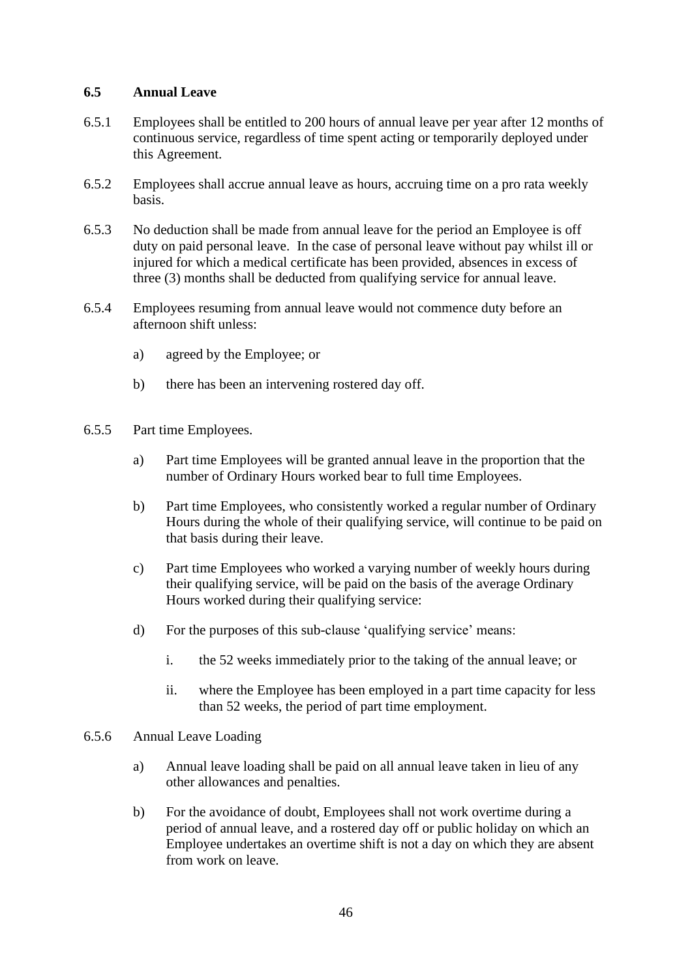### **6.5 Annual Leave**

- 6.5.1 Employees shall be entitled to 200 hours of annual leave per year after 12 months of continuous service, regardless of time spent acting or temporarily deployed under this Agreement.
- 6.5.2 Employees shall accrue annual leave as hours, accruing time on a pro rata weekly basis.
- 6.5.3 No deduction shall be made from annual leave for the period an Employee is off duty on paid personal leave. In the case of personal leave without pay whilst ill or injured for which a medical certificate has been provided, absences in excess of three (3) months shall be deducted from qualifying service for annual leave.
- 6.5.4 Employees resuming from annual leave would not commence duty before an afternoon shift unless:
	- a) agreed by the Employee; or
	- b) there has been an intervening rostered day off.
- 6.5.5 Part time Employees.
	- a) Part time Employees will be granted annual leave in the proportion that the number of Ordinary Hours worked bear to full time Employees.
	- b) Part time Employees, who consistently worked a regular number of Ordinary Hours during the whole of their qualifying service, will continue to be paid on that basis during their leave.
	- c) Part time Employees who worked a varying number of weekly hours during their qualifying service, will be paid on the basis of the average Ordinary Hours worked during their qualifying service:
	- d) For the purposes of this sub-clause 'qualifying service' means:
		- i. the 52 weeks immediately prior to the taking of the annual leave; or
		- ii. where the Employee has been employed in a part time capacity for less than 52 weeks, the period of part time employment.
- 6.5.6 Annual Leave Loading
	- a) Annual leave loading shall be paid on all annual leave taken in lieu of any other allowances and penalties.
	- b) For the avoidance of doubt, Employees shall not work overtime during a period of annual leave, and a rostered day off or public holiday on which an Employee undertakes an overtime shift is not a day on which they are absent from work on leave.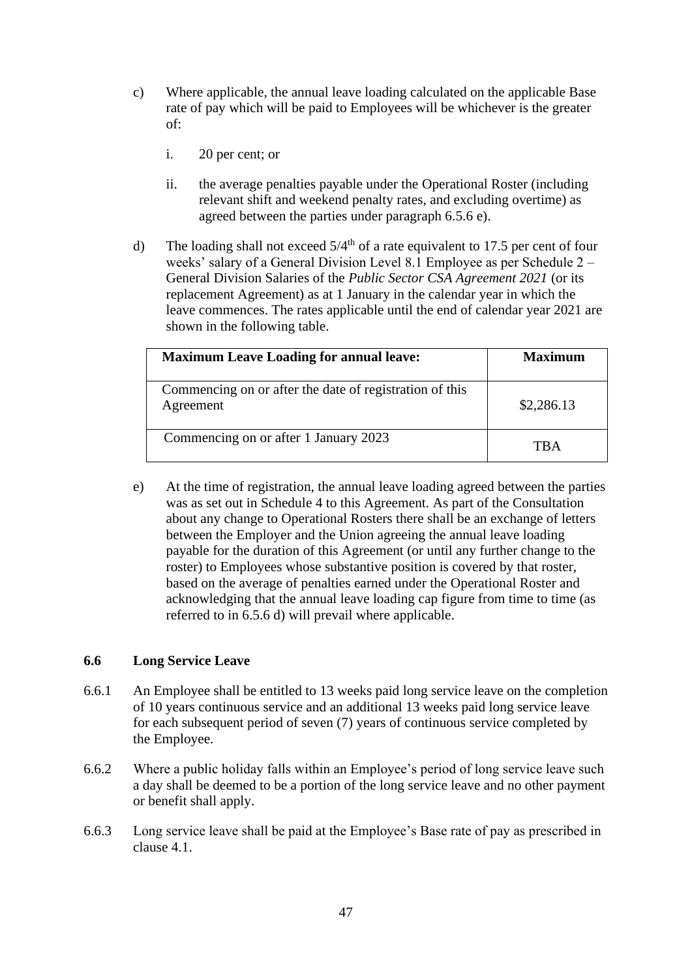- c) Where applicable, the annual leave loading calculated on the applicable Base rate of pay which will be paid to Employees will be whichever is the greater of:
	- i. 20 per cent; or
	- ii. the average penalties payable under the Operational Roster (including relevant shift and weekend penalty rates, and excluding overtime) as agreed between the parties under paragraph 6.5.6 e).
- d) The loading shall not exceed  $5/4<sup>th</sup>$  of a rate equivalent to 17.5 per cent of four weeks' salary of a General Division Level 8.1 Employee as per Schedule 2 – General Division Salaries of the *Public Sector CSA Agreement 2021* (or its replacement Agreement) as at 1 January in the calendar year in which the leave commences. The rates applicable until the end of calendar year 2021 are shown in the following table.

| <b>Maximum Leave Loading for annual leave:</b>                       | Maximum     |
|----------------------------------------------------------------------|-------------|
| Commencing on or after the date of registration of this<br>Agreement | \$2,286.13  |
| Commencing on or after 1 January 2023                                | $\Gamma$ KA |

e) At the time of registration, the annual leave loading agreed between the parties was as set out in Schedule 4 to this Agreement. As part of the Consultation about any change to Operational Rosters there shall be an exchange of letters between the Employer and the Union agreeing the annual leave loading payable for the duration of this Agreement (or until any further change to the roster) to Employees whose substantive position is covered by that roster, based on the average of penalties earned under the Operational Roster and acknowledging that the annual leave loading cap figure from time to time (as referred to in 6.5.6 d) will prevail where applicable.

# **6.6 Long Service Leave**

- 6.6.1 An Employee shall be entitled to 13 weeks paid long service leave on the completion of 10 years continuous service and an additional 13 weeks paid long service leave for each subsequent period of seven (7) years of continuous service completed by the Employee.
- 6.6.2 Where a public holiday falls within an Employee's period of long service leave such a day shall be deemed to be a portion of the long service leave and no other payment or benefit shall apply.
- 6.6.3 Long service leave shall be paid at the Employee's Base rate of pay as prescribed in clause [4.1.](#page-31-0)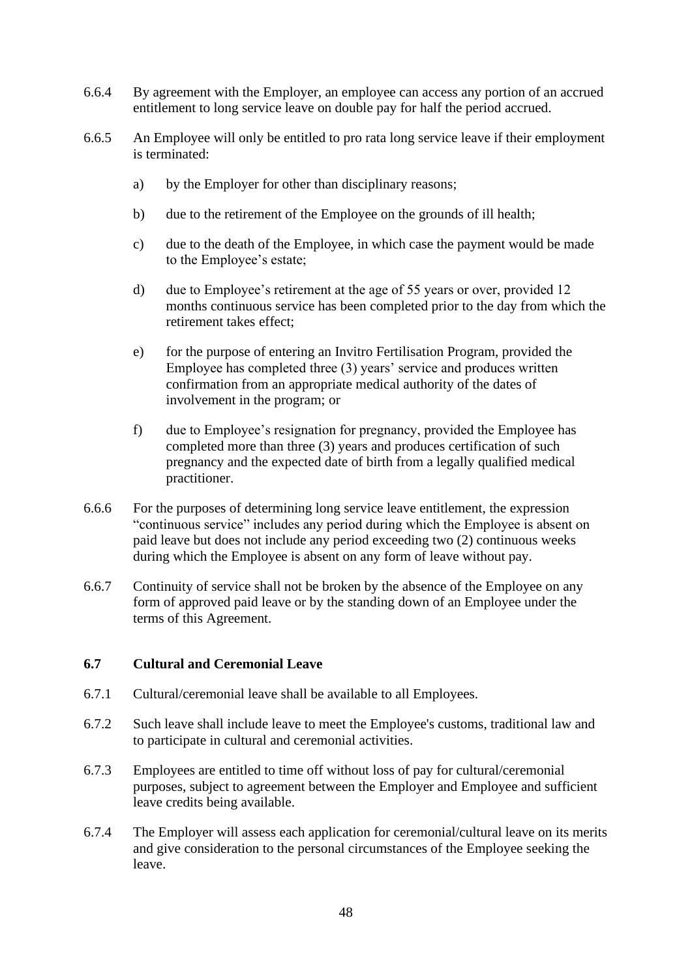- 6.6.4 By agreement with the Employer, an employee can access any portion of an accrued entitlement to long service leave on double pay for half the period accrued.
- 6.6.5 An Employee will only be entitled to pro rata long service leave if their employment is terminated:
	- a) by the Employer for other than disciplinary reasons;
	- b) due to the retirement of the Employee on the grounds of ill health;
	- c) due to the death of the Employee, in which case the payment would be made to the Employee's estate;
	- d) due to Employee's retirement at the age of 55 years or over, provided 12 months continuous service has been completed prior to the day from which the retirement takes effect;
	- e) for the purpose of entering an Invitro Fertilisation Program, provided the Employee has completed three (3) years' service and produces written confirmation from an appropriate medical authority of the dates of involvement in the program; or
	- f) due to Employee's resignation for pregnancy, provided the Employee has completed more than three (3) years and produces certification of such pregnancy and the expected date of birth from a legally qualified medical practitioner.
- 6.6.6 For the purposes of determining long service leave entitlement, the expression "continuous service" includes any period during which the Employee is absent on paid leave but does not include any period exceeding two (2) continuous weeks during which the Employee is absent on any form of leave without pay.
- 6.6.7 Continuity of service shall not be broken by the absence of the Employee on any form of approved paid leave or by the standing down of an Employee under the terms of this Agreement.

### **6.7 Cultural and Ceremonial Leave**

- 6.7.1 Cultural/ceremonial leave shall be available to all Employees.
- 6.7.2 Such leave shall include leave to meet the Employee's customs, traditional law and to participate in cultural and ceremonial activities.
- 6.7.3 Employees are entitled to time off without loss of pay for cultural/ceremonial purposes, subject to agreement between the Employer and Employee and sufficient leave credits being available.
- 6.7.4 The Employer will assess each application for ceremonial/cultural leave on its merits and give consideration to the personal circumstances of the Employee seeking the leave.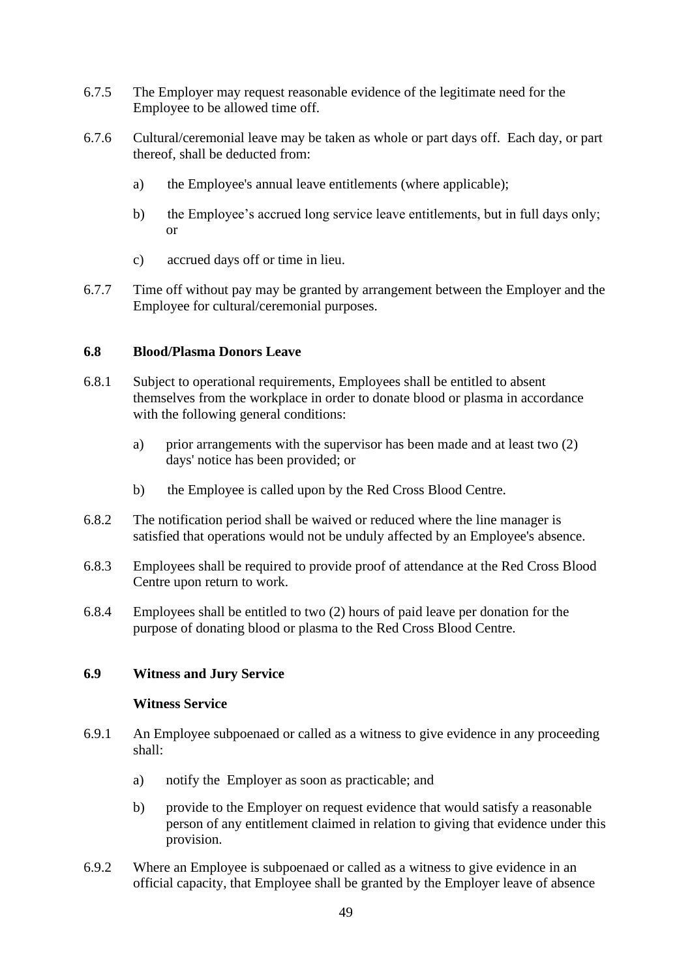- 6.7.5 The Employer may request reasonable evidence of the legitimate need for the Employee to be allowed time off.
- 6.7.6 Cultural/ceremonial leave may be taken as whole or part days off. Each day, or part thereof, shall be deducted from:
	- a) the Employee's annual leave entitlements (where applicable);
	- b) the Employee's accrued long service leave entitlements, but in full days only; or
	- c) accrued days off or time in lieu.
- 6.7.7 Time off without pay may be granted by arrangement between the Employer and the Employee for cultural/ceremonial purposes.

### **6.8 Blood/Plasma Donors Leave**

- 6.8.1 Subject to operational requirements, Employees shall be entitled to absent themselves from the workplace in order to donate blood or plasma in accordance with the following general conditions:
	- a) prior arrangements with the supervisor has been made and at least two (2) days' notice has been provided; or
	- b) the Employee is called upon by the Red Cross Blood Centre.
- 6.8.2 The notification period shall be waived or reduced where the line manager is satisfied that operations would not be unduly affected by an Employee's absence.
- 6.8.3 Employees shall be required to provide proof of attendance at the Red Cross Blood Centre upon return to work.
- 6.8.4 Employees shall be entitled to two (2) hours of paid leave per donation for the purpose of donating blood or plasma to the Red Cross Blood Centre.

# **6.9 Witness and Jury Service**

### **Witness Service**

- <span id="page-50-0"></span>6.9.1 An Employee subpoenaed or called as a witness to give evidence in any proceeding shall:
	- a) notify the Employer as soon as practicable; and
	- b) provide to the Employer on request evidence that would satisfy a reasonable person of any entitlement claimed in relation to giving that evidence under this provision.
- <span id="page-50-1"></span>6.9.2 Where an Employee is subpoenaed or called as a witness to give evidence in an official capacity, that Employee shall be granted by the Employer leave of absence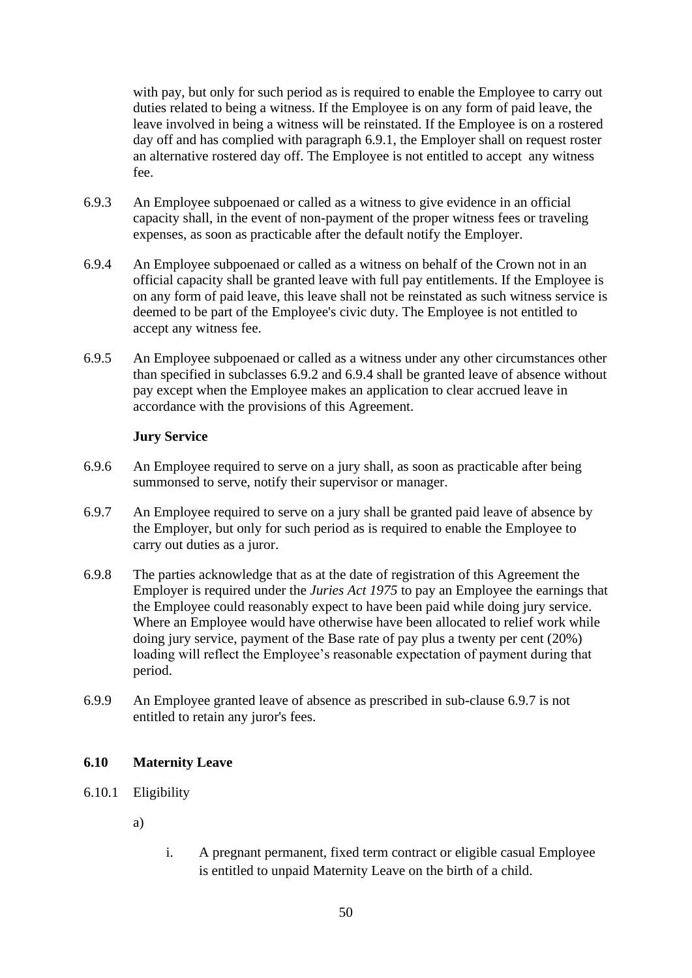with pay, but only for such period as is required to enable the Employee to carry out duties related to being a witness. If the Employee is on any form of paid leave, the leave involved in being a witness will be reinstated. If the Employee is on a rostered day off and has complied with paragraph [6.9.1,](#page-50-0) the Employer shall on request roster an alternative rostered day off. The Employee is not entitled to accept any witness fee.

- 6.9.3 An Employee subpoenaed or called as a witness to give evidence in an official capacity shall, in the event of non-payment of the proper witness fees or traveling expenses, as soon as practicable after the default notify the Employer.
- <span id="page-51-0"></span>6.9.4 An Employee subpoenaed or called as a witness on behalf of the Crown not in an official capacity shall be granted leave with full pay entitlements. If the Employee is on any form of paid leave, this leave shall not be reinstated as such witness service is deemed to be part of the Employee's civic duty. The Employee is not entitled to accept any witness fee.
- 6.9.5 An Employee subpoenaed or called as a witness under any other circumstances other than specified in subclasses [6.9.2](#page-50-1) and [6.9.4](#page-51-0) shall be granted leave of absence without pay except when the Employee makes an application to clear accrued leave in accordance with the provisions of this Agreement.

### **Jury Service**

- 6.9.6 An Employee required to serve on a jury shall, as soon as practicable after being summonsed to serve, notify their supervisor or manager.
- <span id="page-51-1"></span>6.9.7 An Employee required to serve on a jury shall be granted paid leave of absence by the Employer, but only for such period as is required to enable the Employee to carry out duties as a juror.
- 6.9.8 The parties acknowledge that as at the date of registration of this Agreement the Employer is required under the *Juries Act 1975* to pay an Employee the earnings that the Employee could reasonably expect to have been paid while doing jury service. Where an Employee would have otherwise have been allocated to relief work while doing jury service, payment of the Base rate of pay plus a twenty per cent (20%) loading will reflect the Employee's reasonable expectation of payment during that period.
- 6.9.9 An Employee granted leave of absence as prescribed in sub-clause [6.9.7](#page-51-1) is not entitled to retain any juror's fees.

### <span id="page-51-3"></span>**6.10 Maternity Leave**

- <span id="page-51-2"></span>6.10.1 Eligibility
	- a)
- i. A pregnant permanent, fixed term contract or eligible casual Employee is entitled to unpaid Maternity Leave on the birth of a child.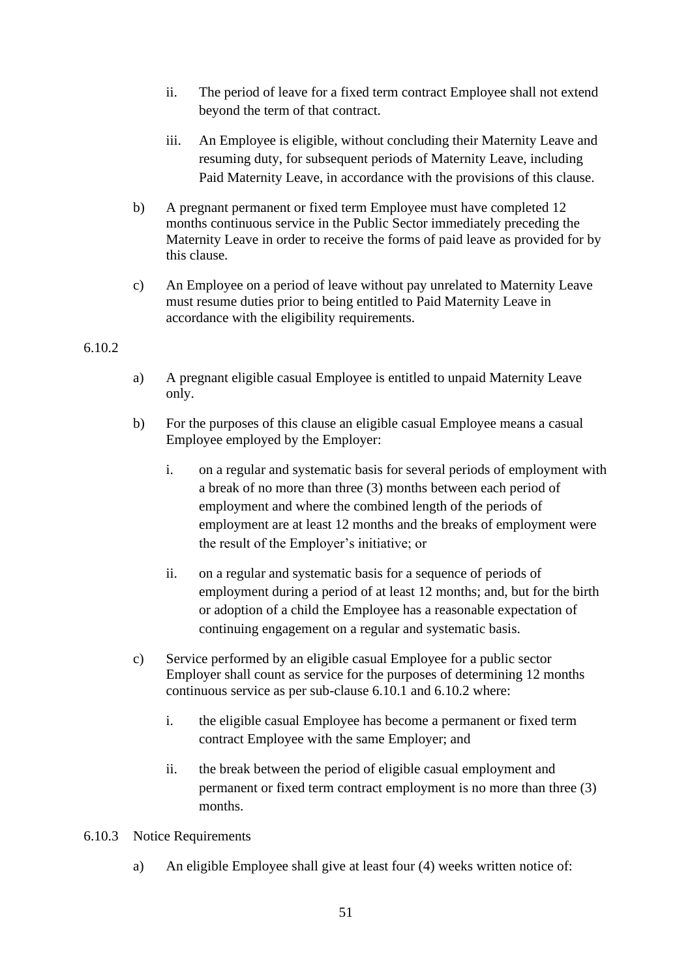- ii. The period of leave for a fixed term contract Employee shall not extend beyond the term of that contract.
- iii. An Employee is eligible, without concluding their Maternity Leave and resuming duty, for subsequent periods of Maternity Leave, including Paid Maternity Leave, in accordance with the provisions of this clause.
- <span id="page-52-2"></span>b) A pregnant permanent or fixed term Employee must have completed 12 months continuous service in the Public Sector immediately preceding the Maternity Leave in order to receive the forms of paid leave as provided for by this clause.
- c) An Employee on a period of leave without pay unrelated to Maternity Leave must resume duties prior to being entitled to Paid Maternity Leave in accordance with the eligibility requirements.

### <span id="page-52-0"></span>6.10.2

- a) A pregnant eligible casual Employee is entitled to unpaid Maternity Leave only.
- <span id="page-52-3"></span>b) For the purposes of this clause an eligible casual Employee means a casual Employee employed by the Employer:
	- i. on a regular and systematic basis for several periods of employment with a break of no more than three (3) months between each period of employment and where the combined length of the periods of employment are at least 12 months and the breaks of employment were the result of the Employer's initiative; or
	- ii. on a regular and systematic basis for a sequence of periods of employment during a period of at least 12 months; and, but for the birth or adoption of a child the Employee has a reasonable expectation of continuing engagement on a regular and systematic basis.
- c) Service performed by an eligible casual Employee for a public sector Employer shall count as service for the purposes of determining 12 months continuous service as per sub-clause [6.10.1](#page-51-2) and [6.10.2](#page-52-0) where:
	- i. the eligible casual Employee has become a permanent or fixed term contract Employee with the same Employer; and
	- ii. the break between the period of eligible casual employment and permanent or fixed term contract employment is no more than three (3) months.
- <span id="page-52-1"></span>6.10.3 Notice Requirements
	- a) An eligible Employee shall give at least four (4) weeks written notice of: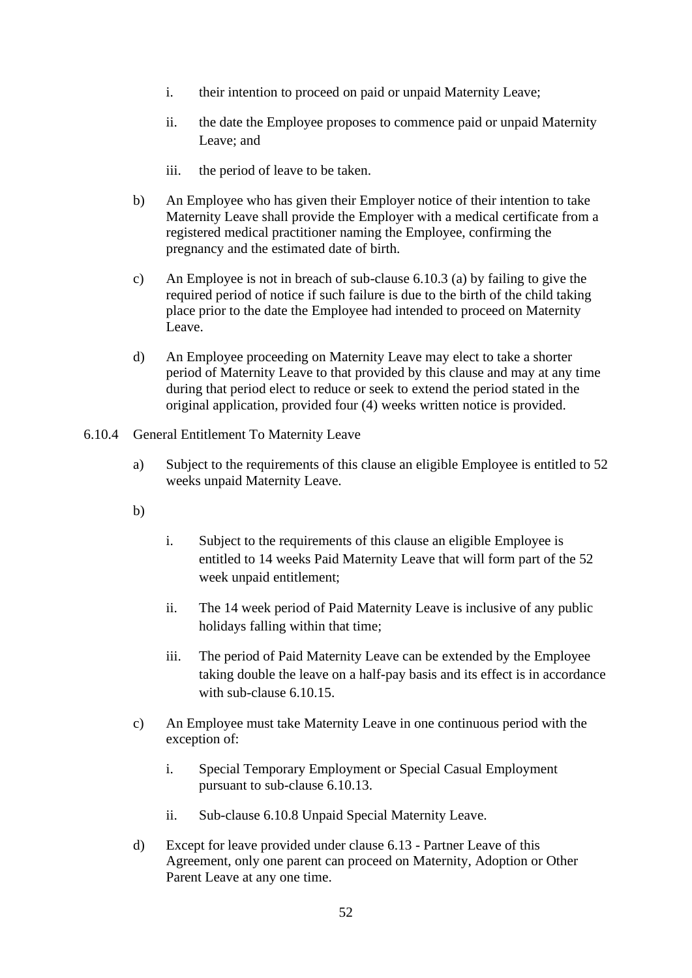- i. their intention to proceed on paid or unpaid Maternity Leave;
- ii. the date the Employee proposes to commence paid or unpaid Maternity Leave; and
- iii. the period of leave to be taken.
- b) An Employee who has given their Employer notice of their intention to take Maternity Leave shall provide the Employer with a medical certificate from a registered medical practitioner naming the Employee, confirming the pregnancy and the estimated date of birth.
- c) An Employee is not in breach of sub-clause [6.10.3](#page-52-1) (a) by failing to give the required period of notice if such failure is due to the birth of the child taking place prior to the date the Employee had intended to proceed on Maternity Leave.
- d) An Employee proceeding on Maternity Leave may elect to take a shorter period of Maternity Leave to that provided by this clause and may at any time during that period elect to reduce or seek to extend the period stated in the original application, provided four (4) weeks written notice is provided.
- <span id="page-53-0"></span>6.10.4 General Entitlement To Maternity Leave
	- a) Subject to the requirements of this clause an eligible Employee is entitled to 52 weeks unpaid Maternity Leave.
	- b)
- i. Subject to the requirements of this clause an eligible Employee is entitled to 14 weeks Paid Maternity Leave that will form part of the 52 week unpaid entitlement;
- ii. The 14 week period of Paid Maternity Leave is inclusive of any public holidays falling within that time;
- iii. The period of Paid Maternity Leave can be extended by the Employee taking double the leave on a half-pay basis and its effect is in accordance with sub-clause 6.10.15.
- c) An Employee must take Maternity Leave in one continuous period with the exception of:
	- i. Special Temporary Employment or Special Casual Employment pursuant to sub-clause 6.10.13.
	- ii. Sub-clause [6.10.8](#page-58-0) Unpaid Special Maternity Leave.
- d) Except for leave provided under clause [6.13](#page-75-0) Partner Leave of this Agreement, only one parent can proceed on Maternity, Adoption or Other Parent Leave at any one time.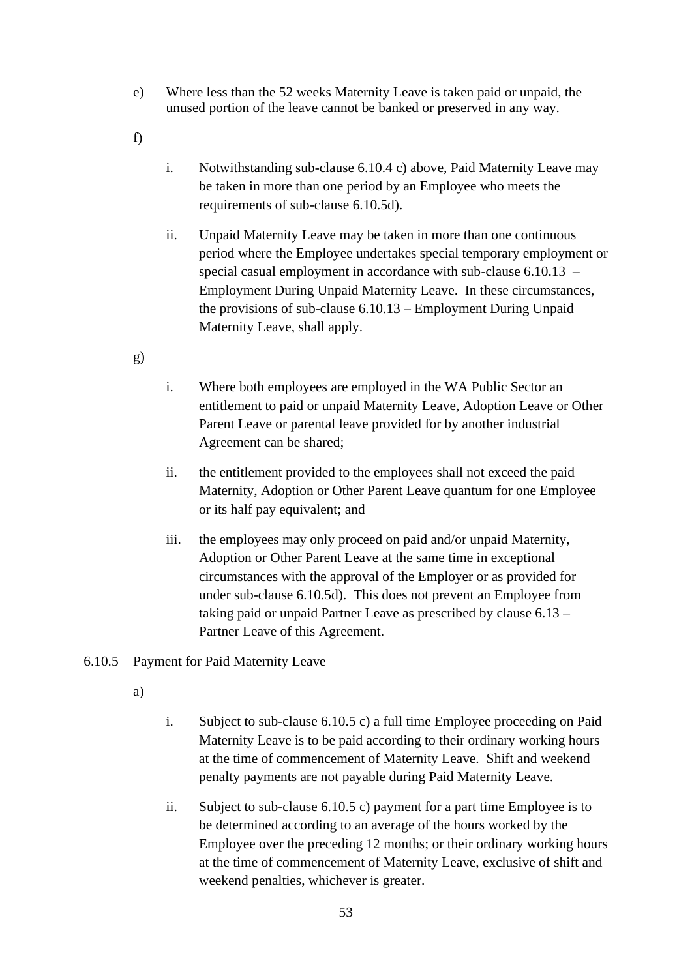- e) Where less than the 52 weeks Maternity Leave is taken paid or unpaid, the unused portion of the leave cannot be banked or preserved in any way.
- f)
- i. Notwithstanding sub-clause [6.10.4](#page-53-0) c) above, Paid Maternity Leave may be taken in more than one period by an Employee who meets the requirements of sub-clause [6.10.5d\).](#page-55-0)
- ii. Unpaid Maternity Leave may be taken in more than one continuous period where the Employee undertakes special temporary employment or special casual employment in accordance with sub-clause [6.10.13](#page-59-0) – Employment During Unpaid Maternity Leave. In these circumstances, the provisions of sub-clause [6.10.13](#page-59-0) – Employment During Unpaid Maternity Leave, shall apply.
- g)
- i. Where both employees are employed in the WA Public Sector an entitlement to paid or unpaid Maternity Leave, Adoption Leave or Other Parent Leave or parental leave provided for by another industrial Agreement can be shared;
- ii. the entitlement provided to the employees shall not exceed the paid Maternity, Adoption or Other Parent Leave quantum for one Employee or its half pay equivalent; and
- iii. the employees may only proceed on paid and/or unpaid Maternity, Adoption or Other Parent Leave at the same time in exceptional circumstances with the approval of the Employer or as provided for under sub-clause [6.10.5d\).](#page-55-0) This does not prevent an Employee from taking paid or unpaid Partner Leave as prescribed by clause [6.13](#page-75-0) – Partner Leave of this Agreement.

# <span id="page-54-0"></span>6.10.5 Payment for Paid Maternity Leave

- a)
- i. Subject to sub-clause [6.10.5](#page-54-0) c) a full time Employee proceeding on Paid Maternity Leave is to be paid according to their ordinary working hours at the time of commencement of Maternity Leave. Shift and weekend penalty payments are not payable during Paid Maternity Leave.
- ii. Subject to sub-clause [6.10.5](#page-54-0) c) payment for a part time Employee is to be determined according to an average of the hours worked by the Employee over the preceding 12 months; or their ordinary working hours at the time of commencement of Maternity Leave, exclusive of shift and weekend penalties, whichever is greater.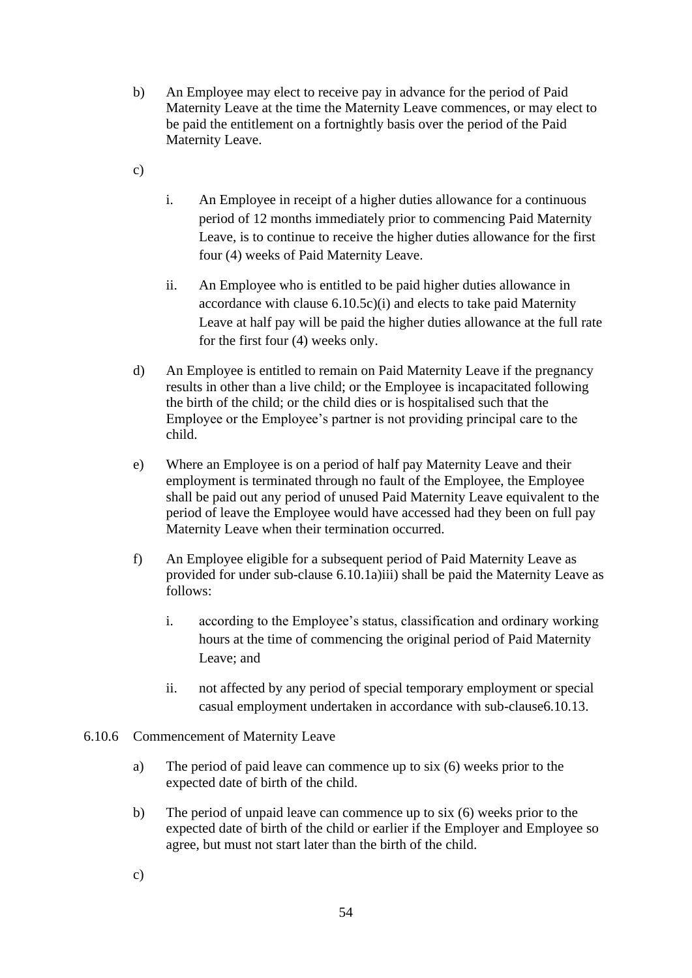- b) An Employee may elect to receive pay in advance for the period of Paid Maternity Leave at the time the Maternity Leave commences, or may elect to be paid the entitlement on a fortnightly basis over the period of the Paid Maternity Leave.
- <span id="page-55-1"></span>c)
- i. An Employee in receipt of a higher duties allowance for a continuous period of 12 months immediately prior to commencing Paid Maternity Leave, is to continue to receive the higher duties allowance for the first four (4) weeks of Paid Maternity Leave.
- ii. An Employee who is entitled to be paid higher duties allowance in accordance with clause [6.10.5](#page-54-0)[c\)\(](#page-55-1)i) and elects to take paid Maternity Leave at half pay will be paid the higher duties allowance at the full rate for the first four (4) weeks only.
- <span id="page-55-0"></span>d) An Employee is entitled to remain on Paid Maternity Leave if the pregnancy results in other than a live child; or the Employee is incapacitated following the birth of the child; or the child dies or is hospitalised such that the Employee or the Employee's partner is not providing principal care to the child.
- e) Where an Employee is on a period of half pay Maternity Leave and their employment is terminated through no fault of the Employee, the Employee shall be paid out any period of unused Paid Maternity Leave equivalent to the period of leave the Employee would have accessed had they been on full pay Maternity Leave when their termination occurred.
- f) An Employee eligible for a subsequent period of Paid Maternity Leave as provided for under sub-clause [6.10.1a\)iii\)](#page-52-2) shall be paid the Maternity Leave as follows:
	- i. according to the Employee's status, classification and ordinary working hours at the time of commencing the original period of Paid Maternity Leave; and
	- ii. not affected by any period of special temporary employment or special casual employment undertaken in accordance with sub-clause6.10.13.
- 6.10.6 Commencement of Maternity Leave
	- a) The period of paid leave can commence up to six (6) weeks prior to the expected date of birth of the child.
	- b) The period of unpaid leave can commence up to six (6) weeks prior to the expected date of birth of the child or earlier if the Employer and Employee so agree, but must not start later than the birth of the child.
	- c)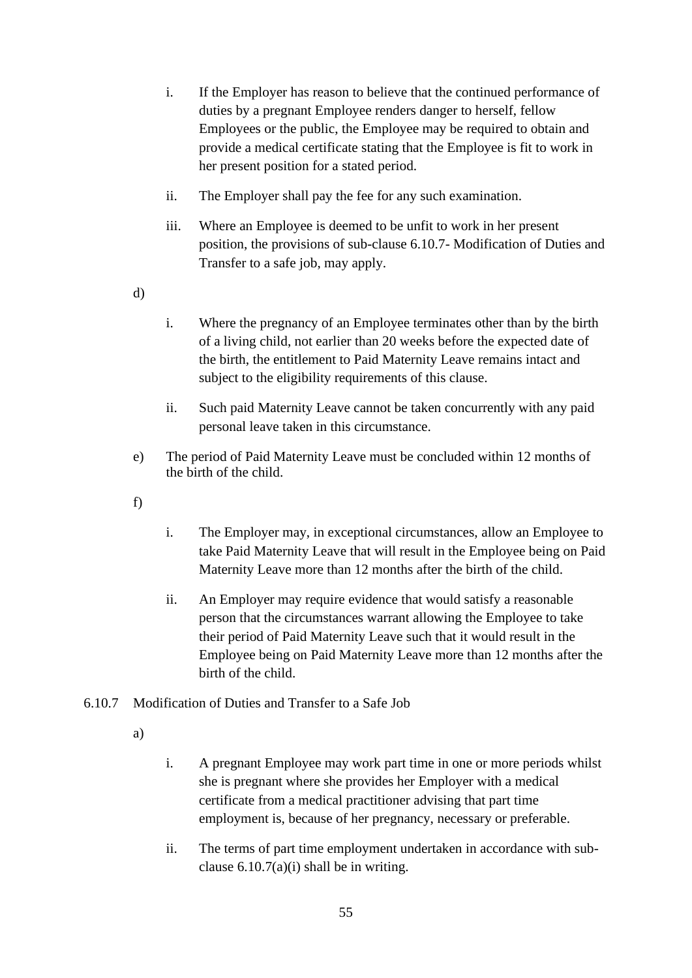- i. If the Employer has reason to believe that the continued performance of duties by a pregnant Employee renders danger to herself, fellow Employees or the public, the Employee may be required to obtain and provide a medical certificate stating that the Employee is fit to work in her present position for a stated period.
- ii. The Employer shall pay the fee for any such examination.
- iii. Where an Employee is deemed to be unfit to work in her present position, the provisions of sub-clause [6.10.7-](#page-56-0) Modification of Duties and Transfer to a safe job, may apply.
- d)
- i. Where the pregnancy of an Employee terminates other than by the birth of a living child, not earlier than 20 weeks before the expected date of the birth, the entitlement to Paid Maternity Leave remains intact and subject to the eligibility requirements of this clause.
- ii. Such paid Maternity Leave cannot be taken concurrently with any paid personal leave taken in this circumstance.
- <span id="page-56-2"></span>e) The period of Paid Maternity Leave must be concluded within 12 months of the birth of the child.
- f)
- i. The Employer may, in exceptional circumstances, allow an Employee to take Paid Maternity Leave that will result in the Employee being on Paid Maternity Leave more than 12 months after the birth of the child.
- ii. An Employer may require evidence that would satisfy a reasonable person that the circumstances warrant allowing the Employee to take their period of Paid Maternity Leave such that it would result in the Employee being on Paid Maternity Leave more than 12 months after the birth of the child.
- <span id="page-56-1"></span><span id="page-56-0"></span>6.10.7 Modification of Duties and Transfer to a Safe Job
	- a)
- i. A pregnant Employee may work part time in one or more periods whilst she is pregnant where she provides her Employer with a medical certificate from a medical practitioner advising that part time employment is, because of her pregnancy, necessary or preferable.
- ii. The terms of part time employment undertaken in accordance with subclause  $6.10.7(a)(i)$  shall be in writing.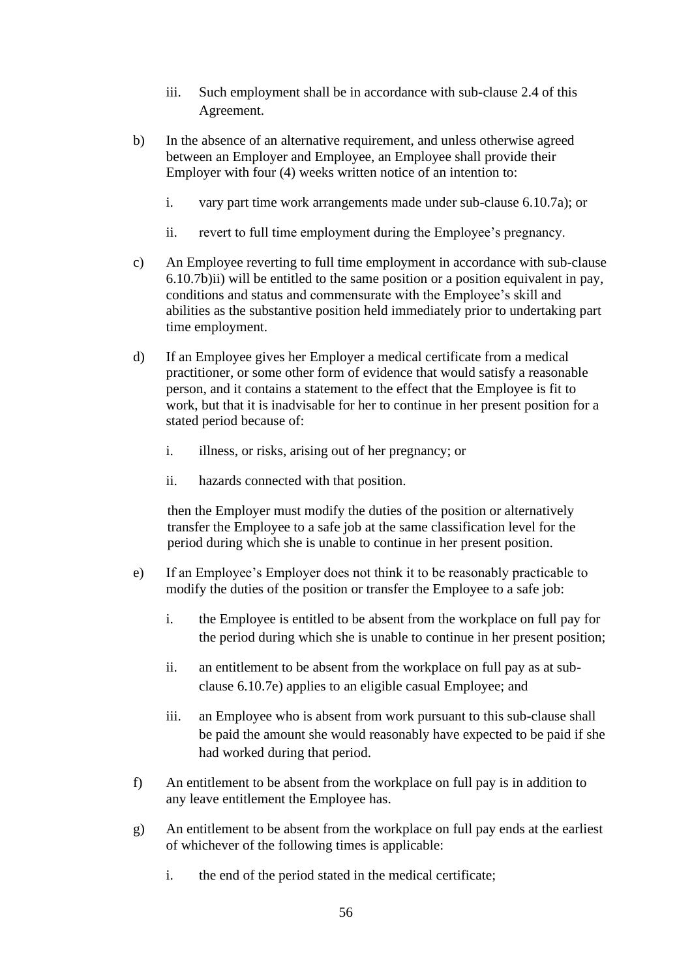- iii. Such employment shall be in accordance with sub-clause [2.4](#page-10-0) of this Agreement.
- b) In the absence of an alternative requirement, and unless otherwise agreed between an Employer and Employee, an Employee shall provide their Employer with four (4) weeks written notice of an intention to:
	- i. vary part time work arrangements made under sub-clause [6.10.7](#page-56-0)[a\);](#page-56-1) or
	- ii. revert to full time employment during the Employee's pregnancy.
- <span id="page-57-0"></span>c) An Employee reverting to full time employment in accordance with sub-clause [6.10.7](#page-56-0)[b\)ii\)](#page-57-0) will be entitled to the same position or a position equivalent in pay, conditions and status and commensurate with the Employee's skill and abilities as the substantive position held immediately prior to undertaking part time employment.
- d) If an Employee gives her Employer a medical certificate from a medical practitioner, or some other form of evidence that would satisfy a reasonable person, and it contains a statement to the effect that the Employee is fit to work, but that it is inadvisable for her to continue in her present position for a stated period because of:
	- i. illness, or risks, arising out of her pregnancy; or
	- ii. hazards connected with that position.

then the Employer must modify the duties of the position or alternatively transfer the Employee to a safe job at the same classification level for the period during which she is unable to continue in her present position.

- <span id="page-57-1"></span>e) If an Employee's Employer does not think it to be reasonably practicable to modify the duties of the position or transfer the Employee to a safe job:
	- i. the Employee is entitled to be absent from the workplace on full pay for the period during which she is unable to continue in her present position;
	- ii. an entitlement to be absent from the workplace on full pay as at subclause [6.10.7](#page-56-0)[e\)](#page-57-1) applies to an eligible casual Employee; and
	- iii. an Employee who is absent from work pursuant to this sub-clause shall be paid the amount she would reasonably have expected to be paid if she had worked during that period.
- f) An entitlement to be absent from the workplace on full pay is in addition to any leave entitlement the Employee has.
- g) An entitlement to be absent from the workplace on full pay ends at the earliest of whichever of the following times is applicable:
	- i. the end of the period stated in the medical certificate;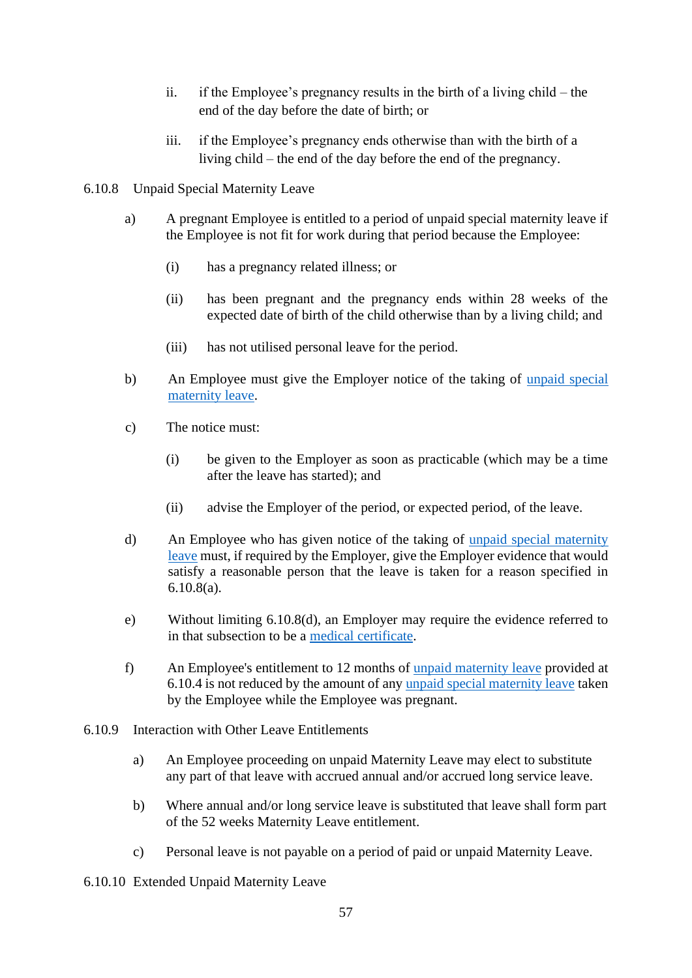- ii. if the Employee's pregnancy results in the birth of a living child the end of the day before the date of birth; or
- iii. if the Employee's pregnancy ends otherwise than with the birth of a living child – the end of the day before the end of the pregnancy.
- <span id="page-58-0"></span>6.10.8 Unpaid Special Maternity Leave
	- a) A pregnant Employee is entitled to a period of unpaid special maternity leave if the Employee is not fit for work during that period because the Employee:
		- (i) has a pregnancy related illness; or
		- (ii) has been pregnant and the pregnancy ends within 28 weeks of the expected date of birth of the child otherwise than by a living child; and
		- (iii) has not utilised personal leave for the period.
	- b) An Employee must give the Employer notice of the taking of [unpaid special](http://www.austlii.edu.au/au/legis/cth/num_act/fwa2009114/s12.html#unpaid_special_maternity_leave)  [maternity leave.](http://www.austlii.edu.au/au/legis/cth/num_act/fwa2009114/s12.html#unpaid_special_maternity_leave)
	- c) The notice must:
		- (i) be given to the Employer as soon as practicable (which may be a time after the leave has started); and
		- (ii) advise the Employer of the period, or expected period, of the leave.
	- d) An Employee who has given notice of the taking of [unpaid special maternity](http://www.austlii.edu.au/au/legis/cth/num_act/fwa2009114/s12.html#unpaid_special_maternity_leave)  [leave](http://www.austlii.edu.au/au/legis/cth/num_act/fwa2009114/s12.html#unpaid_special_maternity_leave) must, if required by the Employer, give the Employer evidence that would satisfy a reasonable person that the leave is taken for a reason specified in [6.10.8\(](#page-58-0)a).
	- e) Without limiting [6.10.8\(](#page-58-0)d), an Employer may require the evidence referred to in that subsection to be a [medical certificate.](http://www.austlii.edu.au/au/legis/cth/num_act/fwa2009114/s12.html#medical_certificate)
	- f) An Employee's entitlement to 12 months of [unpaid maternity leave](http://www.austlii.edu.au/au/legis/cth/num_act/fwa2009114/s12.html#unpaid_parental_leave) provided at [6.10.4](#page-53-0) is not reduced by the amount of any [unpaid special maternity leave](http://www.austlii.edu.au/au/legis/cth/num_act/fwa2009114/s12.html#unpaid_special_maternity_leave) taken by the Employee while the Employee was pregnant.
- 6.10.9 Interaction with Other Leave Entitlements
	- a) An Employee proceeding on unpaid Maternity Leave may elect to substitute any part of that leave with accrued annual and/or accrued long service leave.
	- b) Where annual and/or long service leave is substituted that leave shall form part of the 52 weeks Maternity Leave entitlement.
	- c) Personal leave is not payable on a period of paid or unpaid Maternity Leave.
- <span id="page-58-1"></span>6.10.10 Extended Unpaid Maternity Leave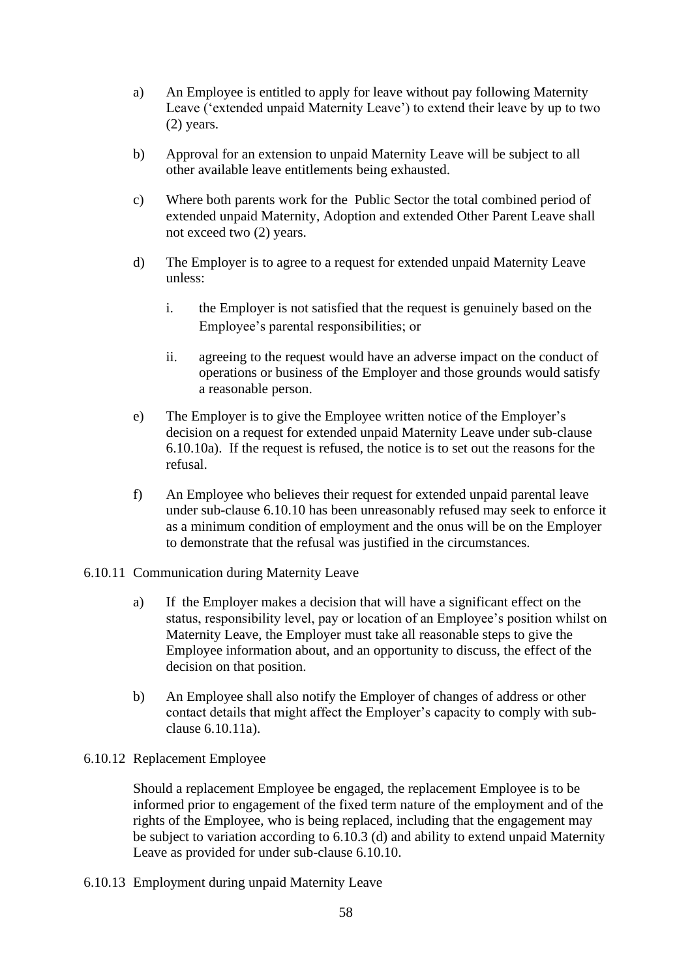- <span id="page-59-1"></span>a) An Employee is entitled to apply for leave without pay following Maternity Leave ('extended unpaid Maternity Leave') to extend their leave by up to two (2) years.
- b) Approval for an extension to unpaid Maternity Leave will be subject to all other available leave entitlements being exhausted.
- c) Where both parents work for the Public Sector the total combined period of extended unpaid Maternity, Adoption and extended Other Parent Leave shall not exceed two (2) years.
- d) The Employer is to agree to a request for extended unpaid Maternity Leave unless:
	- i. the Employer is not satisfied that the request is genuinely based on the Employee's parental responsibilities; or
	- ii. agreeing to the request would have an adverse impact on the conduct of operations or business of the Employer and those grounds would satisfy a reasonable person.
- e) The Employer is to give the Employee written notice of the Employer's decision on a request for extended unpaid Maternity Leave under sub-clause [6.10.10](#page-58-1)[a\).](#page-59-1) If the request is refused, the notice is to set out the reasons for the refusal.
- f) An Employee who believes their request for extended unpaid parental leave under sub-clause [6.10.10](#page-58-1) has been unreasonably refused may seek to enforce it as a minimum condition of employment and the onus will be on the Employer to demonstrate that the refusal was justified in the circumstances.
- <span id="page-59-3"></span><span id="page-59-2"></span>6.10.11 Communication during Maternity Leave
	- a) If the Employer makes a decision that will have a significant effect on the status, responsibility level, pay or location of an Employee's position whilst on Maternity Leave, the Employer must take all reasonable steps to give the Employee information about, and an opportunity to discuss, the effect of the decision on that position.
	- b) An Employee shall also notify the Employer of changes of address or other contact details that might affect the Employer's capacity to comply with subclause [6.10.11](#page-59-2)[a\).](#page-59-3)

### <span id="page-59-4"></span>6.10.12 Replacement Employee

Should a replacement Employee be engaged, the replacement Employee is to be informed prior to engagement of the fixed term nature of the employment and of the rights of the Employee, who is being replaced, including that the engagement may be subject to variation according to [6.10.3](#page-52-1) (d) and ability to extend unpaid Maternity Leave as provided for under sub-clause [6.10.10.](#page-58-1)

<span id="page-59-0"></span>6.10.13 Employment during unpaid Maternity Leave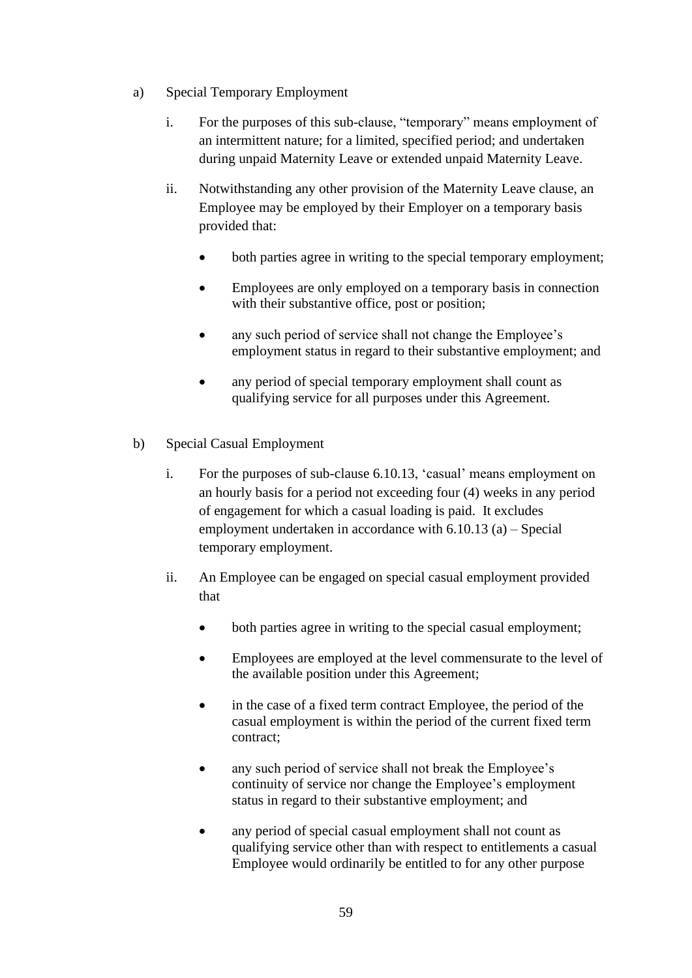- a) Special Temporary Employment
	- i. For the purposes of this sub-clause, "temporary" means employment of an intermittent nature; for a limited, specified period; and undertaken during unpaid Maternity Leave or extended unpaid Maternity Leave.
	- ii. Notwithstanding any other provision of the Maternity Leave clause, an Employee may be employed by their Employer on a temporary basis provided that:
		- both parties agree in writing to the special temporary employment;
		- Employees are only employed on a temporary basis in connection with their substantive office, post or position;
		- any such period of service shall not change the Employee's employment status in regard to their substantive employment; and
		- any period of special temporary employment shall count as qualifying service for all purposes under this Agreement.
- b) Special Casual Employment
	- i. For the purposes of sub-clause [6.10.13,](#page-59-0) 'casual' means employment on an hourly basis for a period not exceeding four (4) weeks in any period of engagement for which a casual loading is paid. It excludes employment undertaken in accordance with [6.10.13](#page-59-0) (a) – Special temporary employment.
	- ii. An Employee can be engaged on special casual employment provided that
		- both parties agree in writing to the special casual employment;
		- Employees are employed at the level commensurate to the level of the available position under this Agreement;
		- in the case of a fixed term contract Employee, the period of the casual employment is within the period of the current fixed term contract;
		- any such period of service shall not break the Employee's continuity of service nor change the Employee's employment status in regard to their substantive employment; and
		- any period of special casual employment shall not count as qualifying service other than with respect to entitlements a casual Employee would ordinarily be entitled to for any other purpose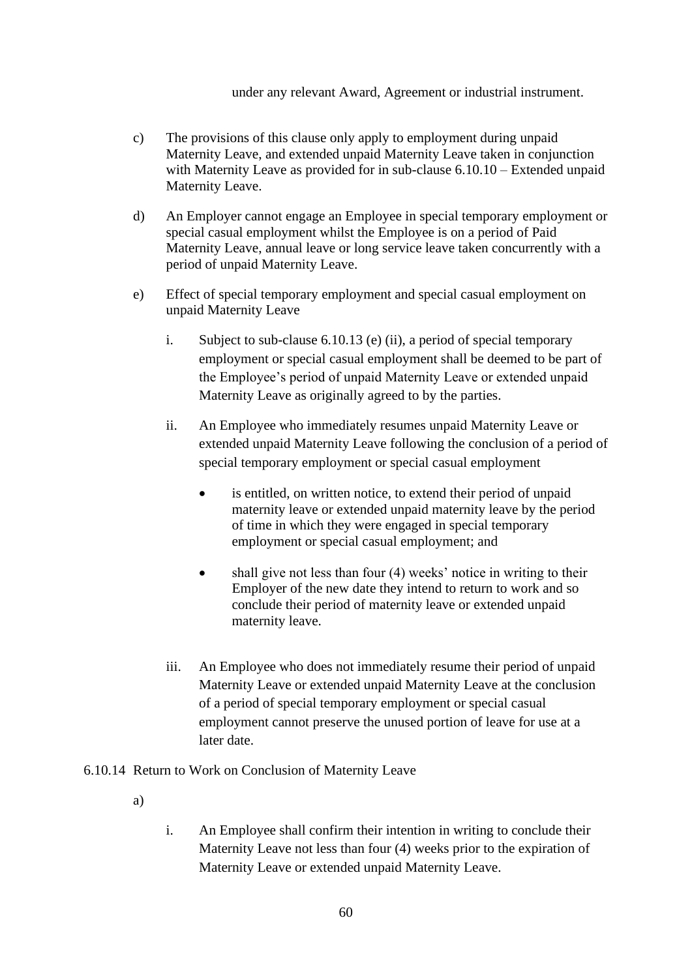#### under any relevant Award, Agreement or industrial instrument.

- c) The provisions of this clause only apply to employment during unpaid Maternity Leave, and extended unpaid Maternity Leave taken in conjunction with Maternity Leave as provided for in sub-clause [6.10.10](#page-58-1) – Extended unpaid Maternity Leave.
- d) An Employer cannot engage an Employee in special temporary employment or special casual employment whilst the Employee is on a period of Paid Maternity Leave, annual leave or long service leave taken concurrently with a period of unpaid Maternity Leave.
- e) Effect of special temporary employment and special casual employment on unpaid Maternity Leave
	- i. Subject to sub-clause [6.10.13](#page-59-0) (e) (ii), a period of special temporary employment or special casual employment shall be deemed to be part of the Employee's period of unpaid Maternity Leave or extended unpaid Maternity Leave as originally agreed to by the parties.
	- ii. An Employee who immediately resumes unpaid Maternity Leave or extended unpaid Maternity Leave following the conclusion of a period of special temporary employment or special casual employment
		- is entitled, on written notice, to extend their period of unpaid maternity leave or extended unpaid maternity leave by the period of time in which they were engaged in special temporary employment or special casual employment; and
		- shall give not less than four (4) weeks' notice in writing to their Employer of the new date they intend to return to work and so conclude their period of maternity leave or extended unpaid maternity leave.
	- iii. An Employee who does not immediately resume their period of unpaid Maternity Leave or extended unpaid Maternity Leave at the conclusion of a period of special temporary employment or special casual employment cannot preserve the unused portion of leave for use at a later date.
- <span id="page-61-0"></span>6.10.14 Return to Work on Conclusion of Maternity Leave
	- a)
- i. An Employee shall confirm their intention in writing to conclude their Maternity Leave not less than four (4) weeks prior to the expiration of Maternity Leave or extended unpaid Maternity Leave.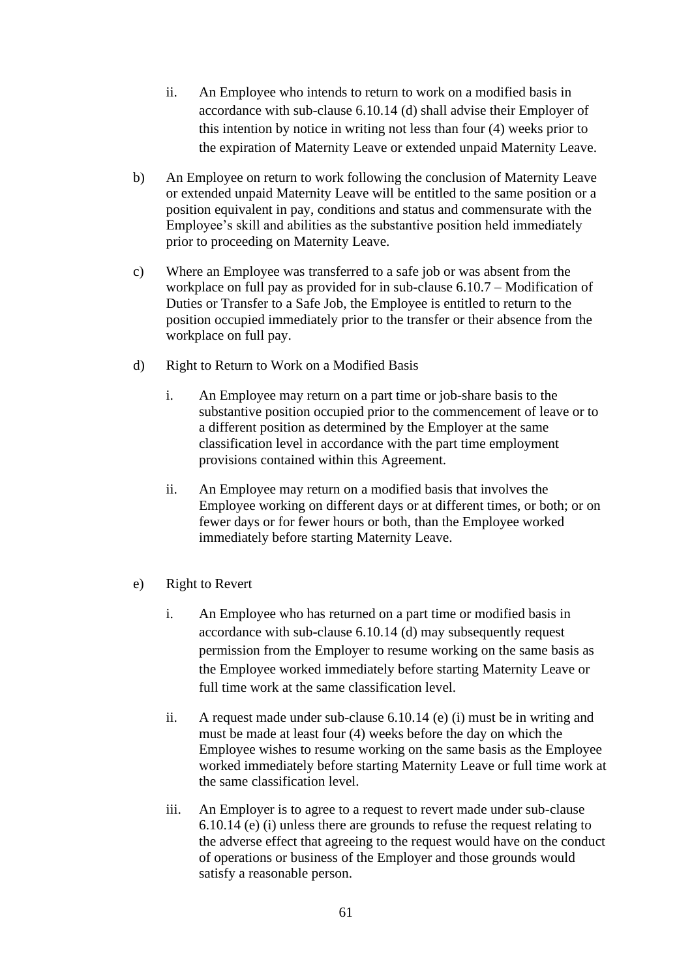- ii. An Employee who intends to return to work on a modified basis in accordance with sub-clause [6.10.14](#page-61-0) (d) shall advise their Employer of this intention by notice in writing not less than four (4) weeks prior to the expiration of Maternity Leave or extended unpaid Maternity Leave.
- b) An Employee on return to work following the conclusion of Maternity Leave or extended unpaid Maternity Leave will be entitled to the same position or a position equivalent in pay, conditions and status and commensurate with the Employee's skill and abilities as the substantive position held immediately prior to proceeding on Maternity Leave.
- c) Where an Employee was transferred to a safe job or was absent from the workplace on full pay as provided for in sub-clause [6.10.7](#page-56-0) – Modification of Duties or Transfer to a Safe Job, the Employee is entitled to return to the position occupied immediately prior to the transfer or their absence from the workplace on full pay.
- d) Right to Return to Work on a Modified Basis
	- i. An Employee may return on a part time or job-share basis to the substantive position occupied prior to the commencement of leave or to a different position as determined by the Employer at the same classification level in accordance with the part time employment provisions contained within this Agreement.
	- ii. An Employee may return on a modified basis that involves the Employee working on different days or at different times, or both; or on fewer days or for fewer hours or both, than the Employee worked immediately before starting Maternity Leave.
- e) Right to Revert
	- i. An Employee who has returned on a part time or modified basis in accordance with sub-clause [6.10.14](#page-61-0) (d) may subsequently request permission from the Employer to resume working on the same basis as the Employee worked immediately before starting Maternity Leave or full time work at the same classification level.
	- ii. A request made under sub-clause [6.10.14](#page-61-0) (e) (i) must be in writing and must be made at least four (4) weeks before the day on which the Employee wishes to resume working on the same basis as the Employee worked immediately before starting Maternity Leave or full time work at the same classification level.
	- iii. An Employer is to agree to a request to revert made under sub-clause [6.10.14](#page-61-0) (e) (i) unless there are grounds to refuse the request relating to the adverse effect that agreeing to the request would have on the conduct of operations or business of the Employer and those grounds would satisfy a reasonable person.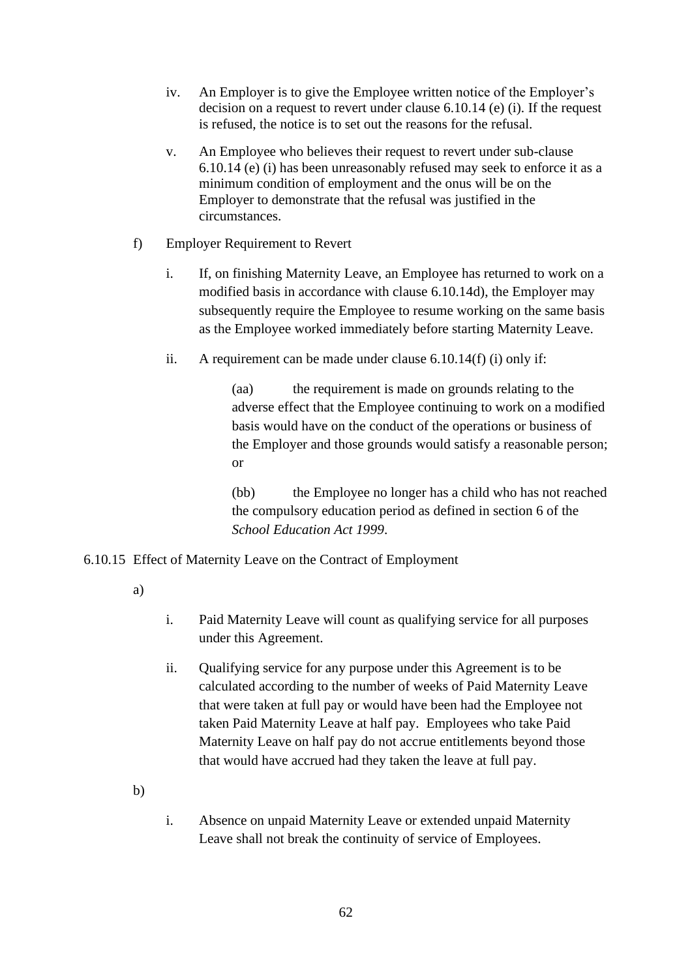- iv. An Employer is to give the Employee written notice of the Employer's decision on a request to revert under clause [6.10.14](#page-61-0) (e) (i). If the request is refused, the notice is to set out the reasons for the refusal.
- v. An Employee who believes their request to revert under sub-clause [6.10.14](#page-61-0) (e) (i) has been unreasonably refused may seek to enforce it as a minimum condition of employment and the onus will be on the Employer to demonstrate that the refusal was justified in the circumstances.
- f) Employer Requirement to Revert
	- i. If, on finishing Maternity Leave, an Employee has returned to work on a modified basis in accordance with clause [6.10.14d](#page-61-0)), the Employer may subsequently require the Employee to resume working on the same basis as the Employee worked immediately before starting Maternity Leave.
	- ii. A requirement can be made under clause [6.10.14\(](#page-61-0)f) (i) only if:

(aa) the requirement is made on grounds relating to the adverse effect that the Employee continuing to work on a modified basis would have on the conduct of the operations or business of the Employer and those grounds would satisfy a reasonable person; or

(bb) the Employee no longer has a child who has not reached the compulsory education period as defined in section 6 of the *School Education Act 1999*.

### <span id="page-63-0"></span>6.10.15 Effect of Maternity Leave on the Contract of Employment

a)

- i. Paid Maternity Leave will count as qualifying service for all purposes under this Agreement.
- ii. Qualifying service for any purpose under this Agreement is to be calculated according to the number of weeks of Paid Maternity Leave that were taken at full pay or would have been had the Employee not taken Paid Maternity Leave at half pay. Employees who take Paid Maternity Leave on half pay do not accrue entitlements beyond those that would have accrued had they taken the leave at full pay.

b)

i. Absence on unpaid Maternity Leave or extended unpaid Maternity Leave shall not break the continuity of service of Employees.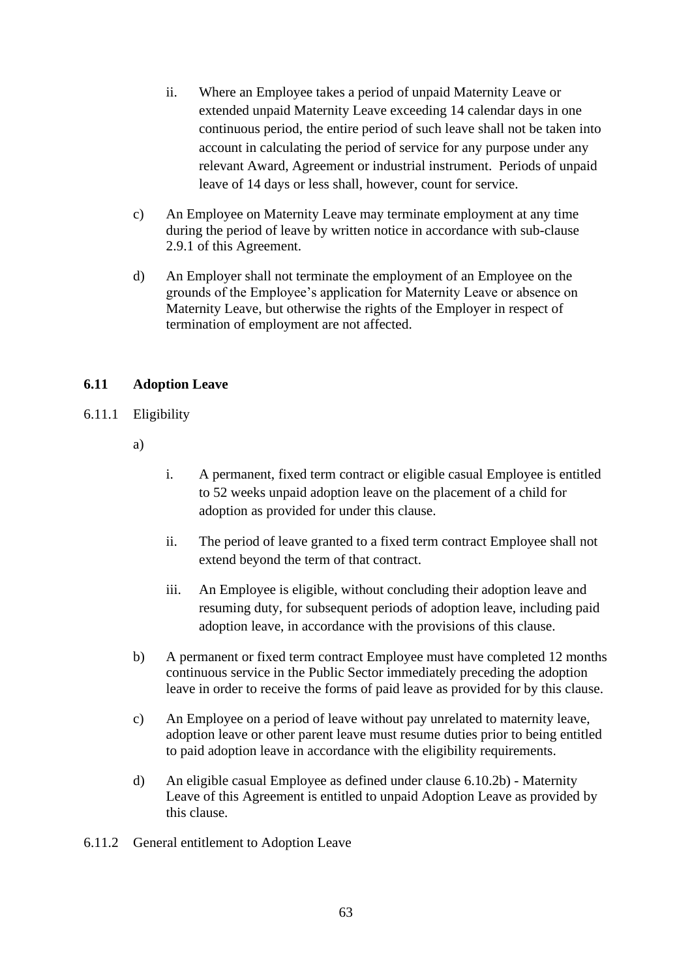- ii. Where an Employee takes a period of unpaid Maternity Leave or extended unpaid Maternity Leave exceeding 14 calendar days in one continuous period, the entire period of such leave shall not be taken into account in calculating the period of service for any purpose under any relevant Award, Agreement or industrial instrument. Periods of unpaid leave of 14 days or less shall, however, count for service.
- c) An Employee on Maternity Leave may terminate employment at any time during the period of leave by written notice in accordance with sub-clause 2.9.1 of this Agreement.
- d) An Employer shall not terminate the employment of an Employee on the grounds of the Employee's application for Maternity Leave or absence on Maternity Leave, but otherwise the rights of the Employer in respect of termination of employment are not affected.

# <span id="page-64-1"></span>**6.11 Adoption Leave**

- <span id="page-64-0"></span>6.11.1 Eligibility
	- a)
- i. A permanent, fixed term contract or eligible casual Employee is entitled to 52 weeks unpaid adoption leave on the placement of a child for adoption as provided for under this clause.
- ii. The period of leave granted to a fixed term contract Employee shall not extend beyond the term of that contract.
- iii. An Employee is eligible, without concluding their adoption leave and resuming duty, for subsequent periods of adoption leave, including paid adoption leave, in accordance with the provisions of this clause.
- b) A permanent or fixed term contract Employee must have completed 12 months continuous service in the Public Sector immediately preceding the adoption leave in order to receive the forms of paid leave as provided for by this clause.
- c) An Employee on a period of leave without pay unrelated to maternity leave, adoption leave or other parent leave must resume duties prior to being entitled to paid adoption leave in accordance with the eligibility requirements.
- d) An eligible casual Employee as defined under clause [6.10.2b\)](#page-52-3) Maternity Leave of this Agreement is entitled to unpaid Adoption Leave as provided by this clause.
- 6.11.2 General entitlement to Adoption Leave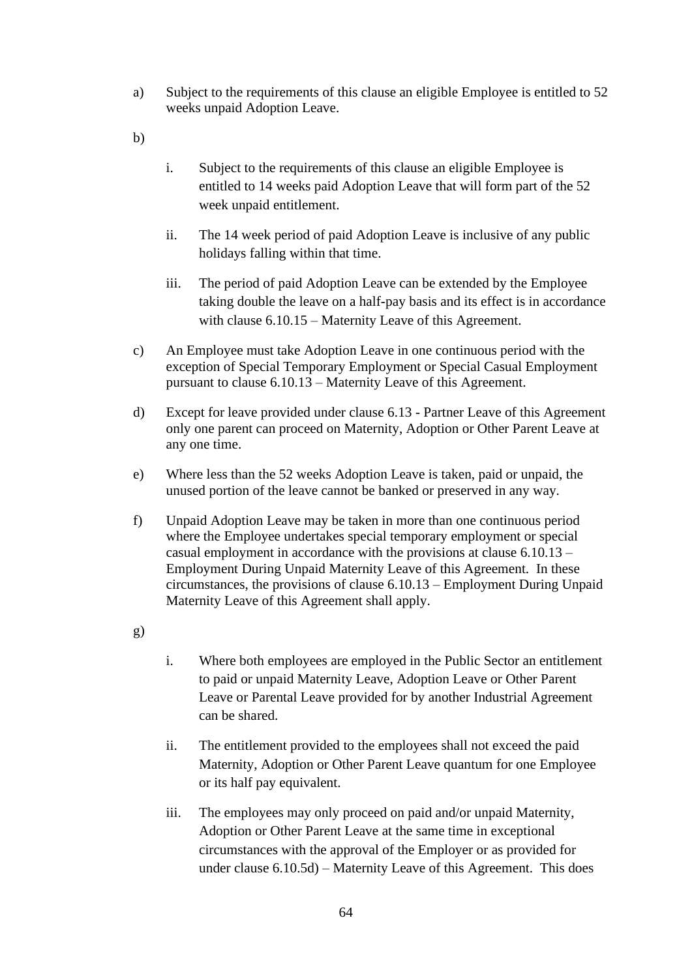- a) Subject to the requirements of this clause an eligible Employee is entitled to 52 weeks unpaid Adoption Leave.
- b)
- i. Subject to the requirements of this clause an eligible Employee is entitled to 14 weeks paid Adoption Leave that will form part of the 52 week unpaid entitlement.
- ii. The 14 week period of paid Adoption Leave is inclusive of any public holidays falling within that time.
- iii. The period of paid Adoption Leave can be extended by the Employee taking double the leave on a half-pay basis and its effect is in accordance with clause [6.10.15](#page-63-0) – Maternity Leave of this Agreement.
- c) An Employee must take Adoption Leave in one continuous period with the exception of Special Temporary Employment or Special Casual Employment pursuant to clause [6.10.13](#page-59-0) – Maternity Leave of this Agreement.
- d) Except for leave provided under clause [6.13](#page-75-0) Partner Leave of this Agreement only one parent can proceed on Maternity, Adoption or Other Parent Leave at any one time.
- e) Where less than the 52 weeks Adoption Leave is taken, paid or unpaid, the unused portion of the leave cannot be banked or preserved in any way.
- f) Unpaid Adoption Leave may be taken in more than one continuous period where the Employee undertakes special temporary employment or special casual employment in accordance with the provisions at clause [6.10.13](#page-59-0) – Employment During Unpaid Maternity Leave of this Agreement. In these circumstances, the provisions of clause [6.10.13](#page-59-0) – Employment During Unpaid Maternity Leave of this Agreement shall apply.

g)

- i. Where both employees are employed in the Public Sector an entitlement to paid or unpaid Maternity Leave, Adoption Leave or Other Parent Leave or Parental Leave provided for by another Industrial Agreement can be shared.
- ii. The entitlement provided to the employees shall not exceed the paid Maternity, Adoption or Other Parent Leave quantum for one Employee or its half pay equivalent.
- iii. The employees may only proceed on paid and/or unpaid Maternity, Adoption or Other Parent Leave at the same time in exceptional circumstances with the approval of the Employer or as provided for under clause [6.10.5d\)](#page-55-0) – Maternity Leave of this Agreement. This does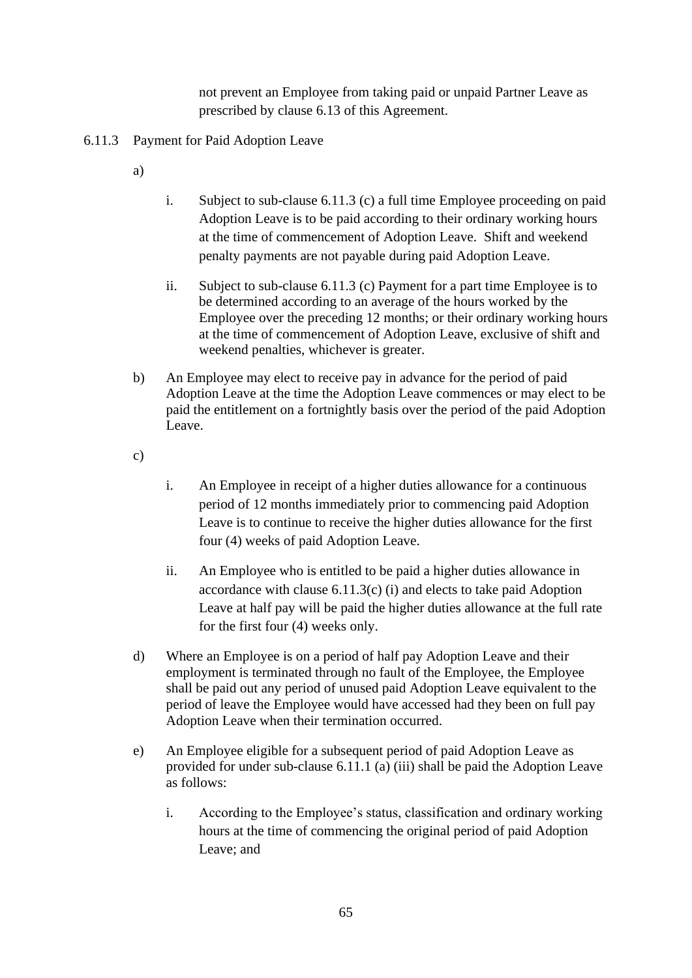not prevent an Employee from taking paid or unpaid Partner Leave as prescribed by clause [6.13](#page-75-0) of this Agreement.

- <span id="page-66-0"></span>6.11.3 Payment for Paid Adoption Leave
	- a)
- i. Subject to sub-clause [6.11.3](#page-66-0) (c) a full time Employee proceeding on paid Adoption Leave is to be paid according to their ordinary working hours at the time of commencement of Adoption Leave. Shift and weekend penalty payments are not payable during paid Adoption Leave.
- ii. Subject to sub-clause [6.11.3](#page-66-0) (c) Payment for a part time Employee is to be determined according to an average of the hours worked by the Employee over the preceding 12 months; or their ordinary working hours at the time of commencement of Adoption Leave, exclusive of shift and weekend penalties, whichever is greater.
- b) An Employee may elect to receive pay in advance for the period of paid Adoption Leave at the time the Adoption Leave commences or may elect to be paid the entitlement on a fortnightly basis over the period of the paid Adoption Leave.
- c)
- i. An Employee in receipt of a higher duties allowance for a continuous period of 12 months immediately prior to commencing paid Adoption Leave is to continue to receive the higher duties allowance for the first four (4) weeks of paid Adoption Leave.
- ii. An Employee who is entitled to be paid a higher duties allowance in accordance with clause [6.11.3\(](#page-66-0)c) (i) and elects to take paid Adoption Leave at half pay will be paid the higher duties allowance at the full rate for the first four (4) weeks only.
- d) Where an Employee is on a period of half pay Adoption Leave and their employment is terminated through no fault of the Employee, the Employee shall be paid out any period of unused paid Adoption Leave equivalent to the period of leave the Employee would have accessed had they been on full pay Adoption Leave when their termination occurred.
- e) An Employee eligible for a subsequent period of paid Adoption Leave as provided for under sub-clause [6.11.1](#page-64-0) (a) (iii) shall be paid the Adoption Leave as follows:
	- i. According to the Employee's status, classification and ordinary working hours at the time of commencing the original period of paid Adoption Leave; and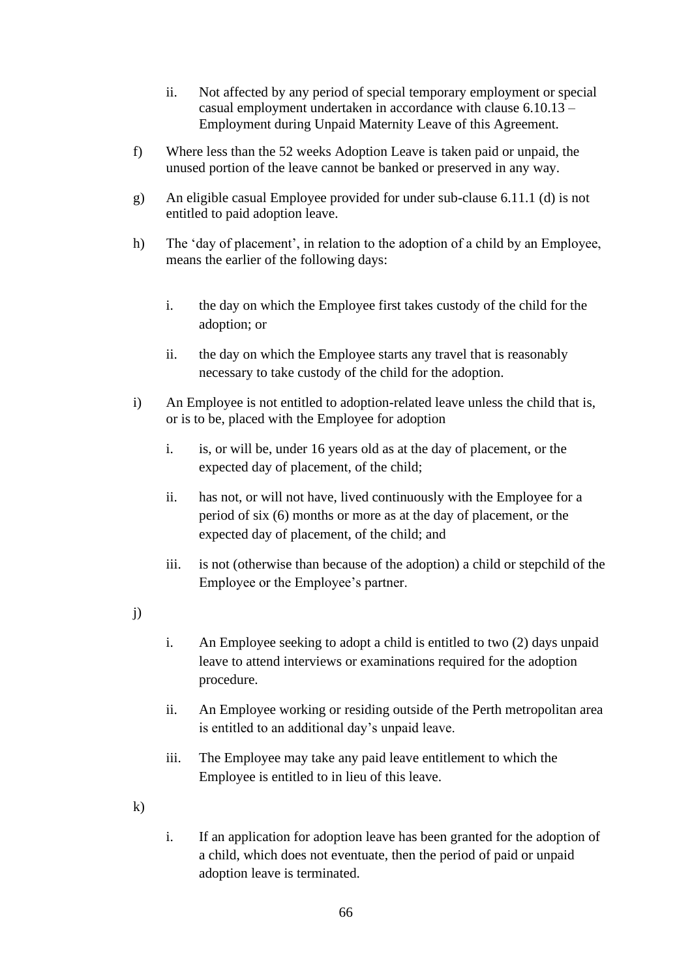- ii. Not affected by any period of special temporary employment or special casual employment undertaken in accordance with clause [6.10.13](#page-59-0) – Employment during Unpaid Maternity Leave of this Agreement.
- f) Where less than the 52 weeks Adoption Leave is taken paid or unpaid, the unused portion of the leave cannot be banked or preserved in any way.
- g) An eligible casual Employee provided for under sub-clause [6.11.1](#page-64-0) (d) is not entitled to paid adoption leave.
- h) The 'day of placement', in relation to the adoption of a child by an Employee, means the earlier of the following days:
	- i. the day on which the Employee first takes custody of the child for the adoption; or
	- ii. the day on which the Employee starts any travel that is reasonably necessary to take custody of the child for the adoption.
- i) An Employee is not entitled to adoption-related leave unless the child that is, or is to be, placed with the Employee for adoption
	- i. is, or will be, under 16 years old as at the day of placement, or the expected day of placement, of the child;
	- ii. has not, or will not have, lived continuously with the Employee for a period of six (6) months or more as at the day of placement, or the expected day of placement, of the child; and
	- iii. is not (otherwise than because of the adoption) a child or stepchild of the Employee or the Employee's partner.
- j)
- i. An Employee seeking to adopt a child is entitled to two (2) days unpaid leave to attend interviews or examinations required for the adoption procedure.
- ii. An Employee working or residing outside of the Perth metropolitan area is entitled to an additional day's unpaid leave.
- iii. The Employee may take any paid leave entitlement to which the Employee is entitled to in lieu of this leave.
- k)
- i. If an application for adoption leave has been granted for the adoption of a child, which does not eventuate, then the period of paid or unpaid adoption leave is terminated.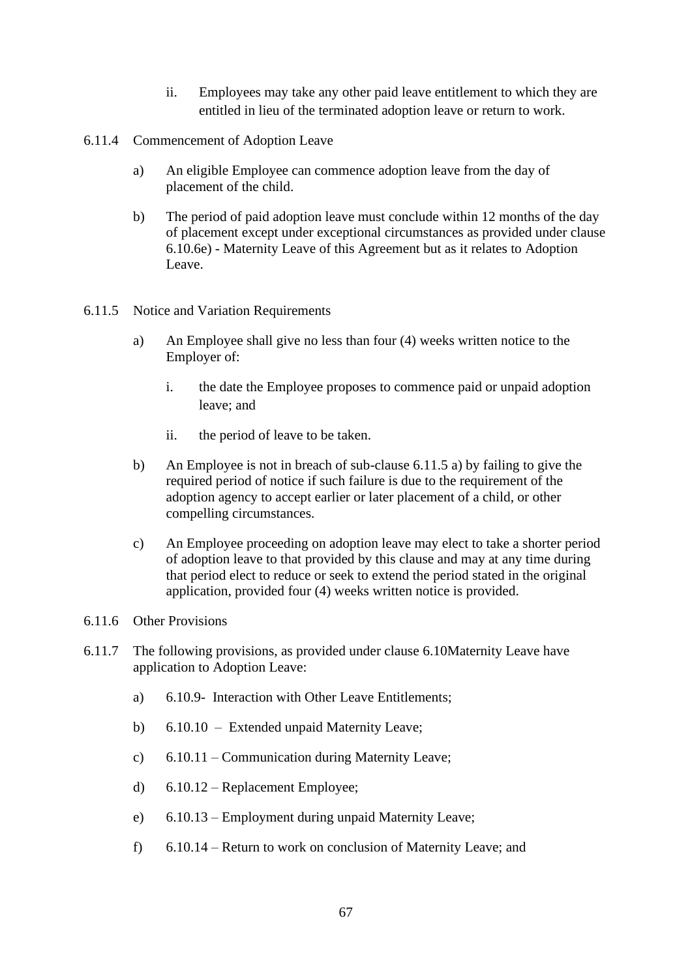- ii. Employees may take any other paid leave entitlement to which they are entitled in lieu of the terminated adoption leave or return to work.
- 6.11.4 Commencement of Adoption Leave
	- a) An eligible Employee can commence adoption leave from the day of placement of the child.
	- b) The period of paid adoption leave must conclude within 12 months of the day of placement except under exceptional circumstances as provided under clause [6.10.6e\)](#page-56-2) - Maternity Leave of this Agreement but as it relates to Adoption Leave.
- <span id="page-68-1"></span><span id="page-68-0"></span>6.11.5 Notice and Variation Requirements
	- a) An Employee shall give no less than four (4) weeks written notice to the Employer of:
		- i. the date the Employee proposes to commence paid or unpaid adoption leave; and
		- ii. the period of leave to be taken.
	- b) An Employee is not in breach of sub-clause [6.11.5](#page-68-0) [a\)](#page-68-1) by failing to give the required period of notice if such failure is due to the requirement of the adoption agency to accept earlier or later placement of a child, or other compelling circumstances.
	- c) An Employee proceeding on adoption leave may elect to take a shorter period of adoption leave to that provided by this clause and may at any time during that period elect to reduce or seek to extend the period stated in the original application, provided four (4) weeks written notice is provided.
- 6.11.6 Other Provisions
- 6.11.7 The following provisions, as provided under clause [6.10M](#page-51-3)aternity Leave have application to Adoption Leave:
	- a) 6.10.9- Interaction with Other Leave Entitlements;
	- b) [6.10.10](#page-58-1)  Extended unpaid Maternity Leave;
	- c) [6.10.11](#page-59-2) Communication during Maternity Leave;
	- d) [6.10.12](#page-59-4) Replacement Employee;
	- e) [6.10.13](#page-59-0) Employment during unpaid Maternity Leave;
	- f) [6.10.14](#page-61-0) Return to work on conclusion of Maternity Leave; and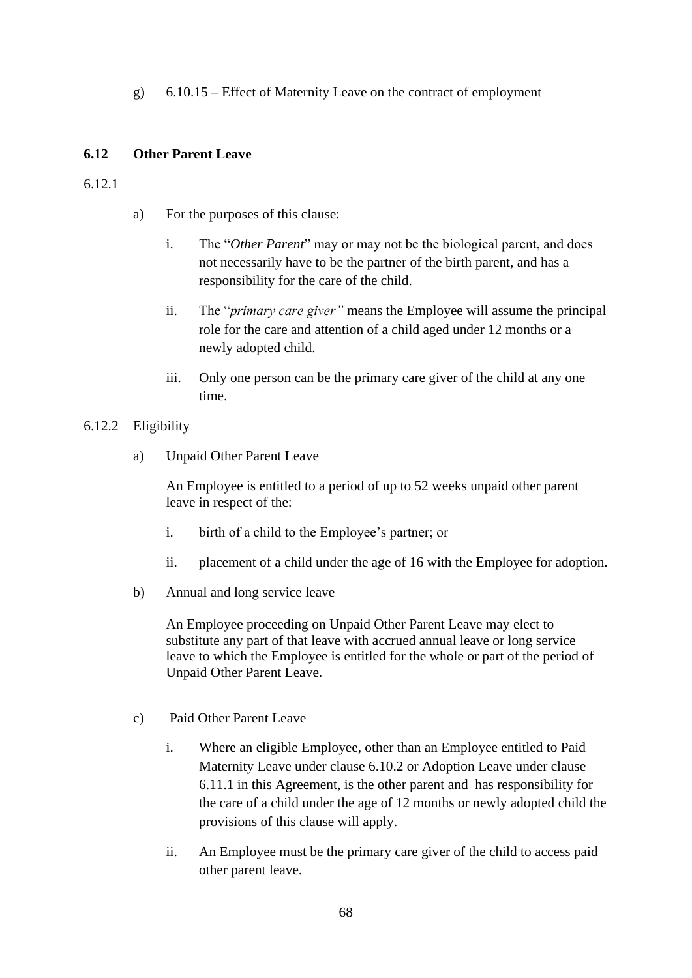g) [6.10.15](#page-63-0) – Effect of Maternity Leave on the contract of employment

### **6.12 Other Parent Leave**

6.12.1

- a) For the purposes of this clause:
	- i. The "*Other Parent*" may or may not be the biological parent, and does not necessarily have to be the partner of the birth parent, and has a responsibility for the care of the child.
	- ii. The "*primary care giver"* means the Employee will assume the principal role for the care and attention of a child aged under 12 months or a newly adopted child.
	- iii. Only one person can be the primary care giver of the child at any one time.

### 6.12.2 Eligibility

a) Unpaid Other Parent Leave

An Employee is entitled to a period of up to 52 weeks unpaid other parent leave in respect of the:

- i. birth of a child to the Employee's partner; or
- ii. placement of a child under the age of 16 with the Employee for adoption.
- b) Annual and long service leave

An Employee proceeding on Unpaid Other Parent Leave may elect to substitute any part of that leave with accrued annual leave or long service leave to which the Employee is entitled for the whole or part of the period of Unpaid Other Parent Leave.

- c) Paid Other Parent Leave
	- i. Where an eligible Employee, other than an Employee entitled to Paid Maternity Leave under clause [6.10.2](#page-52-0) or Adoption Leave under clause [6.11.1](#page-64-0) in this Agreement, is the other parent and has responsibility for the care of a child under the age of 12 months or newly adopted child the provisions of this clause will apply.
	- ii. An Employee must be the primary care giver of the child to access paid other parent leave.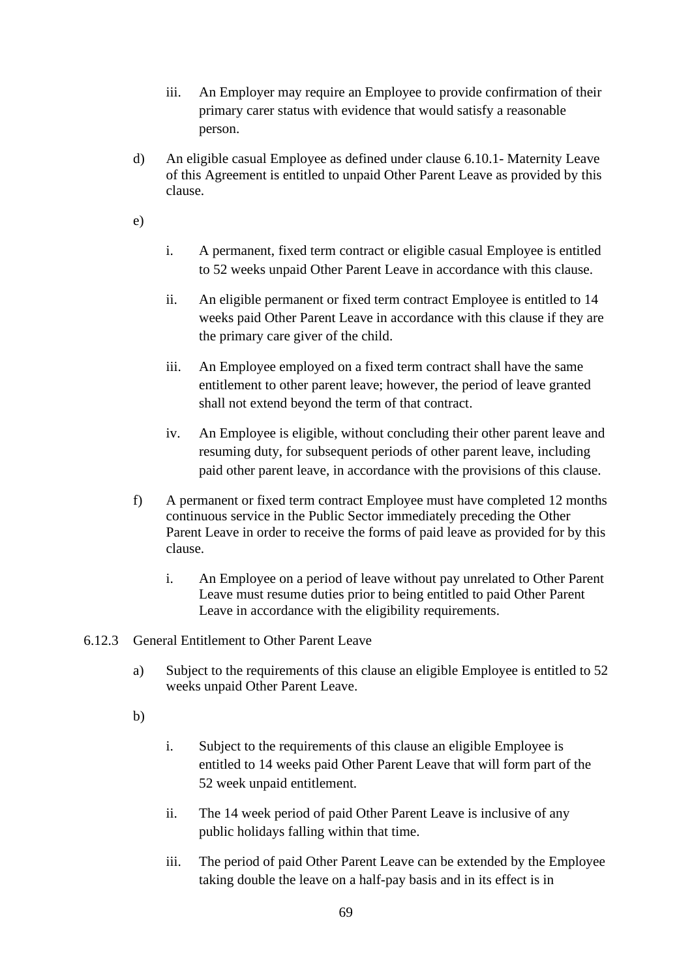- iii. An Employer may require an Employee to provide confirmation of their primary carer status with evidence that would satisfy a reasonable person.
- d) An eligible casual Employee as defined under clause [6.10.1-](#page-51-2) Maternity Leave of this Agreement is entitled to unpaid Other Parent Leave as provided by this clause.

e)

- i. A permanent, fixed term contract or eligible casual Employee is entitled to 52 weeks unpaid Other Parent Leave in accordance with this clause.
- ii. An eligible permanent or fixed term contract Employee is entitled to 14 weeks paid Other Parent Leave in accordance with this clause if they are the primary care giver of the child.
- iii. An Employee employed on a fixed term contract shall have the same entitlement to other parent leave; however, the period of leave granted shall not extend beyond the term of that contract.
- iv. An Employee is eligible, without concluding their other parent leave and resuming duty, for subsequent periods of other parent leave, including paid other parent leave, in accordance with the provisions of this clause.
- f) A permanent or fixed term contract Employee must have completed 12 months continuous service in the Public Sector immediately preceding the Other Parent Leave in order to receive the forms of paid leave as provided for by this clause.
	- i. An Employee on a period of leave without pay unrelated to Other Parent Leave must resume duties prior to being entitled to paid Other Parent Leave in accordance with the eligibility requirements.
- 6.12.3 General Entitlement to Other Parent Leave
	- a) Subject to the requirements of this clause an eligible Employee is entitled to 52 weeks unpaid Other Parent Leave.
	- b)
- i. Subject to the requirements of this clause an eligible Employee is entitled to 14 weeks paid Other Parent Leave that will form part of the 52 week unpaid entitlement.
- ii. The 14 week period of paid Other Parent Leave is inclusive of any public holidays falling within that time.
- iii. The period of paid Other Parent Leave can be extended by the Employee taking double the leave on a half-pay basis and in its effect is in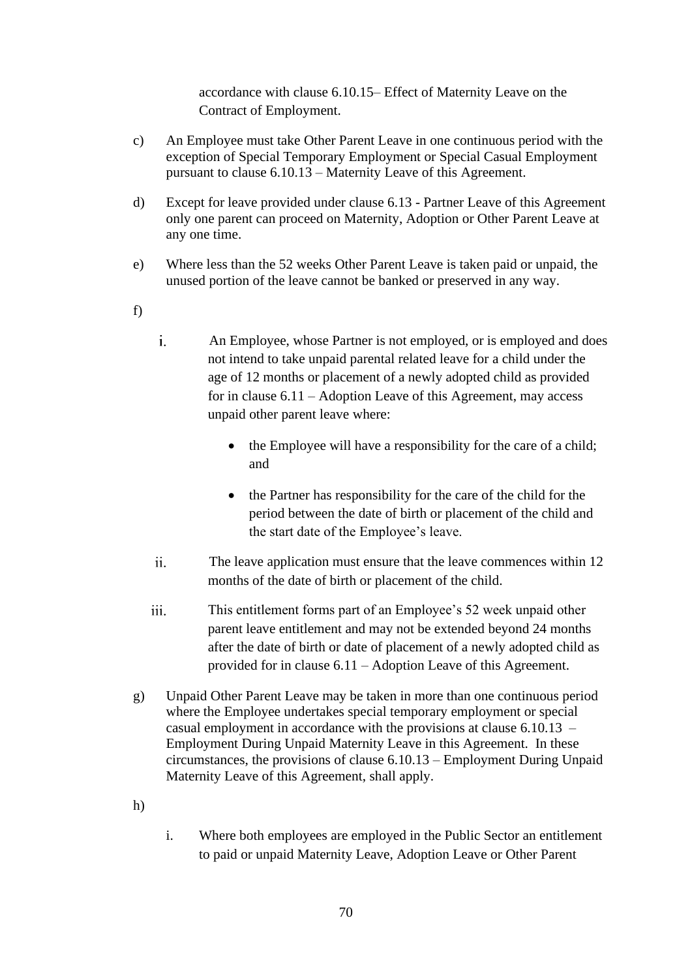accordance with clause [6.10.15–](#page-63-0) Effect of Maternity Leave on the Contract of Employment.

- c) An Employee must take Other Parent Leave in one continuous period with the exception of Special Temporary Employment or Special Casual Employment pursuant to clause [6.10.13](#page-59-0) – Maternity Leave of this Agreement.
- d) Except for leave provided under clause [6.13](#page-75-0) Partner Leave of this Agreement only one parent can proceed on Maternity, Adoption or Other Parent Leave at any one time.
- e) Where less than the 52 weeks Other Parent Leave is taken paid or unpaid, the unused portion of the leave cannot be banked or preserved in any way.
- f)
- $\mathbf{i}$ . An Employee, whose Partner is not employed, or is employed and does not intend to take unpaid parental related leave for a child under the age of 12 months or placement of a newly adopted child as provided for in clause [6.11](#page-64-1) – Adoption Leave of this Agreement, may access unpaid other parent leave where:
	- the Employee will have a responsibility for the care of a child; and
	- the Partner has responsibility for the care of the child for the period between the date of birth or placement of the child and the start date of the Employee's leave.
- $ii$ . The leave application must ensure that the leave commences within 12 months of the date of birth or placement of the child.
- iii. This entitlement forms part of an Employee's 52 week unpaid other parent leave entitlement and may not be extended beyond 24 months after the date of birth or date of placement of a newly adopted child as provided for in clause [6.11](#page-64-1) – Adoption Leave of this Agreement.
- g) Unpaid Other Parent Leave may be taken in more than one continuous period where the Employee undertakes special temporary employment or special casual employment in accordance with the provisions at clause [6.10.13](#page-59-0) – Employment During Unpaid Maternity Leave in this Agreement. In these circumstances, the provisions of clause [6.10.13](#page-59-0) – Employment During Unpaid Maternity Leave of this Agreement, shall apply.
- h)
- i. Where both employees are employed in the Public Sector an entitlement to paid or unpaid Maternity Leave, Adoption Leave or Other Parent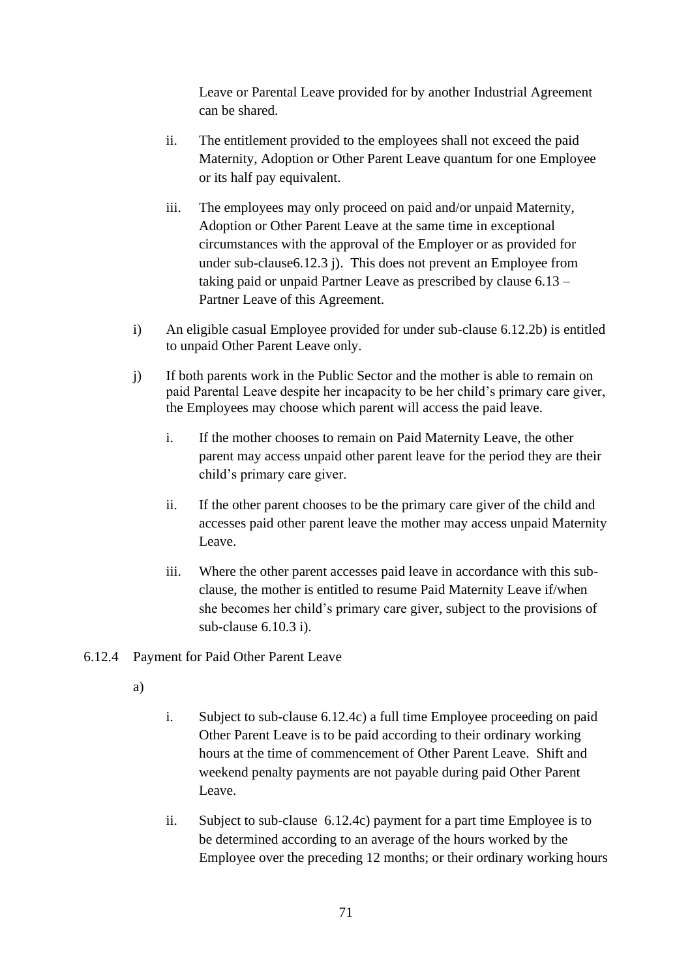Leave or Parental Leave provided for by another Industrial Agreement can be shared.

- ii. The entitlement provided to the employees shall not exceed the paid Maternity, Adoption or Other Parent Leave quantum for one Employee or its half pay equivalent.
- iii. The employees may only proceed on paid and/or unpaid Maternity, Adoption or Other Parent Leave at the same time in exceptional circumstances with the approval of the Employer or as provided for under sub-clause6.12.3 j). This does not prevent an Employee from taking paid or unpaid Partner Leave as prescribed by clause 6.13 – Partner Leave of this Agreement.
- i) An eligible casual Employee provided for under sub-clause [6.12.2b\)](#page-69-0) is entitled to unpaid Other Parent Leave only.
- j) If both parents work in the Public Sector and the mother is able to remain on paid Parental Leave despite her incapacity to be her child's primary care giver, the Employees may choose which parent will access the paid leave.
	- i. If the mother chooses to remain on Paid Maternity Leave, the other parent may access unpaid other parent leave for the period they are their child's primary care giver.
	- ii. If the other parent chooses to be the primary care giver of the child and accesses paid other parent leave the mother may access unpaid Maternity Leave.
	- iii. Where the other parent accesses paid leave in accordance with this subclause, the mother is entitled to resume Paid Maternity Leave if/when she becomes her child's primary care giver, subject to the provisions of sub-clause [6.10.3](#page-52-0) i).

# <span id="page-72-0"></span>6.12.4 Payment for Paid Other Parent Leave

- a)
- i. Subject to sub-clause [6.12.4](#page-72-0)[c\)](#page-73-0) a full time Employee proceeding on paid Other Parent Leave is to be paid according to their ordinary working hours at the time of commencement of Other Parent Leave. Shift and weekend penalty payments are not payable during paid Other Parent Leave.
- ii. Subject to sub-clause [6.12.4](#page-72-0)[c\)](#page-73-0) payment for a part time Employee is to be determined according to an average of the hours worked by the Employee over the preceding 12 months; or their ordinary working hours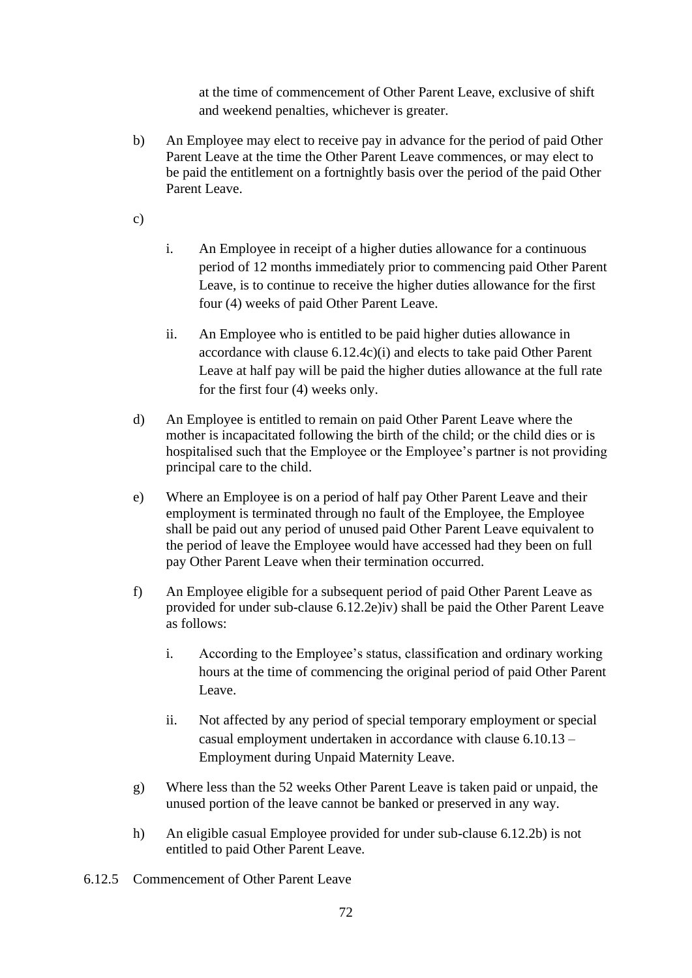at the time of commencement of Other Parent Leave, exclusive of shift and weekend penalties, whichever is greater.

b) An Employee may elect to receive pay in advance for the period of paid Other Parent Leave at the time the Other Parent Leave commences, or may elect to be paid the entitlement on a fortnightly basis over the period of the paid Other Parent Leave.

<span id="page-73-0"></span>c)

- i. An Employee in receipt of a higher duties allowance for a continuous period of 12 months immediately prior to commencing paid Other Parent Leave, is to continue to receive the higher duties allowance for the first four (4) weeks of paid Other Parent Leave.
- ii. An Employee who is entitled to be paid higher duties allowance in accordance with clause [6.12.4](#page-72-0)[c\)\(](#page-73-0)i) and elects to take paid Other Parent Leave at half pay will be paid the higher duties allowance at the full rate for the first four (4) weeks only.
- d) An Employee is entitled to remain on paid Other Parent Leave where the mother is incapacitated following the birth of the child; or the child dies or is hospitalised such that the Employee or the Employee's partner is not providing principal care to the child.
- e) Where an Employee is on a period of half pay Other Parent Leave and their employment is terminated through no fault of the Employee, the Employee shall be paid out any period of unused paid Other Parent Leave equivalent to the period of leave the Employee would have accessed had they been on full pay Other Parent Leave when their termination occurred.
- f) An Employee eligible for a subsequent period of paid Other Parent Leave as provided for under sub-clause [6.12.2e\)iv\)](#page-70-0) shall be paid the Other Parent Leave as follows:
	- i. According to the Employee's status, classification and ordinary working hours at the time of commencing the original period of paid Other Parent Leave.
	- ii. Not affected by any period of special temporary employment or special casual employment undertaken in accordance with clause [6.10.13](#page-59-0) – Employment during Unpaid Maternity Leave.
- g) Where less than the 52 weeks Other Parent Leave is taken paid or unpaid, the unused portion of the leave cannot be banked or preserved in any way.
- h) An eligible casual Employee provided for under sub-clause [6.12.2b\)](#page-69-0) is not entitled to paid Other Parent Leave.
- 6.12.5 Commencement of Other Parent Leave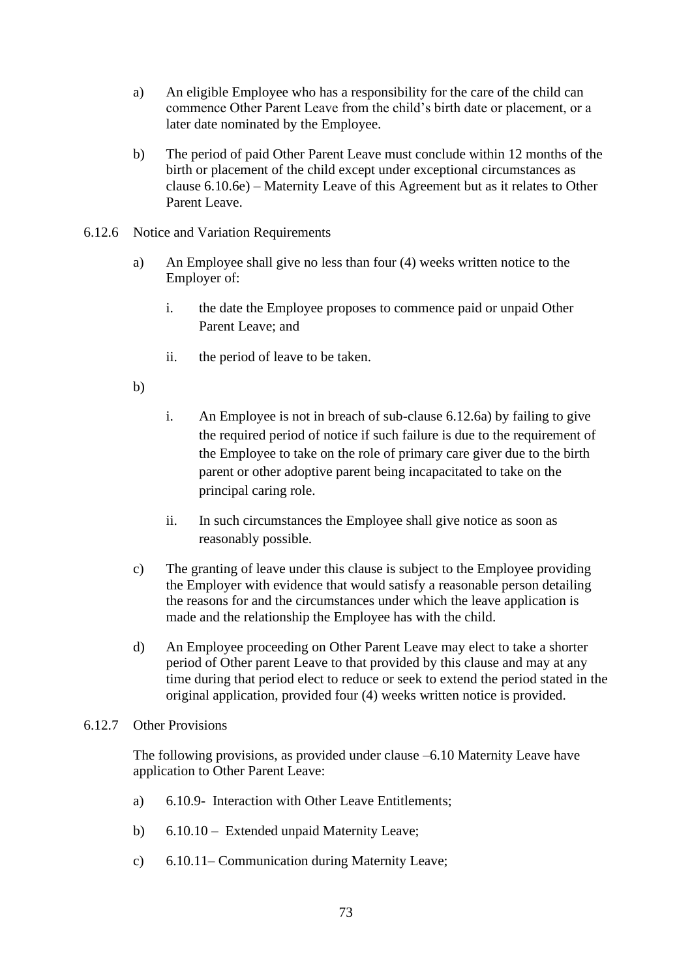- a) An eligible Employee who has a responsibility for the care of the child can commence Other Parent Leave from the child's birth date or placement, or a later date nominated by the Employee.
- b) The period of paid Other Parent Leave must conclude within 12 months of the birth or placement of the child except under exceptional circumstances as clause [6.10.6e\)](#page-56-0) – Maternity Leave of this Agreement but as it relates to Other Parent Leave.
- <span id="page-74-1"></span><span id="page-74-0"></span>6.12.6 Notice and Variation Requirements
	- a) An Employee shall give no less than four (4) weeks written notice to the Employer of:
		- i. the date the Employee proposes to commence paid or unpaid Other Parent Leave; and
		- ii. the period of leave to be taken.
	- b)
- i. An Employee is not in breach of sub-clause [6.12.6](#page-74-0)[a\)](#page-74-1) by failing to give the required period of notice if such failure is due to the requirement of the Employee to take on the role of primary care giver due to the birth parent or other adoptive parent being incapacitated to take on the principal caring role.
- ii. In such circumstances the Employee shall give notice as soon as reasonably possible.
- c) The granting of leave under this clause is subject to the Employee providing the Employer with evidence that would satisfy a reasonable person detailing the reasons for and the circumstances under which the leave application is made and the relationship the Employee has with the child.
- d) An Employee proceeding on Other Parent Leave may elect to take a shorter period of Other parent Leave to that provided by this clause and may at any time during that period elect to reduce or seek to extend the period stated in the original application, provided four (4) weeks written notice is provided.
- 6.12.7 Other Provisions

The following provisions, as provided under clause [–6.10](#page-51-0) Maternity Leave have application to Other Parent Leave:

- a) 6.10.9- Interaction with Other Leave Entitlements;
- b) [6.10.10](#page-58-0) Extended unpaid Maternity Leave;
- c) [6.10.11–](#page-59-1) Communication during Maternity Leave;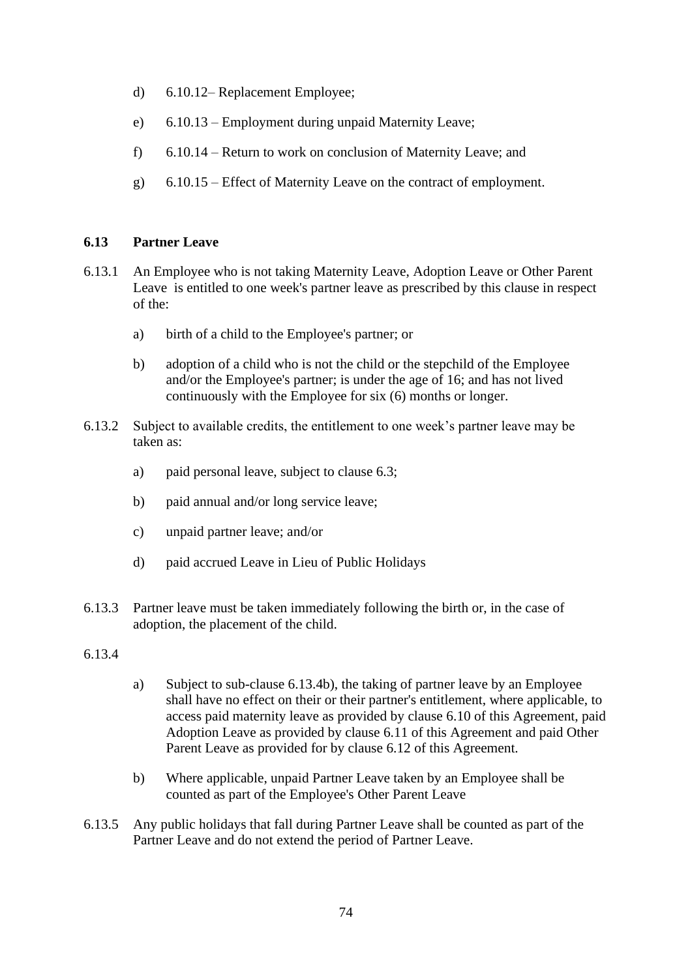- d) [6.10.12–](#page-59-2) Replacement Employee;
- e) [6.10.13](#page-59-0) Employment during unpaid Maternity Leave;
- f) [6.10.14](#page-61-0) Return to work on conclusion of Maternity Leave; and
- g) [6.10.15](#page-63-0) Effect of Maternity Leave on the contract of employment.

#### **6.13 Partner Leave**

- 6.13.1 An Employee who is not taking Maternity Leave, Adoption Leave or Other Parent Leave is entitled to one week's partner leave as prescribed by this clause in respect of the:
	- a) birth of a child to the Employee's partner; or
	- b) adoption of a child who is not the child or the stepchild of the Employee and/or the Employee's partner; is under the age of 16; and has not lived continuously with the Employee for six (6) months or longer.
- <span id="page-75-2"></span>6.13.2 Subject to available credits, the entitlement to one week's partner leave may be taken as:
	- a) paid personal leave, subject to clause 6.3;
	- b) paid annual and/or long service leave;
	- c) unpaid partner leave; and/or
	- d) paid accrued Leave in Lieu of Public Holidays
- 6.13.3 Partner leave must be taken immediately following the birth or, in the case of adoption, the placement of the child.
- <span id="page-75-0"></span>6.13.4
- a) Subject to sub-clause [6.13.4](#page-75-0)[b\),](#page-75-1) the taking of partner leave by an Employee shall have no effect on their or their partner's entitlement, where applicable, to access paid maternity leave as provided by clause [6.10](#page-51-0) of this Agreement, paid Adoption Leave as provided by clause [6.11](#page-64-0) of this Agreement and paid Other Parent Leave as provided for by clause [6.12](#page-69-1) of this Agreement.
- b) Where applicable, unpaid Partner Leave taken by an Employee shall be counted as part of the Employee's Other Parent Leave
- <span id="page-75-1"></span>6.13.5 Any public holidays that fall during Partner Leave shall be counted as part of the Partner Leave and do not extend the period of Partner Leave.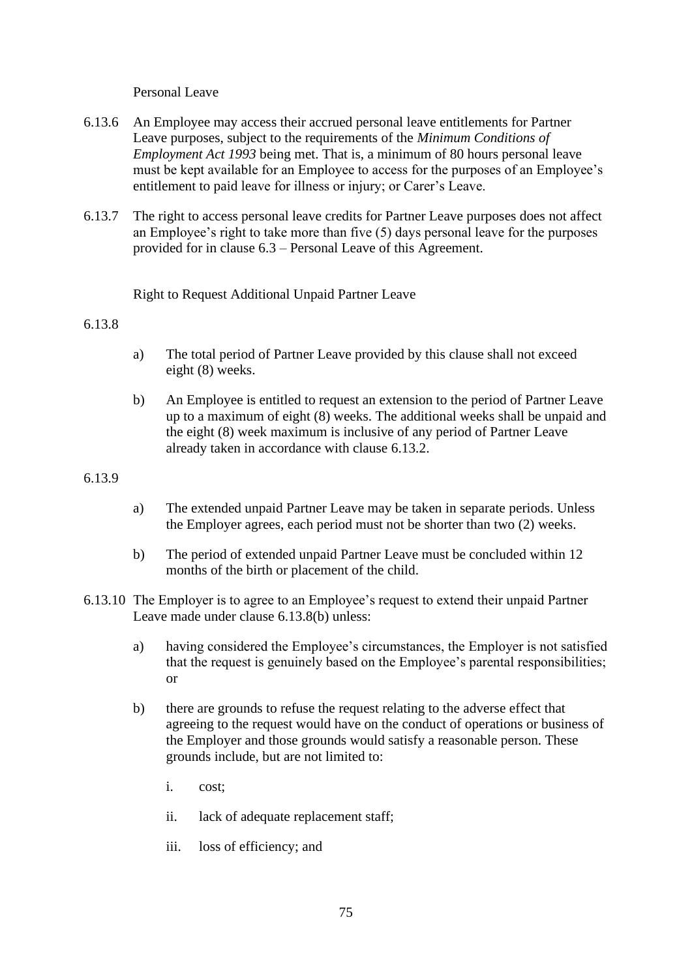Personal Leave

- 6.13.6 An Employee may access their accrued personal leave entitlements for Partner Leave purposes, subject to the requirements of the *Minimum Conditions of Employment Act 1993* being met. That is, a minimum of 80 hours personal leave must be kept available for an Employee to access for the purposes of an Employee's entitlement to paid leave for illness or injury; or Carer's Leave.
- 6.13.7 The right to access personal leave credits for Partner Leave purposes does not affect an Employee's right to take more than five (5) days personal leave for the purposes provided for in clause 6.3 – Personal Leave of this Agreement.

Right to Request Additional Unpaid Partner Leave

#### <span id="page-76-0"></span>6.13.8

- a) The total period of Partner Leave provided by this clause shall not exceed eight (8) weeks.
- b) An Employee is entitled to request an extension to the period of Partner Leave up to a maximum of eight (8) weeks. The additional weeks shall be unpaid and the eight (8) week maximum is inclusive of any period of Partner Leave already taken in accordance with clause [6.13.2.](#page-75-2)

## 6.13.9

- a) The extended unpaid Partner Leave may be taken in separate periods. Unless the Employer agrees, each period must not be shorter than two (2) weeks.
- b) The period of extended unpaid Partner Leave must be concluded within 12 months of the birth or placement of the child.
- 6.13.10 The Employer is to agree to an Employee's request to extend their unpaid Partner Leave made under clause [6.13.8\(](#page-76-0)b) unless:
	- a) having considered the Employee's circumstances, the Employer is not satisfied that the request is genuinely based on the Employee's parental responsibilities; or
	- b) there are grounds to refuse the request relating to the adverse effect that agreeing to the request would have on the conduct of operations or business of the Employer and those grounds would satisfy a reasonable person. These grounds include, but are not limited to:
		- i. cost;
		- ii. lack of adequate replacement staff;
		- iii. loss of efficiency; and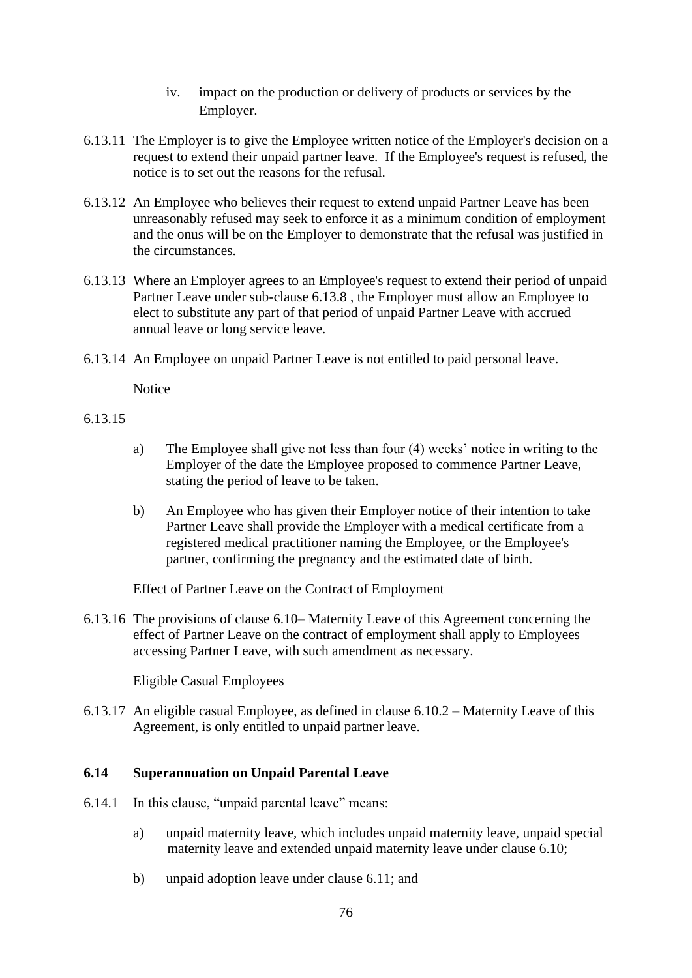- iv. impact on the production or delivery of products or services by the Employer.
- 6.13.11 The Employer is to give the Employee written notice of the Employer's decision on a request to extend their unpaid partner leave. If the Employee's request is refused, the notice is to set out the reasons for the refusal.
- 6.13.12 An Employee who believes their request to extend unpaid Partner Leave has been unreasonably refused may seek to enforce it as a minimum condition of employment and the onus will be on the Employer to demonstrate that the refusal was justified in the circumstances.
- 6.13.13 Where an Employer agrees to an Employee's request to extend their period of unpaid Partner Leave under sub-clause [6.13.8](#page-76-0) , the Employer must allow an Employee to elect to substitute any part of that period of unpaid Partner Leave with accrued annual leave or long service leave.
- 6.13.14 An Employee on unpaid Partner Leave is not entitled to paid personal leave.

**Notice** 

## 6.13.15

- a) The Employee shall give not less than four (4) weeks' notice in writing to the Employer of the date the Employee proposed to commence Partner Leave, stating the period of leave to be taken.
- b) An Employee who has given their Employer notice of their intention to take Partner Leave shall provide the Employer with a medical certificate from a registered medical practitioner naming the Employee, or the Employee's partner, confirming the pregnancy and the estimated date of birth.

Effect of Partner Leave on the Contract of Employment

6.13.16 The provisions of clause [6.10–](#page-51-0) Maternity Leave of this Agreement concerning the effect of Partner Leave on the contract of employment shall apply to Employees accessing Partner Leave, with such amendment as necessary.

Eligible Casual Employees

6.13.17 An eligible casual Employee, as defined in clause [6.10.2](#page-52-1) – Maternity Leave of this Agreement, is only entitled to unpaid partner leave.

# **6.14 Superannuation on Unpaid Parental Leave**

- 6.14.1 In this clause, "unpaid parental leave" means:
	- a) unpaid maternity leave, which includes unpaid maternity leave, unpaid special maternity leave and extended unpaid maternity leave under clause [6.10;](#page-51-0)
	- b) unpaid adoption leave under clause 6.11; and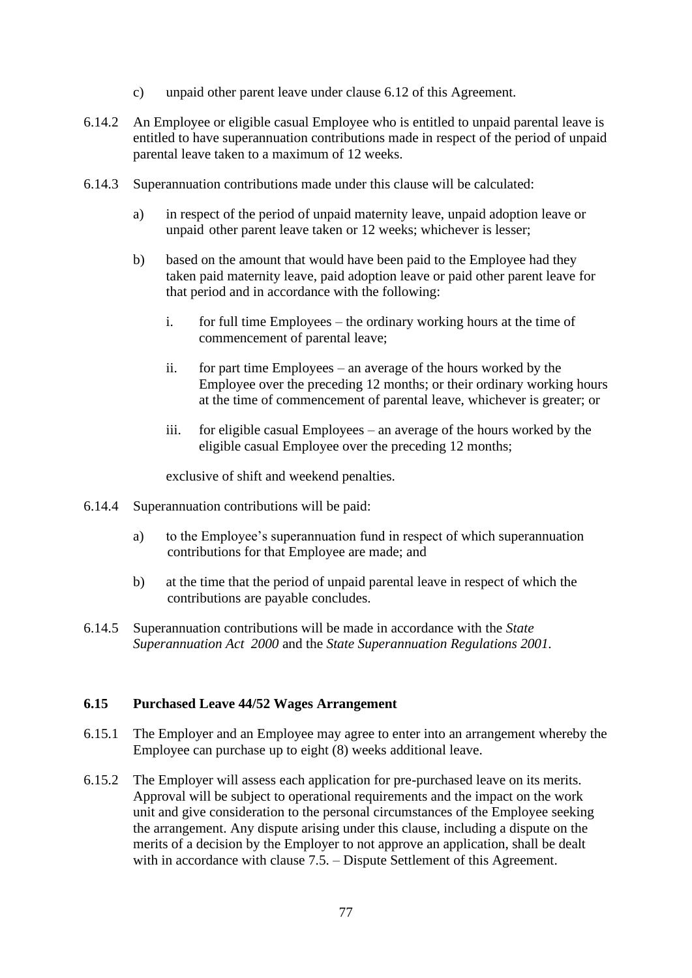- c) unpaid other parent leave under clause 6.12 of this Agreement.
- 6.14.2 An Employee or eligible casual Employee who is entitled to unpaid parental leave is entitled to have superannuation contributions made in respect of the period of unpaid parental leave taken to a maximum of 12 weeks.
- 6.14.3 Superannuation contributions made under this clause will be calculated:
	- a) in respect of the period of unpaid maternity leave, unpaid adoption leave or unpaid other parent leave taken or 12 weeks; whichever is lesser;
	- b) based on the amount that would have been paid to the Employee had they taken paid maternity leave, paid adoption leave or paid other parent leave for that period and in accordance with the following:
		- i. for full time Employees the ordinary working hours at the time of commencement of parental leave;
		- ii. for part time Employees an average of the hours worked by the Employee over the preceding 12 months; or their ordinary working hours at the time of commencement of parental leave, whichever is greater; or
		- iii. for eligible casual Employees an average of the hours worked by the eligible casual Employee over the preceding 12 months;

exclusive of shift and weekend penalties.

- 6.14.4 Superannuation contributions will be paid:
	- a) to the Employee's superannuation fund in respect of which superannuation contributions for that Employee are made; and
	- b) at the time that the period of unpaid parental leave in respect of which the contributions are payable concludes.
- 6.14.5 Superannuation contributions will be made in accordance with the *State Superannuation Act 2000* and the *State Superannuation Regulations 2001.*

# **6.15 Purchased Leave 44/52 Wages Arrangement**

- 6.15.1 The Employer and an Employee may agree to enter into an arrangement whereby the Employee can purchase up to eight (8) weeks additional leave.
- 6.15.2 The Employer will assess each application for pre-purchased leave on its merits. Approval will be subject to operational requirements and the impact on the work unit and give consideration to the personal circumstances of the Employee seeking the arrangement. Any dispute arising under this clause, including a dispute on the merits of a decision by the Employer to not approve an application, shall be dealt with in accordance with clause [7.5.](#page-94-0) – Dispute Settlement of this Agreement.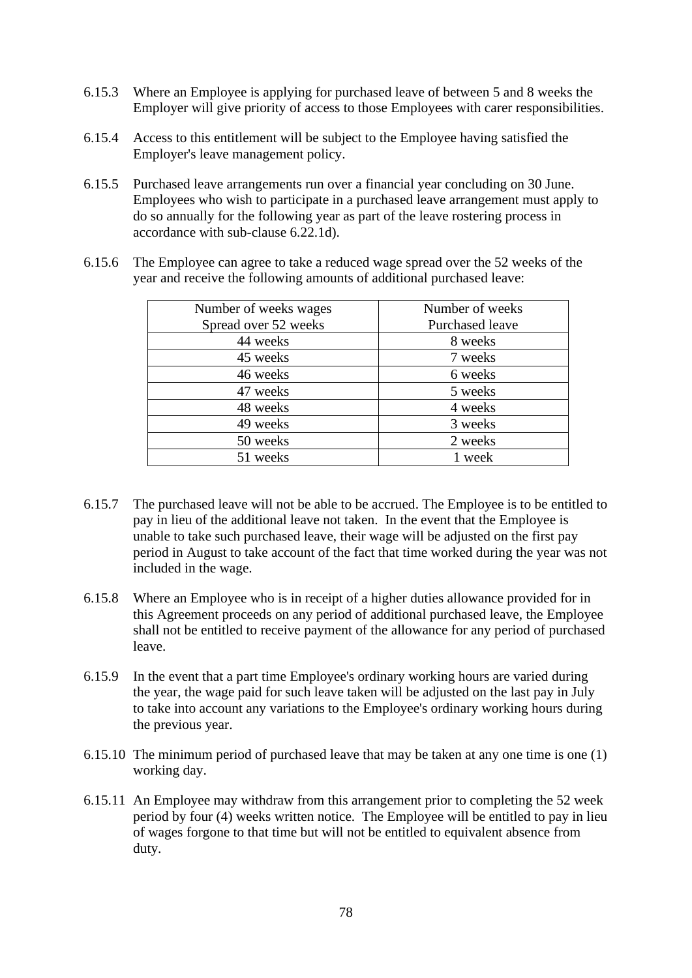- 6.15.3 Where an Employee is applying for purchased leave of between 5 and 8 weeks the Employer will give priority of access to those Employees with carer responsibilities.
- 6.15.4 Access to this entitlement will be subject to the Employee having satisfied the Employer's leave management policy.
- <span id="page-79-0"></span>6.15.5 Purchased leave arrangements run over a financial year concluding on 30 June. Employees who wish to participate in a purchased leave arrangement must apply to do so annually for the following year as part of the leave rostering process in accordance with sub-clause 6.22.1d).
- 6.15.6 The Employee can agree to take a reduced wage spread over the 52 weeks of the year and receive the following amounts of additional purchased leave:

| Number of weeks wages | Number of weeks |
|-----------------------|-----------------|
| Spread over 52 weeks  | Purchased leave |
| 44 weeks              | 8 weeks         |
| 45 weeks              | 7 weeks         |
| 46 weeks              | 6 weeks         |
| 47 weeks              | 5 weeks         |
| 48 weeks              | 4 weeks         |
| 49 weeks              | 3 weeks         |
| 50 weeks              | 2 weeks         |
| 51 weeks              | 1 week          |

- 6.15.7 The purchased leave will not be able to be accrued. The Employee is to be entitled to pay in lieu of the additional leave not taken. In the event that the Employee is unable to take such purchased leave, their wage will be adjusted on the first pay period in August to take account of the fact that time worked during the year was not included in the wage.
- 6.15.8 Where an Employee who is in receipt of a higher duties allowance provided for in this Agreement proceeds on any period of additional purchased leave, the Employee shall not be entitled to receive payment of the allowance for any period of purchased leave.
- 6.15.9 In the event that a part time Employee's ordinary working hours are varied during the year, the wage paid for such leave taken will be adjusted on the last pay in July to take into account any variations to the Employee's ordinary working hours during the previous year.
- 6.15.10 The minimum period of purchased leave that may be taken at any one time is one (1) working day.
- 6.15.11 An Employee may withdraw from this arrangement prior to completing the 52 week period by four (4) weeks written notice. The Employee will be entitled to pay in lieu of wages forgone to that time but will not be entitled to equivalent absence from duty.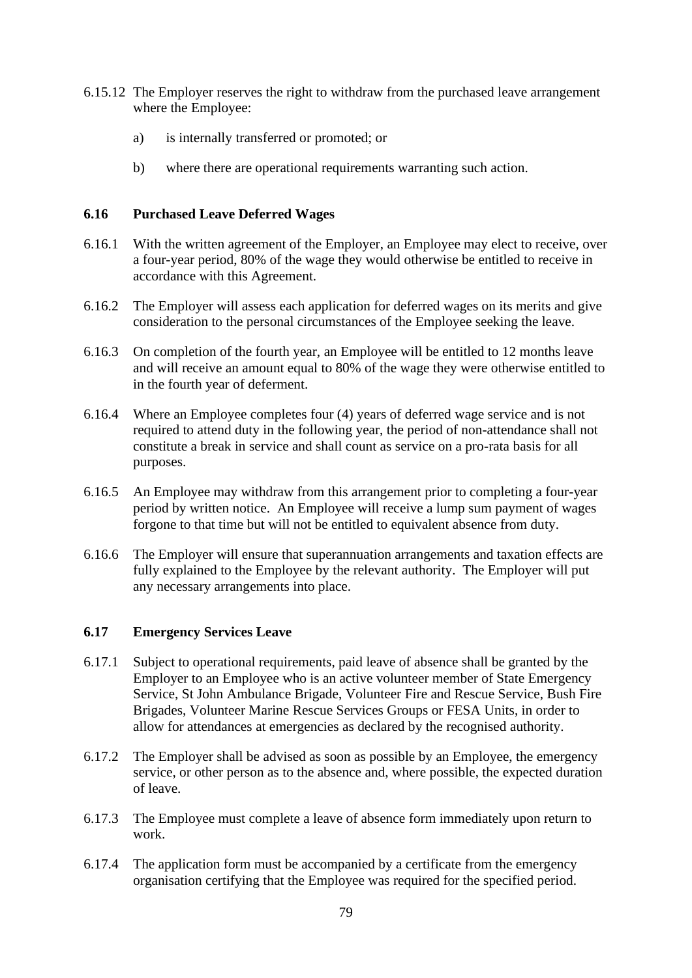- 6.15.12 The Employer reserves the right to withdraw from the purchased leave arrangement where the Employee:
	- a) is internally transferred or promoted; or
	- b) where there are operational requirements warranting such action.

## **6.16 Purchased Leave Deferred Wages**

- 6.16.1 With the written agreement of the Employer, an Employee may elect to receive, over a four-year period, 80% of the wage they would otherwise be entitled to receive in accordance with this Agreement.
- 6.16.2 The Employer will assess each application for deferred wages on its merits and give consideration to the personal circumstances of the Employee seeking the leave.
- 6.16.3 On completion of the fourth year, an Employee will be entitled to 12 months leave and will receive an amount equal to 80% of the wage they were otherwise entitled to in the fourth year of deferment.
- 6.16.4 Where an Employee completes four (4) years of deferred wage service and is not required to attend duty in the following year, the period of non-attendance shall not constitute a break in service and shall count as service on a pro-rata basis for all purposes.
- 6.16.5 An Employee may withdraw from this arrangement prior to completing a four-year period by written notice. An Employee will receive a lump sum payment of wages forgone to that time but will not be entitled to equivalent absence from duty.
- 6.16.6 The Employer will ensure that superannuation arrangements and taxation effects are fully explained to the Employee by the relevant authority. The Employer will put any necessary arrangements into place.

#### **6.17 Emergency Services Leave**

- 6.17.1 Subject to operational requirements, paid leave of absence shall be granted by the Employer to an Employee who is an active volunteer member of State Emergency Service, St John Ambulance Brigade, Volunteer Fire and Rescue Service, Bush Fire Brigades, Volunteer Marine Rescue Services Groups or FESA Units, in order to allow for attendances at emergencies as declared by the recognised authority.
- 6.17.2 The Employer shall be advised as soon as possible by an Employee, the emergency service, or other person as to the absence and, where possible, the expected duration of leave.
- 6.17.3 The Employee must complete a leave of absence form immediately upon return to work.
- 6.17.4 The application form must be accompanied by a certificate from the emergency organisation certifying that the Employee was required for the specified period.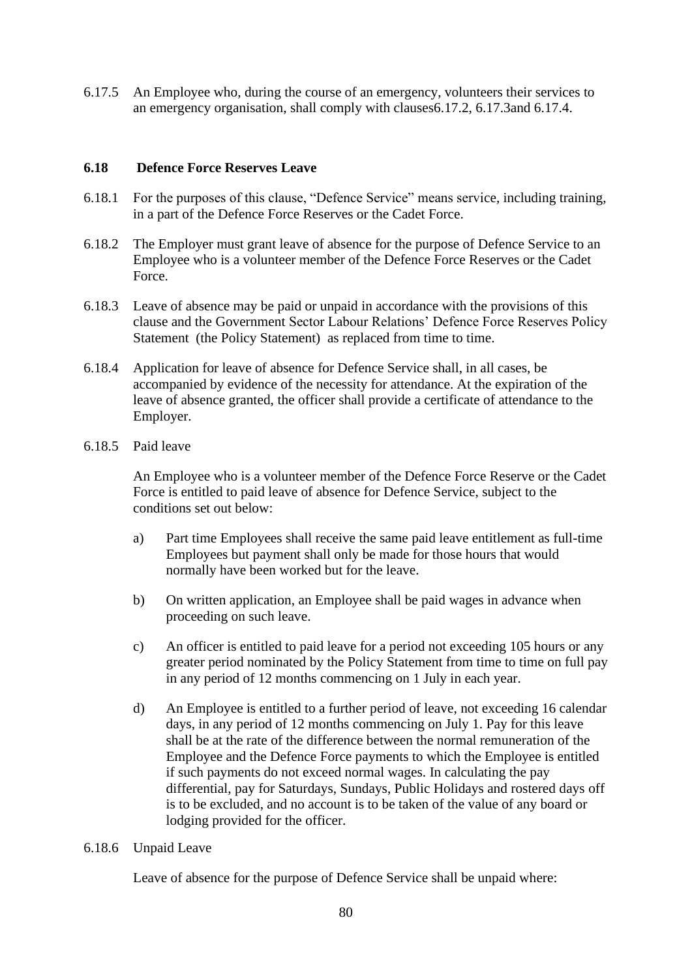6.17.5 An Employee who, during the course of an emergency, volunteers their services to an emergency organisation, shall comply with clauses6.17.2, 6.17.3and 6.17.4.

#### **6.18 Defence Force Reserves Leave**

- 6.18.1 For the purposes of this clause, "Defence Service" means service, including training, in a part of the Defence Force Reserves or the Cadet Force.
- 6.18.2 The Employer must grant leave of absence for the purpose of Defence Service to an Employee who is a volunteer member of the Defence Force Reserves or the Cadet Force.
- 6.18.3 Leave of absence may be paid or unpaid in accordance with the provisions of this clause and the Government Sector Labour Relations' Defence Force Reserves Policy Statement (the Policy Statement) as replaced from time to time.
- <span id="page-81-1"></span>6.18.4 Application for leave of absence for Defence Service shall, in all cases, be accompanied by evidence of the necessity for attendance. At the expiration of the leave of absence granted, the officer shall provide a certificate of attendance to the Employer.
- <span id="page-81-0"></span>6.18.5 Paid leave

An Employee who is a volunteer member of the Defence Force Reserve or the Cadet Force is entitled to paid leave of absence for Defence Service, subject to the conditions set out below:

- a) Part time Employees shall receive the same paid leave entitlement as full-time Employees but payment shall only be made for those hours that would normally have been worked but for the leave.
- b) On written application, an Employee shall be paid wages in advance when proceeding on such leave.
- c) An officer is entitled to paid leave for a period not exceeding 105 hours or any greater period nominated by the Policy Statement from time to time on full pay in any period of 12 months commencing on 1 July in each year.
- d) An Employee is entitled to a further period of leave, not exceeding 16 calendar days, in any period of 12 months commencing on July 1. Pay for this leave shall be at the rate of the difference between the normal remuneration of the Employee and the Defence Force payments to which the Employee is entitled if such payments do not exceed normal wages. In calculating the pay differential, pay for Saturdays, Sundays, Public Holidays and rostered days off is to be excluded, and no account is to be taken of the value of any board or lodging provided for the officer.

#### 6.18.6 Unpaid Leave

Leave of absence for the purpose of Defence Service shall be unpaid where: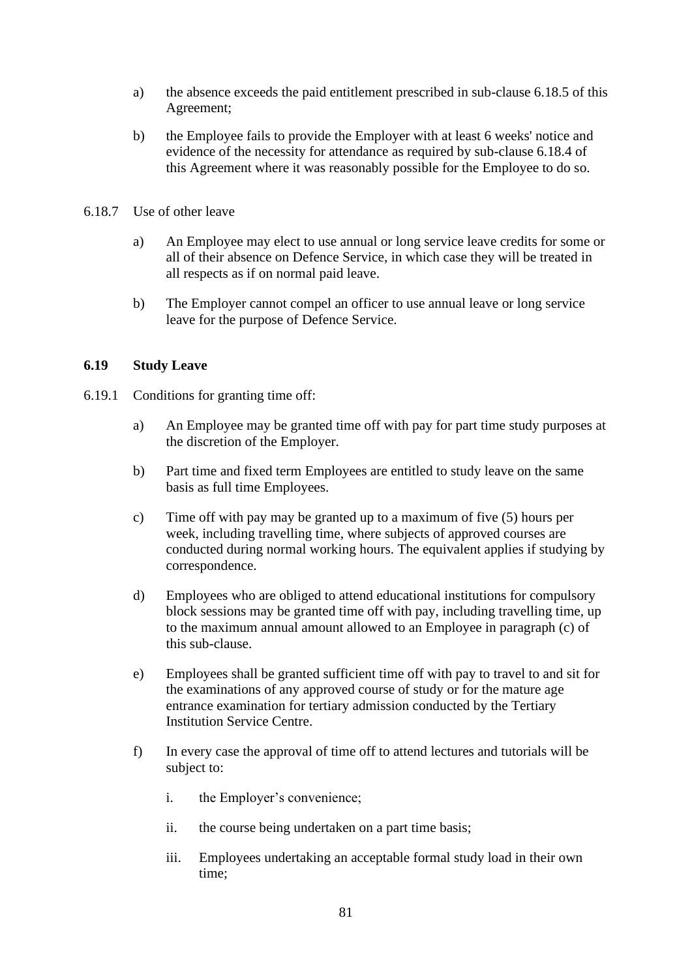- a) the absence exceeds the paid entitlement prescribed in sub-clause [6.18.5](#page-81-0) of this Agreement;
- b) the Employee fails to provide the Employer with at least 6 weeks' notice and evidence of the necessity for attendance as required by sub-clause [6.18.4](#page-81-1) of this Agreement where it was reasonably possible for the Employee to do so.
- 6.18.7 Use of other leave
	- a) An Employee may elect to use annual or long service leave credits for some or all of their absence on Defence Service, in which case they will be treated in all respects as if on normal paid leave.
	- b) The Employer cannot compel an officer to use annual leave or long service leave for the purpose of Defence Service.

#### **6.19 Study Leave**

- 6.19.1 Conditions for granting time off:
	- a) An Employee may be granted time off with pay for part time study purposes at the discretion of the Employer.
	- b) Part time and fixed term Employees are entitled to study leave on the same basis as full time Employees.
	- c) Time off with pay may be granted up to a maximum of five (5) hours per week, including travelling time, where subjects of approved courses are conducted during normal working hours. The equivalent applies if studying by correspondence.
	- d) Employees who are obliged to attend educational institutions for compulsory block sessions may be granted time off with pay, including travelling time, up to the maximum annual amount allowed to an Employee in paragraph (c) of this sub-clause.
	- e) Employees shall be granted sufficient time off with pay to travel to and sit for the examinations of any approved course of study or for the mature age entrance examination for tertiary admission conducted by the Tertiary Institution Service Centre.
	- f) In every case the approval of time off to attend lectures and tutorials will be subject to:
		- i. the Employer's convenience;
		- ii. the course being undertaken on a part time basis;
		- iii. Employees undertaking an acceptable formal study load in their own time;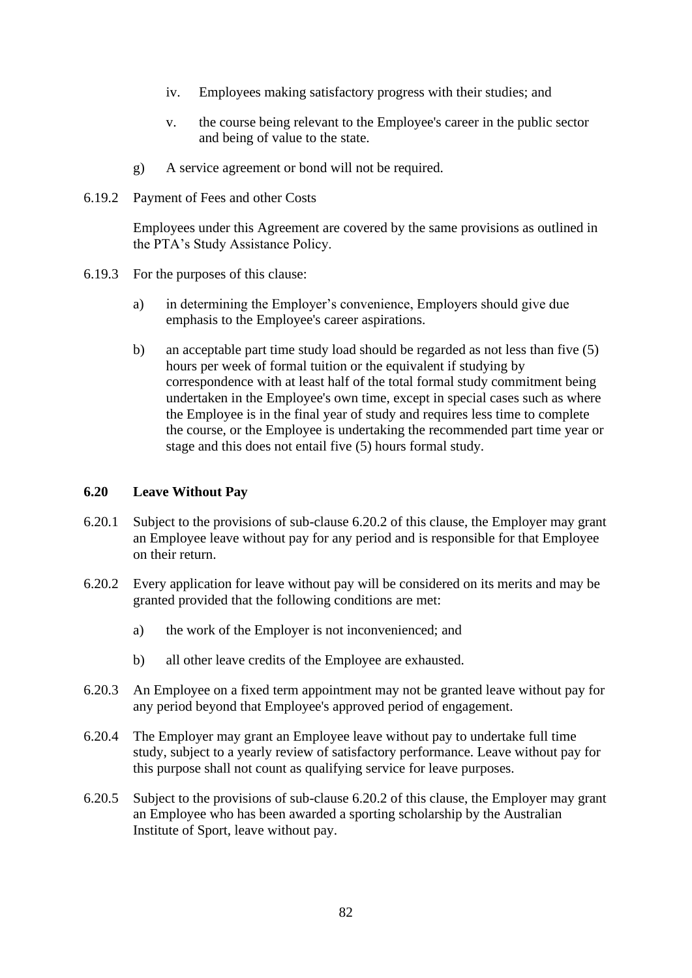- iv. Employees making satisfactory progress with their studies; and
- v. the course being relevant to the Employee's career in the public sector and being of value to the state.
- g) A service agreement or bond will not be required.
- 6.19.2 Payment of Fees and other Costs

Employees under this Agreement are covered by the same provisions as outlined in the PTA's Study Assistance Policy.

- 6.19.3 For the purposes of this clause:
	- a) in determining the Employer's convenience, Employers should give due emphasis to the Employee's career aspirations.
	- b) an acceptable part time study load should be regarded as not less than five (5) hours per week of formal tuition or the equivalent if studying by correspondence with at least half of the total formal study commitment being undertaken in the Employee's own time, except in special cases such as where the Employee is in the final year of study and requires less time to complete the course, or the Employee is undertaking the recommended part time year or stage and this does not entail five (5) hours formal study.

#### **6.20 Leave Without Pay**

- 6.20.1 Subject to the provisions of sub-clause [6.20.2](#page-83-0) of this clause, the Employer may grant an Employee leave without pay for any period and is responsible for that Employee on their return.
- <span id="page-83-0"></span>6.20.2 Every application for leave without pay will be considered on its merits and may be granted provided that the following conditions are met:
	- a) the work of the Employer is not inconvenienced; and
	- b) all other leave credits of the Employee are exhausted.
- 6.20.3 An Employee on a fixed term appointment may not be granted leave without pay for any period beyond that Employee's approved period of engagement.
- 6.20.4 The Employer may grant an Employee leave without pay to undertake full time study, subject to a yearly review of satisfactory performance. Leave without pay for this purpose shall not count as qualifying service for leave purposes.
- 6.20.5 Subject to the provisions of sub-clause [6.20.2](#page-83-0) of this clause, the Employer may grant an Employee who has been awarded a sporting scholarship by the Australian Institute of Sport, leave without pay.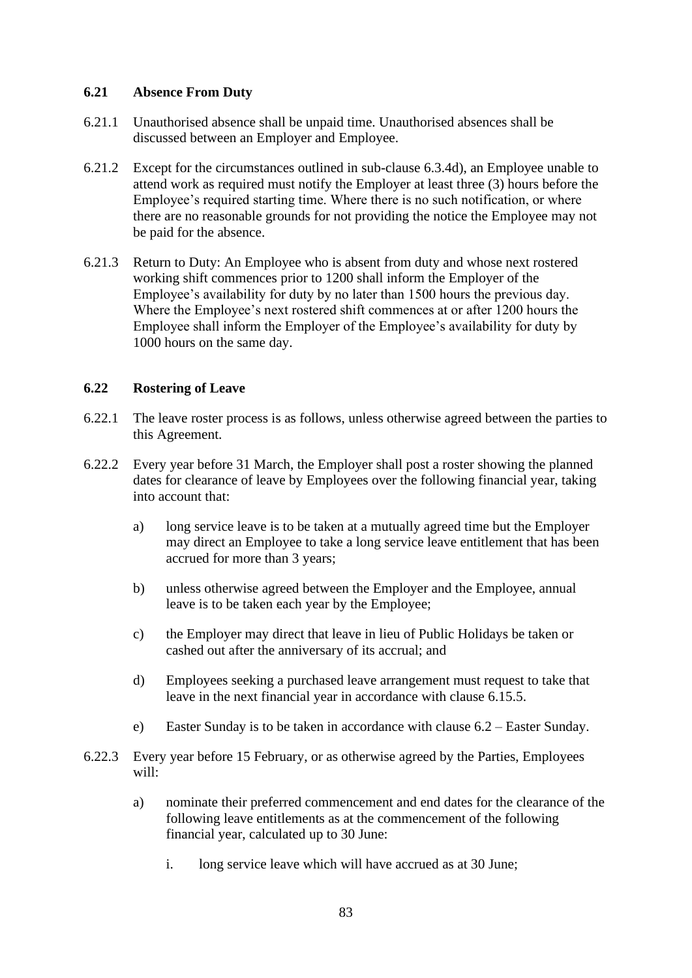## **6.21 Absence From Duty**

- 6.21.1 Unauthorised absence shall be unpaid time. Unauthorised absences shall be discussed between an Employer and Employee.
- 6.21.2 Except for the circumstances outlined in sub-clause [6.3.4d\),](#page-41-0) an Employee unable to attend work as required must notify the Employer at least three (3) hours before the Employee's required starting time. Where there is no such notification, or where there are no reasonable grounds for not providing the notice the Employee may not be paid for the absence.
- 6.21.3 Return to Duty: An Employee who is absent from duty and whose next rostered working shift commences prior to 1200 shall inform the Employer of the Employee's availability for duty by no later than 1500 hours the previous day. Where the Employee's next rostered shift commences at or after 1200 hours the Employee shall inform the Employer of the Employee's availability for duty by 1000 hours on the same day.

## <span id="page-84-1"></span>**6.22 Rostering of Leave**

- <span id="page-84-0"></span>6.22.1 The leave roster process is as follows, unless otherwise agreed between the parties to this Agreement.
- 6.22.2 Every year before 31 March, the Employer shall post a roster showing the planned dates for clearance of leave by Employees over the following financial year, taking into account that:
	- a) long service leave is to be taken at a mutually agreed time but the Employer may direct an Employee to take a long service leave entitlement that has been accrued for more than 3 years;
	- b) unless otherwise agreed between the Employer and the Employee, annual leave is to be taken each year by the Employee;
	- c) the Employer may direct that leave in lieu of Public Holidays be taken or cashed out after the anniversary of its accrual; and
	- d) Employees seeking a purchased leave arrangement must request to take that leave in the next financial year in accordance with clause [6.15.5.](#page-79-0)
	- e) Easter Sunday is to be taken in accordance with clause [6.2](#page-39-0) Easter Sunday.
- 6.22.3 Every year before 15 February, or as otherwise agreed by the Parties, Employees will:
	- a) nominate their preferred commencement and end dates for the clearance of the following leave entitlements as at the commencement of the following financial year, calculated up to 30 June:
		- i. long service leave which will have accrued as at 30 June;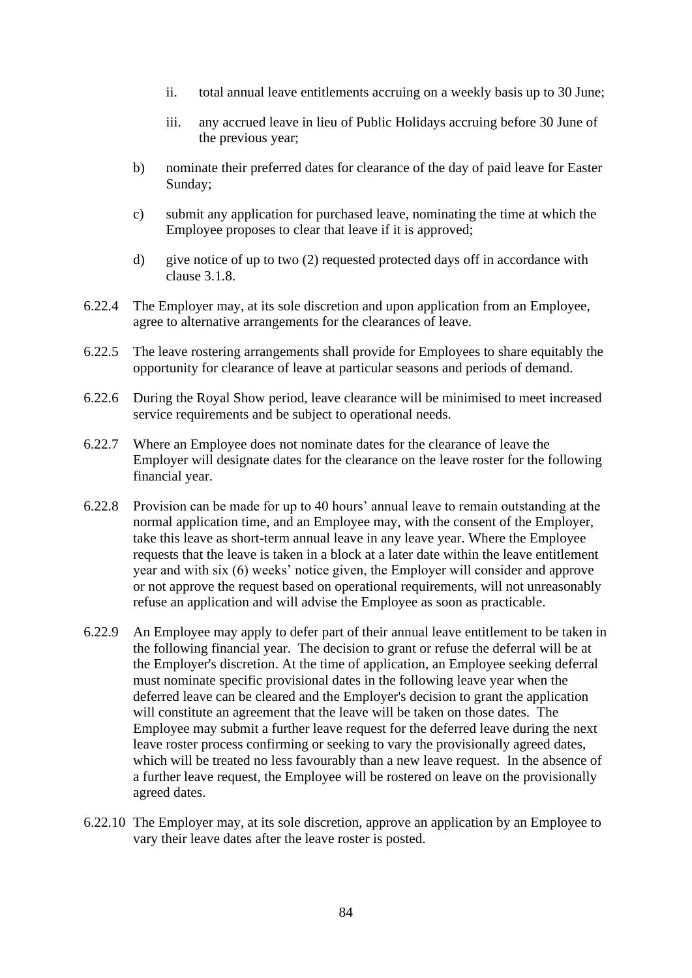- ii. total annual leave entitlements accruing on a weekly basis up to 30 June;
- iii. any accrued leave in lieu of Public Holidays accruing before 30 June of the previous year;
- <span id="page-85-0"></span>b) nominate their preferred dates for clearance of the day of paid leave for Easter Sunday;
- c) submit any application for purchased leave, nominating the time at which the Employee proposes to clear that leave if it is approved;
- d) give notice of up to two (2) requested protected days off in accordance with clause [3.1.8.](#page-25-0)
- 6.22.4 The Employer may, at its sole discretion and upon application from an Employee, agree to alternative arrangements for the clearances of leave.
- 6.22.5 The leave rostering arrangements shall provide for Employees to share equitably the opportunity for clearance of leave at particular seasons and periods of demand.
- 6.22.6 During the Royal Show period, leave clearance will be minimised to meet increased service requirements and be subject to operational needs.
- 6.22.7 Where an Employee does not nominate dates for the clearance of leave the Employer will designate dates for the clearance on the leave roster for the following financial year.
- 6.22.8 Provision can be made for up to 40 hours' annual leave to remain outstanding at the normal application time, and an Employee may, with the consent of the Employer, take this leave as short-term annual leave in any leave year. Where the Employee requests that the leave is taken in a block at a later date within the leave entitlement year and with six (6) weeks' notice given, the Employer will consider and approve or not approve the request based on operational requirements, will not unreasonably refuse an application and will advise the Employee as soon as practicable.
- 6.22.9 An Employee may apply to defer part of their annual leave entitlement to be taken in the following financial year. The decision to grant or refuse the deferral will be at the Employer's discretion. At the time of application, an Employee seeking deferral must nominate specific provisional dates in the following leave year when the deferred leave can be cleared and the Employer's decision to grant the application will constitute an agreement that the leave will be taken on those dates. The Employee may submit a further leave request for the deferred leave during the next leave roster process confirming or seeking to vary the provisionally agreed dates, which will be treated no less favourably than a new leave request. In the absence of a further leave request, the Employee will be rostered on leave on the provisionally agreed dates.
- 6.22.10 The Employer may, at its sole discretion, approve an application by an Employee to vary their leave dates after the leave roster is posted.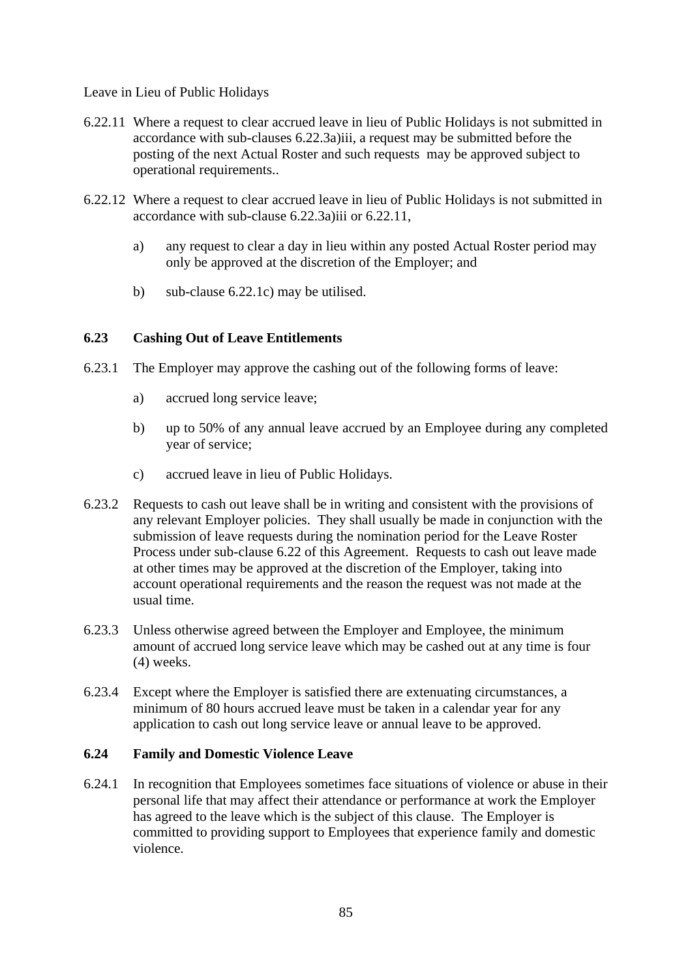#### Leave in Lieu of Public Holidays

- <span id="page-86-0"></span>6.22.11 Where a request to clear accrued leave in lieu of Public Holidays is not submitted in accordance with sub-clauses [6.22.3a\)iii,](#page-85-0) a request may be submitted before the posting of the next Actual Roster and such requests may be approved subject to operational requirements..
- 6.22.12 Where a request to clear accrued leave in lieu of Public Holidays is not submitted in accordance with sub-clause [6.22.3a\)iii](#page-85-0) or [6.22.11,](#page-86-0)
	- a) any request to clear a day in lieu within any posted Actual Roster period may only be approved at the discretion of the Employer; and
	- b) sub-clause [6.22.1c](#page-84-0)) may be utilised.

# **6.23 Cashing Out of Leave Entitlements**

- 6.23.1 The Employer may approve the cashing out of the following forms of leave:
	- a) accrued long service leave;
	- b) up to 50% of any annual leave accrued by an Employee during any completed year of service;
	- c) accrued leave in lieu of Public Holidays.
- 6.23.2 Requests to cash out leave shall be in writing and consistent with the provisions of any relevant Employer policies. They shall usually be made in conjunction with the submission of leave requests during the nomination period for the Leave Roster Process under sub-clause [6.22](#page-84-1) of this Agreement. Requests to cash out leave made at other times may be approved at the discretion of the Employer, taking into account operational requirements and the reason the request was not made at the usual time.
- 6.23.3 Unless otherwise agreed between the Employer and Employee, the minimum amount of accrued long service leave which may be cashed out at any time is four (4) weeks.
- 6.23.4 Except where the Employer is satisfied there are extenuating circumstances, a minimum of 80 hours accrued leave must be taken in a calendar year for any application to cash out long service leave or annual leave to be approved.

#### **6.24 Family and Domestic Violence Leave**

6.24.1 In recognition that Employees sometimes face situations of violence or abuse in their personal life that may affect their attendance or performance at work the Employer has agreed to the leave which is the subject of this clause. The Employer is committed to providing support to Employees that experience family and domestic violence.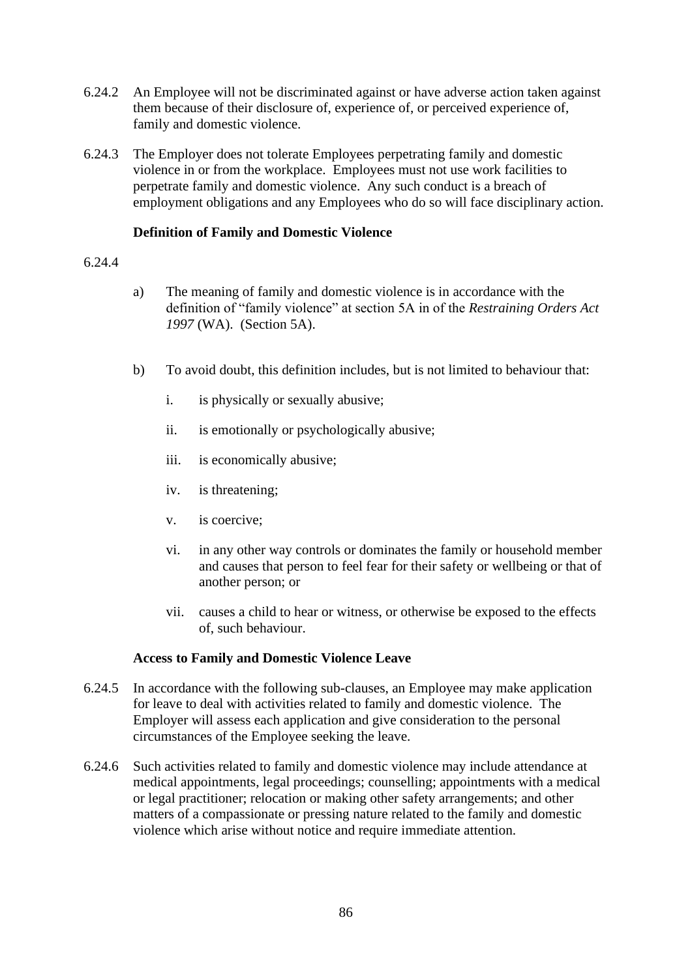- 6.24.2 An Employee will not be discriminated against or have adverse action taken against them because of their disclosure of, experience of, or perceived experience of, family and domestic violence.
- 6.24.3 The Employer does not tolerate Employees perpetrating family and domestic violence in or from the workplace. Employees must not use work facilities to perpetrate family and domestic violence. Any such conduct is a breach of employment obligations and any Employees who do so will face disciplinary action.

## **Definition of Family and Domestic Violence**

#### 6.24.4

- a) The meaning of family and domestic violence is in accordance with the definition of "family violence" at section 5A in of the *Restraining Orders Act 1997* (WA). (Section 5A).
- b) To avoid doubt, this definition includes, but is not limited to behaviour that:
	- i. is physically or sexually abusive;
	- ii. is emotionally or psychologically abusive;
	- iii. is economically abusive;
	- iv. is threatening;
	- v. is coercive;
	- vi. in any other way controls or dominates the family or household member and causes that person to feel fear for their safety or wellbeing or that of another person; or
	- vii. causes a child to hear or witness, or otherwise be exposed to the effects of, such behaviour.

#### **Access to Family and Domestic Violence Leave**

- <span id="page-87-0"></span>6.24.5 In accordance with the following sub-clauses, an Employee may make application for leave to deal with activities related to family and domestic violence. The Employer will assess each application and give consideration to the personal circumstances of the Employee seeking the leave.
- <span id="page-87-1"></span>6.24.6 Such activities related to family and domestic violence may include attendance at medical appointments, legal proceedings; counselling; appointments with a medical or legal practitioner; relocation or making other safety arrangements; and other matters of a compassionate or pressing nature related to the family and domestic violence which arise without notice and require immediate attention.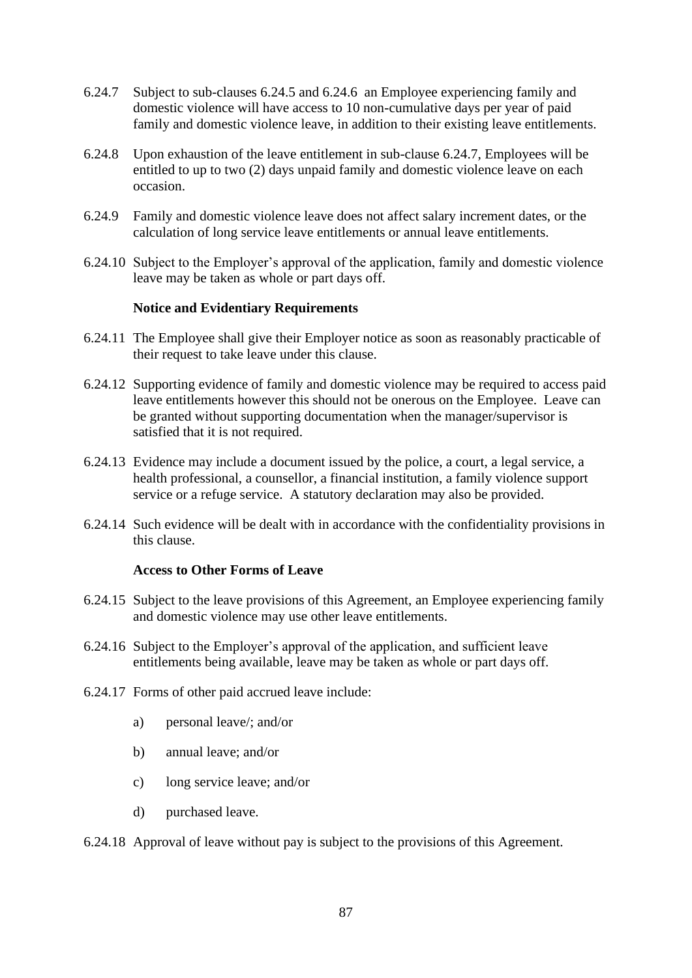- <span id="page-88-0"></span>6.24.7 Subject to sub-clauses [6.24.5](#page-87-0) and [6.24.6](#page-87-1) an Employee experiencing family and domestic violence will have access to 10 non-cumulative days per year of paid family and domestic violence leave, in addition to their existing leave entitlements.
- 6.24.8 Upon exhaustion of the leave entitlement in sub-clause [6.24.7,](#page-88-0) Employees will be entitled to up to two (2) days unpaid family and domestic violence leave on each occasion.
- 6.24.9 Family and domestic violence leave does not affect salary increment dates, or the calculation of long service leave entitlements or annual leave entitlements.
- 6.24.10 Subject to the Employer's approval of the application, family and domestic violence leave may be taken as whole or part days off.

#### **Notice and Evidentiary Requirements**

- 6.24.11 The Employee shall give their Employer notice as soon as reasonably practicable of their request to take leave under this clause.
- 6.24.12 Supporting evidence of family and domestic violence may be required to access paid leave entitlements however this should not be onerous on the Employee. Leave can be granted without supporting documentation when the manager/supervisor is satisfied that it is not required.
- 6.24.13 Evidence may include a document issued by the police, a court, a legal service, a health professional, a counsellor, a financial institution, a family violence support service or a refuge service. A statutory declaration may also be provided.
- 6.24.14 Such evidence will be dealt with in accordance with the confidentiality provisions in this clause.

#### **Access to Other Forms of Leave**

- 6.24.15 Subject to the leave provisions of this Agreement, an Employee experiencing family and domestic violence may use other leave entitlements.
- 6.24.16 Subject to the Employer's approval of the application, and sufficient leave entitlements being available, leave may be taken as whole or part days off.
- 6.24.17 Forms of other paid accrued leave include:
	- a) personal leave/; and/or
	- b) annual leave; and/or
	- c) long service leave; and/or
	- d) purchased leave.
- 6.24.18 Approval of leave without pay is subject to the provisions of this Agreement.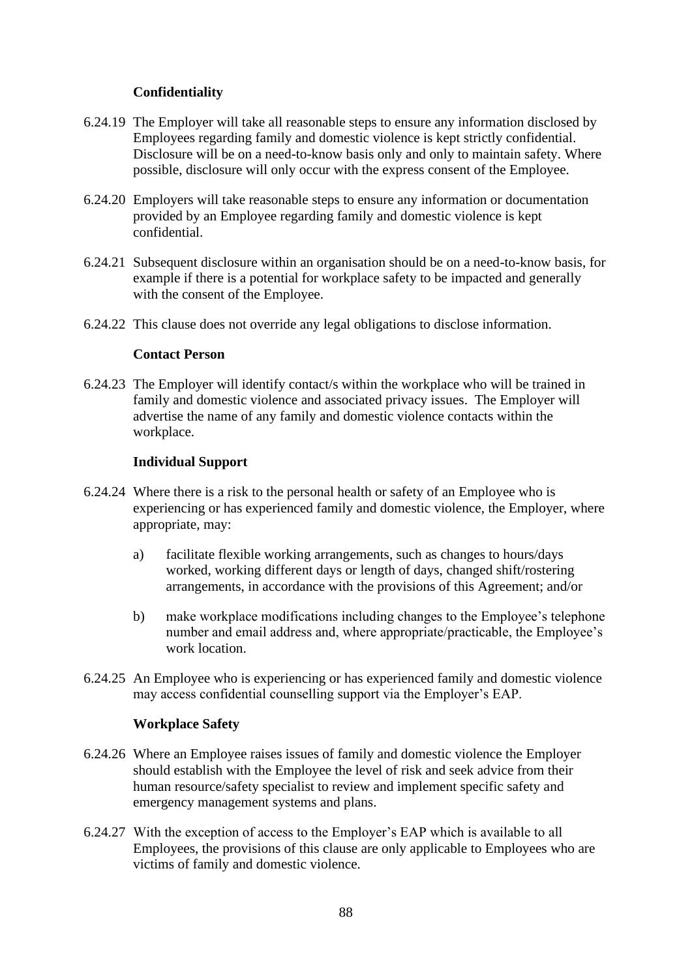## **Confidentiality**

- 6.24.19 The Employer will take all reasonable steps to ensure any information disclosed by Employees regarding family and domestic violence is kept strictly confidential. Disclosure will be on a need-to-know basis only and only to maintain safety. Where possible, disclosure will only occur with the express consent of the Employee.
- 6.24.20 Employers will take reasonable steps to ensure any information or documentation provided by an Employee regarding family and domestic violence is kept confidential.
- 6.24.21 Subsequent disclosure within an organisation should be on a need-to-know basis, for example if there is a potential for workplace safety to be impacted and generally with the consent of the Employee.
- 6.24.22 This clause does not override any legal obligations to disclose information.

## **Contact Person**

6.24.23 The Employer will identify contact/s within the workplace who will be trained in family and domestic violence and associated privacy issues. The Employer will advertise the name of any family and domestic violence contacts within the workplace.

## **Individual Support**

- 6.24.24 Where there is a risk to the personal health or safety of an Employee who is experiencing or has experienced family and domestic violence, the Employer, where appropriate, may:
	- a) facilitate flexible working arrangements, such as changes to hours/days worked, working different days or length of days, changed shift/rostering arrangements, in accordance with the provisions of this Agreement; and/or
	- b) make workplace modifications including changes to the Employee's telephone number and email address and, where appropriate/practicable, the Employee's work location.
- 6.24.25 An Employee who is experiencing or has experienced family and domestic violence may access confidential counselling support via the Employer's EAP.

#### **Workplace Safety**

- 6.24.26 Where an Employee raises issues of family and domestic violence the Employer should establish with the Employee the level of risk and seek advice from their human resource/safety specialist to review and implement specific safety and emergency management systems and plans.
- 6.24.27 With the exception of access to the Employer's EAP which is available to all Employees, the provisions of this clause are only applicable to Employees who are victims of family and domestic violence.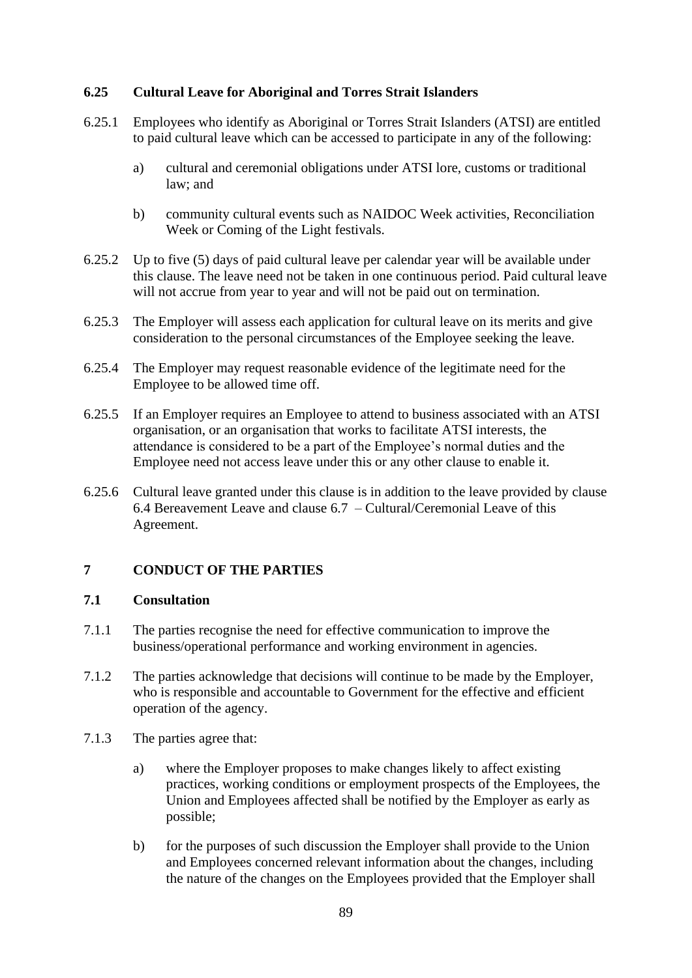## **6.25 Cultural Leave for Aboriginal and Torres Strait Islanders**

- 6.25.1 Employees who identify as Aboriginal or Torres Strait Islanders (ATSI) are entitled to paid cultural leave which can be accessed to participate in any of the following:
	- a) cultural and ceremonial obligations under ATSI lore, customs or traditional law; and
	- b) community cultural events such as NAIDOC Week activities, Reconciliation Week or Coming of the Light festivals.
- 6.25.2 Up to five (5) days of paid cultural leave per calendar year will be available under this clause. The leave need not be taken in one continuous period. Paid cultural leave will not accrue from year to year and will not be paid out on termination.
- 6.25.3 The Employer will assess each application for cultural leave on its merits and give consideration to the personal circumstances of the Employee seeking the leave.
- 6.25.4 The Employer may request reasonable evidence of the legitimate need for the Employee to be allowed time off.
- 6.25.5 If an Employer requires an Employee to attend to business associated with an ATSI organisation, or an organisation that works to facilitate ATSI interests, the attendance is considered to be a part of the Employee's normal duties and the Employee need not access leave under this or any other clause to enable it.
- 6.25.6 Cultural leave granted under this clause is in addition to the leave provided by clause [6.4](#page-45-0) Bereavement Leave and clause [6.7](#page-49-0) – Cultural/Ceremonial Leave of this Agreement.

# **7 CONDUCT OF THE PARTIES**

#### **7.1 Consultation**

- 7.1.1 The parties recognise the need for effective communication to improve the business/operational performance and working environment in agencies.
- 7.1.2 The parties acknowledge that decisions will continue to be made by the Employer, who is responsible and accountable to Government for the effective and efficient operation of the agency.
- 7.1.3 The parties agree that:
	- a) where the Employer proposes to make changes likely to affect existing practices, working conditions or employment prospects of the Employees, the Union and Employees affected shall be notified by the Employer as early as possible;
	- b) for the purposes of such discussion the Employer shall provide to the Union and Employees concerned relevant information about the changes, including the nature of the changes on the Employees provided that the Employer shall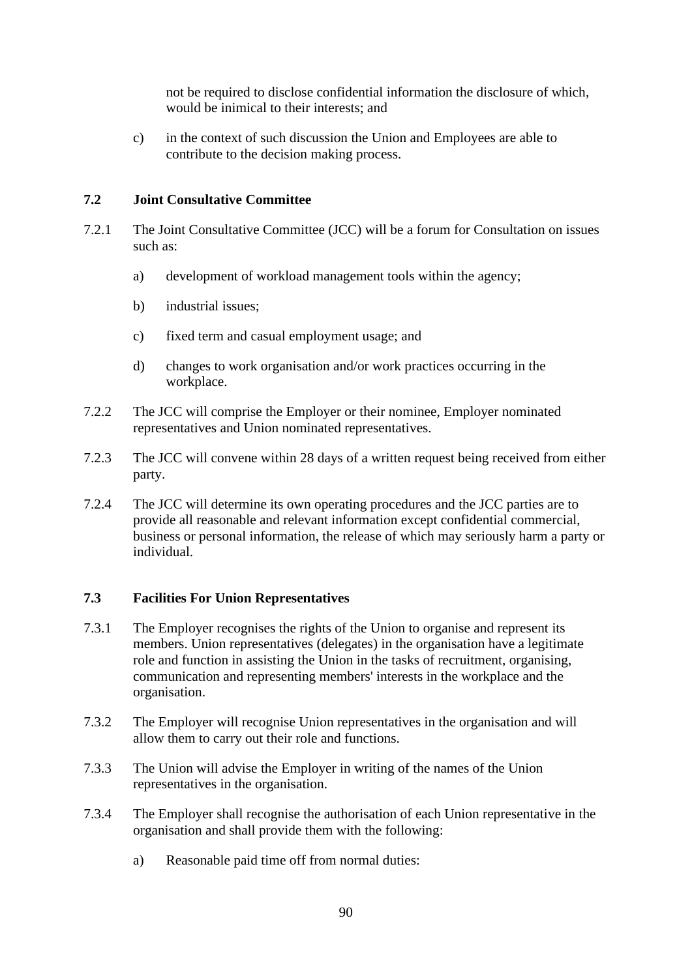not be required to disclose confidential information the disclosure of which, would be inimical to their interests; and

c) in the context of such discussion the Union and Employees are able to contribute to the decision making process.

#### **7.2 Joint Consultative Committee**

- 7.2.1 The Joint Consultative Committee (JCC) will be a forum for Consultation on issues such as:
	- a) development of workload management tools within the agency;
	- b) industrial issues;
	- c) fixed term and casual employment usage; and
	- d) changes to work organisation and/or work practices occurring in the workplace.
- 7.2.2 The JCC will comprise the Employer or their nominee, Employer nominated representatives and Union nominated representatives.
- 7.2.3 The JCC will convene within 28 days of a written request being received from either party.
- 7.2.4 The JCC will determine its own operating procedures and the JCC parties are to provide all reasonable and relevant information except confidential commercial, business or personal information, the release of which may seriously harm a party or individual.

#### **7.3 Facilities For Union Representatives**

- 7.3.1 The Employer recognises the rights of the Union to organise and represent its members. Union representatives (delegates) in the organisation have a legitimate role and function in assisting the Union in the tasks of recruitment, organising, communication and representing members' interests in the workplace and the organisation.
- 7.3.2 The Employer will recognise Union representatives in the organisation and will allow them to carry out their role and functions.
- 7.3.3 The Union will advise the Employer in writing of the names of the Union representatives in the organisation.
- 7.3.4 The Employer shall recognise the authorisation of each Union representative in the organisation and shall provide them with the following:
	- a) Reasonable paid time off from normal duties: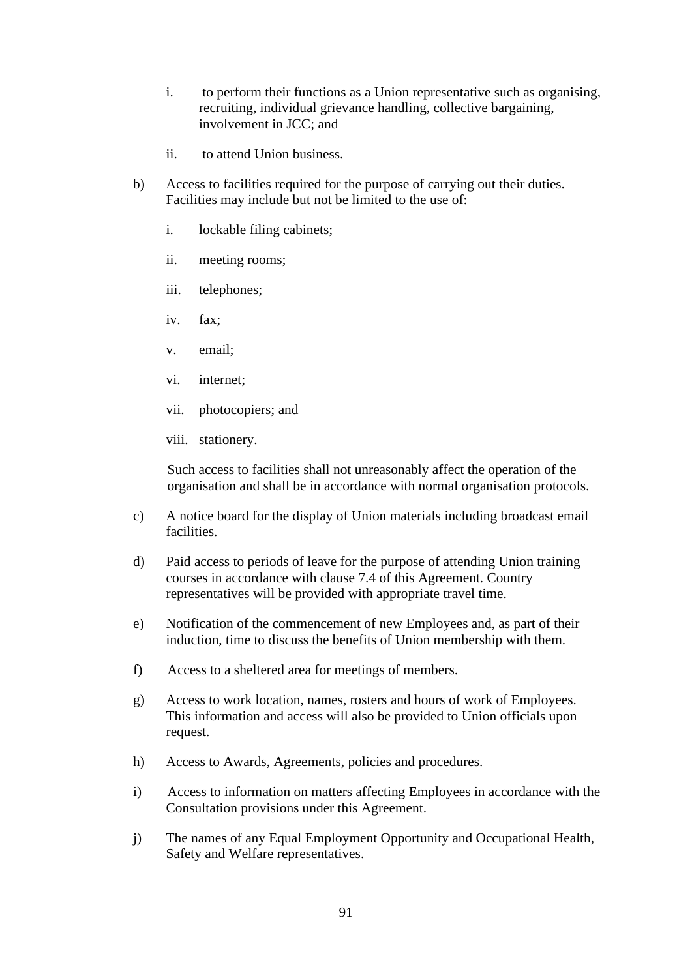- i. to perform their functions as a Union representative such as organising, recruiting, individual grievance handling, collective bargaining, involvement in JCC; and
- ii. to attend Union business.
- b) Access to facilities required for the purpose of carrying out their duties. Facilities may include but not be limited to the use of:
	- i. lockable filing cabinets;
	- ii. meeting rooms;
	- iii. telephones;
	- iv. fax;
	- v. email;
	- vi. internet;
	- vii. photocopiers; and
	- viii. stationery.

Such access to facilities shall not unreasonably affect the operation of the organisation and shall be in accordance with normal organisation protocols.

- c) A notice board for the display of Union materials including broadcast email facilities.
- d) Paid access to periods of leave for the purpose of attending Union training courses in accordance with clause [7.4](#page-93-0) of this Agreement. Country representatives will be provided with appropriate travel time.
- e) Notification of the commencement of new Employees and, as part of their induction, time to discuss the benefits of Union membership with them.
- f) Access to a sheltered area for meetings of members.
- g) Access to work location, names, rosters and hours of work of Employees. This information and access will also be provided to Union officials upon request.
- h) Access to Awards, Agreements, policies and procedures.
- i) Access to information on matters affecting Employees in accordance with the Consultation provisions under this Agreement.
- j) The names of any Equal Employment Opportunity and Occupational Health, Safety and Welfare representatives.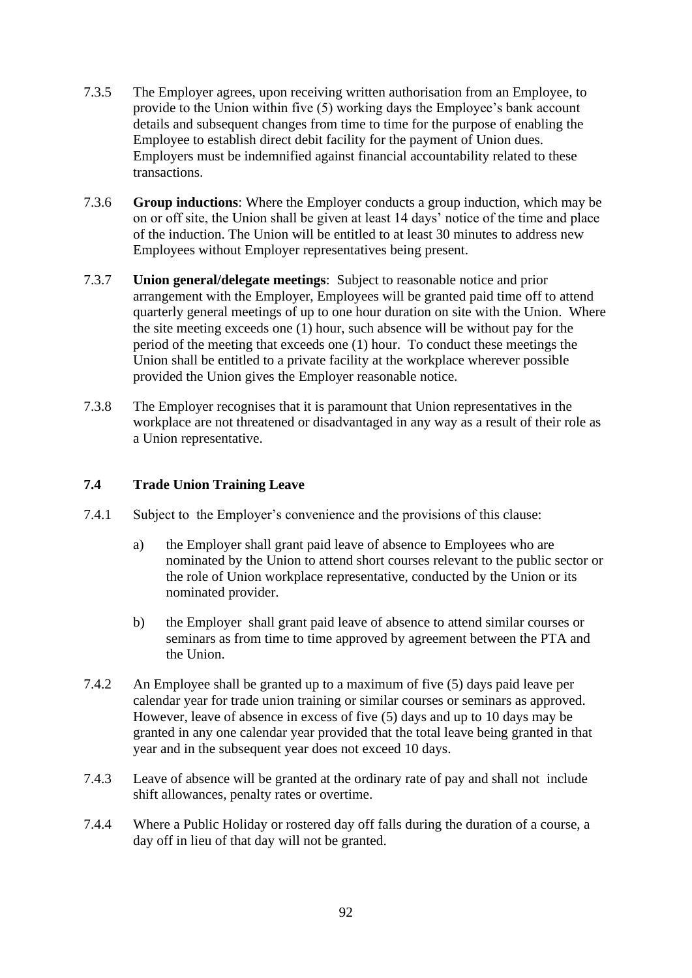- 7.3.5 The Employer agrees, upon receiving written authorisation from an Employee, to provide to the Union within five (5) working days the Employee's bank account details and subsequent changes from time to time for the purpose of enabling the Employee to establish direct debit facility for the payment of Union dues. Employers must be indemnified against financial accountability related to these transactions.
- 7.3.6 **Group inductions**: Where the Employer conducts a group induction, which may be on or off site, the Union shall be given at least 14 days' notice of the time and place of the induction. The Union will be entitled to at least 30 minutes to address new Employees without Employer representatives being present.
- 7.3.7 **Union general/delegate meetings**: Subject to reasonable notice and prior arrangement with the Employer, Employees will be granted paid time off to attend quarterly general meetings of up to one hour duration on site with the Union. Where the site meeting exceeds one (1) hour, such absence will be without pay for the period of the meeting that exceeds one (1) hour. To conduct these meetings the Union shall be entitled to a private facility at the workplace wherever possible provided the Union gives the Employer reasonable notice.
- 7.3.8 The Employer recognises that it is paramount that Union representatives in the workplace are not threatened or disadvantaged in any way as a result of their role as a Union representative.

# <span id="page-93-0"></span>**7.4 Trade Union Training Leave**

- 7.4.1 Subject to the Employer's convenience and the provisions of this clause:
	- a) the Employer shall grant paid leave of absence to Employees who are nominated by the Union to attend short courses relevant to the public sector or the role of Union workplace representative, conducted by the Union or its nominated provider.
	- b) the Employer shall grant paid leave of absence to attend similar courses or seminars as from time to time approved by agreement between the PTA and the Union.
- 7.4.2 An Employee shall be granted up to a maximum of five (5) days paid leave per calendar year for trade union training or similar courses or seminars as approved. However, leave of absence in excess of five (5) days and up to 10 days may be granted in any one calendar year provided that the total leave being granted in that year and in the subsequent year does not exceed 10 days.
- <span id="page-93-1"></span>7.4.3 Leave of absence will be granted at the ordinary rate of pay and shall not include shift allowances, penalty rates or overtime.
- 7.4.4 Where a Public Holiday or rostered day off falls during the duration of a course, a day off in lieu of that day will not be granted.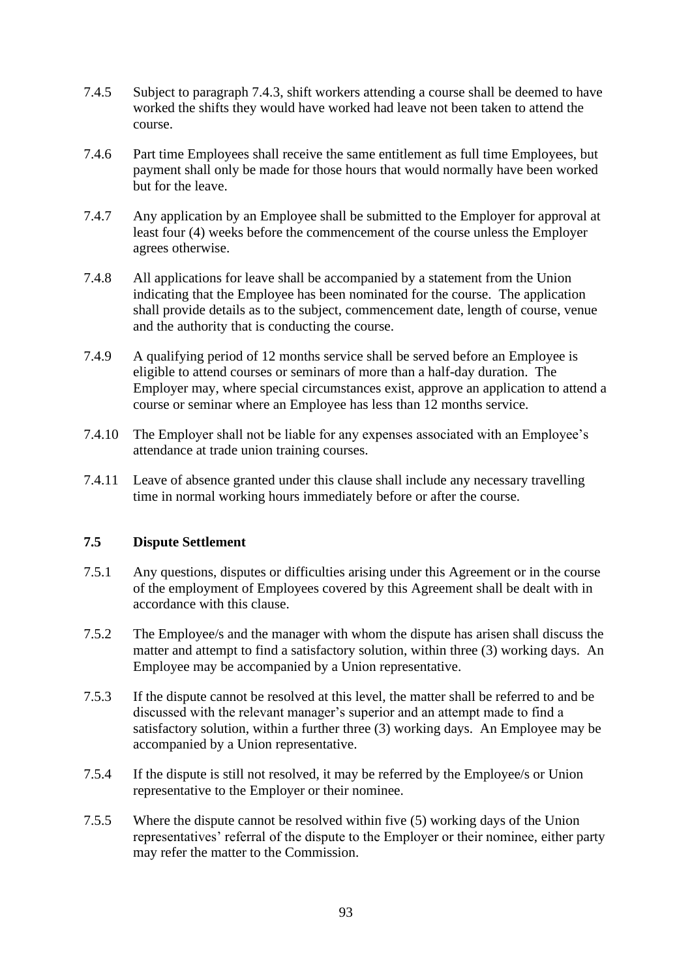- 7.4.5 Subject to paragraph [7.4.3,](#page-93-1) shift workers attending a course shall be deemed to have worked the shifts they would have worked had leave not been taken to attend the course.
- 7.4.6 Part time Employees shall receive the same entitlement as full time Employees, but payment shall only be made for those hours that would normally have been worked but for the leave.
- 7.4.7 Any application by an Employee shall be submitted to the Employer for approval at least four (4) weeks before the commencement of the course unless the Employer agrees otherwise.
- 7.4.8 All applications for leave shall be accompanied by a statement from the Union indicating that the Employee has been nominated for the course. The application shall provide details as to the subject, commencement date, length of course, venue and the authority that is conducting the course.
- 7.4.9 A qualifying period of 12 months service shall be served before an Employee is eligible to attend courses or seminars of more than a half-day duration. The Employer may, where special circumstances exist, approve an application to attend a course or seminar where an Employee has less than 12 months service.
- 7.4.10 The Employer shall not be liable for any expenses associated with an Employee's attendance at trade union training courses.
- 7.4.11 Leave of absence granted under this clause shall include any necessary travelling time in normal working hours immediately before or after the course.

# <span id="page-94-0"></span>**7.5 Dispute Settlement**

- 7.5.1 Any questions, disputes or difficulties arising under this Agreement or in the course of the employment of Employees covered by this Agreement shall be dealt with in accordance with this clause.
- 7.5.2 The Employee/s and the manager with whom the dispute has arisen shall discuss the matter and attempt to find a satisfactory solution, within three (3) working days. An Employee may be accompanied by a Union representative.
- 7.5.3 If the dispute cannot be resolved at this level, the matter shall be referred to and be discussed with the relevant manager's superior and an attempt made to find a satisfactory solution, within a further three (3) working days. An Employee may be accompanied by a Union representative.
- 7.5.4 If the dispute is still not resolved, it may be referred by the Employee/s or Union representative to the Employer or their nominee.
- 7.5.5 Where the dispute cannot be resolved within five (5) working days of the Union representatives' referral of the dispute to the Employer or their nominee, either party may refer the matter to the Commission.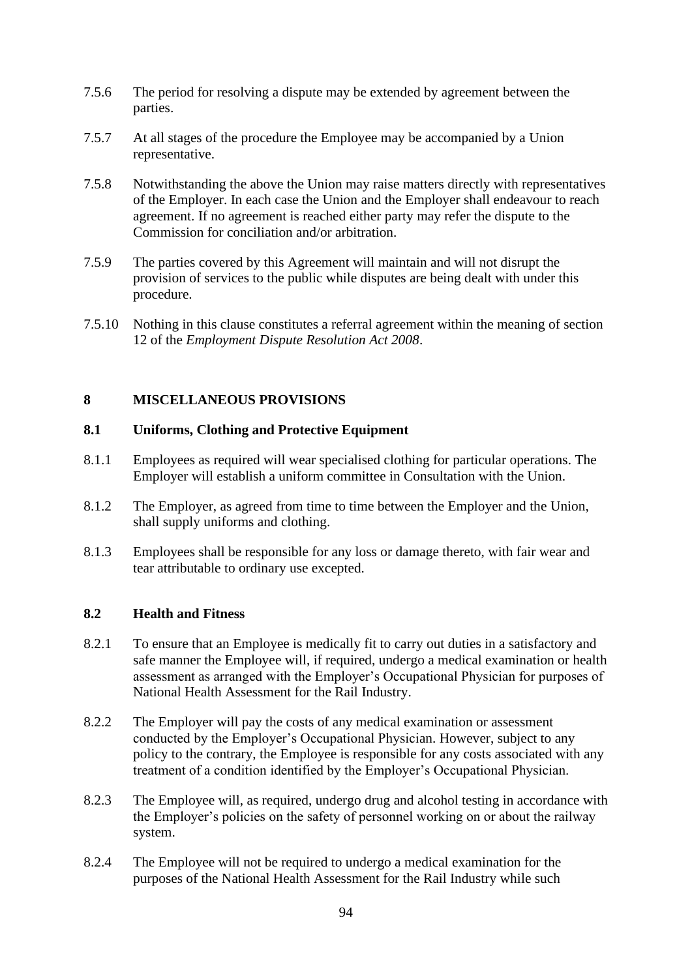- 7.5.6 The period for resolving a dispute may be extended by agreement between the parties.
- 7.5.7 At all stages of the procedure the Employee may be accompanied by a Union representative.
- 7.5.8 Notwithstanding the above the Union may raise matters directly with representatives of the Employer. In each case the Union and the Employer shall endeavour to reach agreement. If no agreement is reached either party may refer the dispute to the Commission for conciliation and/or arbitration.
- 7.5.9 The parties covered by this Agreement will maintain and will not disrupt the provision of services to the public while disputes are being dealt with under this procedure.
- 7.5.10 Nothing in this clause constitutes a referral agreement within the meaning of section 12 of the *Employment Dispute Resolution Act 2008*.

# **8 MISCELLANEOUS PROVISIONS**

## **8.1 Uniforms, Clothing and Protective Equipment**

- 8.1.1 Employees as required will wear specialised clothing for particular operations. The Employer will establish a uniform committee in Consultation with the Union.
- 8.1.2 The Employer, as agreed from time to time between the Employer and the Union, shall supply uniforms and clothing.
- 8.1.3 Employees shall be responsible for any loss or damage thereto, with fair wear and tear attributable to ordinary use excepted.

# **8.2 Health and Fitness**

- 8.2.1 To ensure that an Employee is medically fit to carry out duties in a satisfactory and safe manner the Employee will, if required, undergo a medical examination or health assessment as arranged with the Employer's Occupational Physician for purposes of National Health Assessment for the Rail Industry.
- 8.2.2 The Employer will pay the costs of any medical examination or assessment conducted by the Employer's Occupational Physician. However, subject to any policy to the contrary, the Employee is responsible for any costs associated with any treatment of a condition identified by the Employer's Occupational Physician.
- 8.2.3 The Employee will, as required, undergo drug and alcohol testing in accordance with the Employer's policies on the safety of personnel working on or about the railway system.
- 8.2.4 The Employee will not be required to undergo a medical examination for the purposes of the National Health Assessment for the Rail Industry while such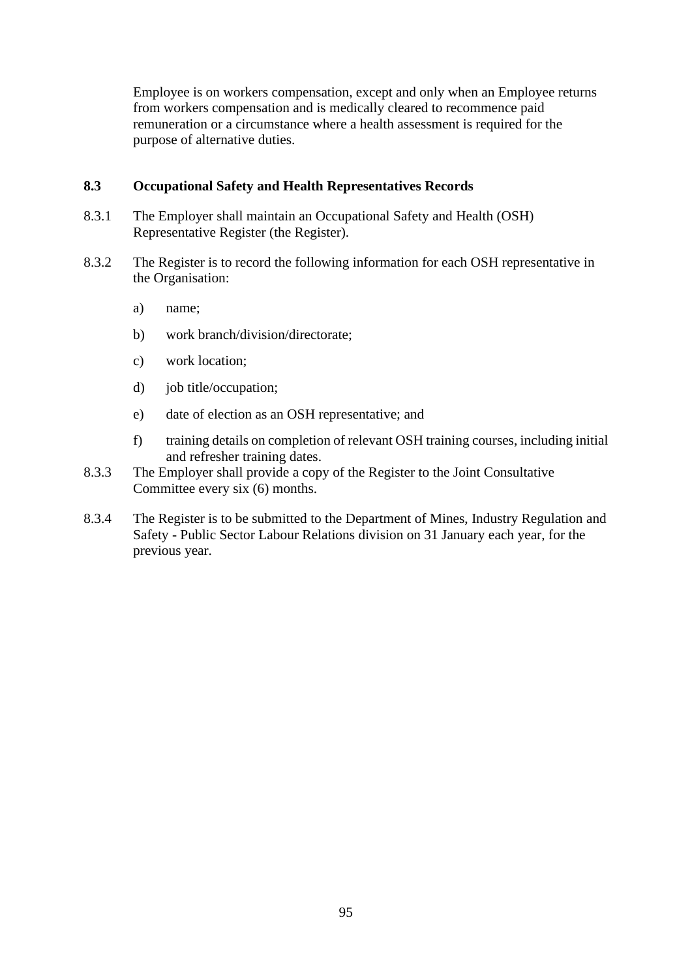Employee is on workers compensation, except and only when an Employee returns from workers compensation and is medically cleared to recommence paid remuneration or a circumstance where a health assessment is required for the purpose of alternative duties.

## **8.3 Occupational Safety and Health Representatives Records**

- 8.3.1 The Employer shall maintain an Occupational Safety and Health (OSH) Representative Register (the Register).
- 8.3.2 The Register is to record the following information for each OSH representative in the Organisation:
	- a) name;
	- b) work branch/division/directorate;
	- c) work location;
	- d) job title/occupation;
	- e) date of election as an OSH representative; and
	- f) training details on completion of relevant OSH training courses, including initial and refresher training dates.
- 8.3.3 The Employer shall provide a copy of the Register to the Joint Consultative Committee every six (6) months.
- 8.3.4 The Register is to be submitted to the Department of Mines, Industry Regulation and Safety - Public Sector Labour Relations division on 31 January each year, for the previous year.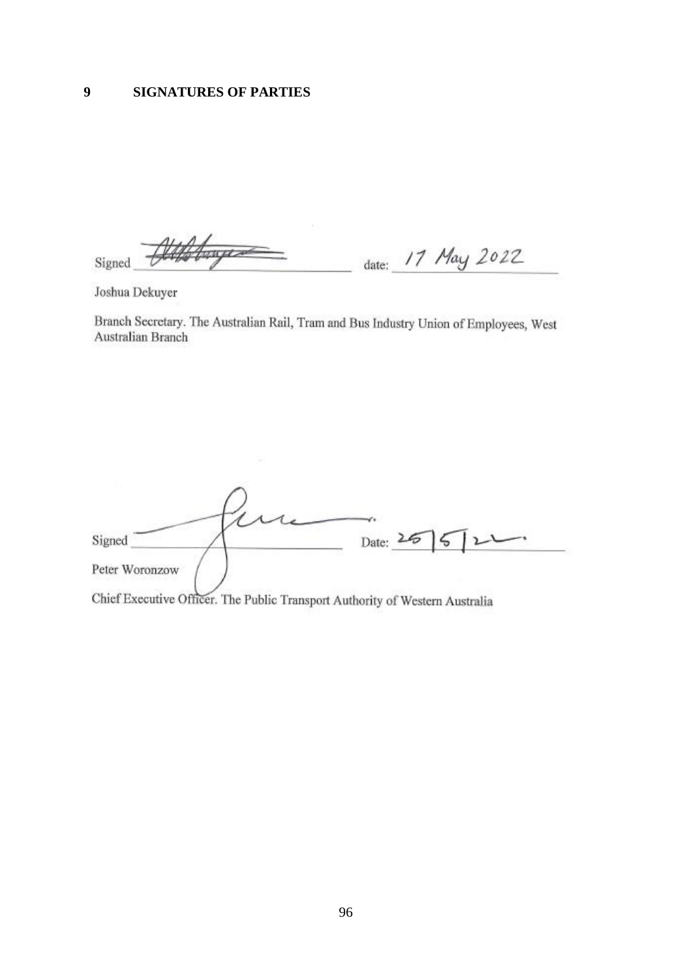Williams date: 17 May 2022 Signed

Joshua Dekuyer

Branch Secretary. The Australian Rail, Tram and Bus Industry Union of Employees, West Australian Branch

Date: 26 Signed Peter Woronzow Chief Executive Officer. The Public Transport Authority of Western Australia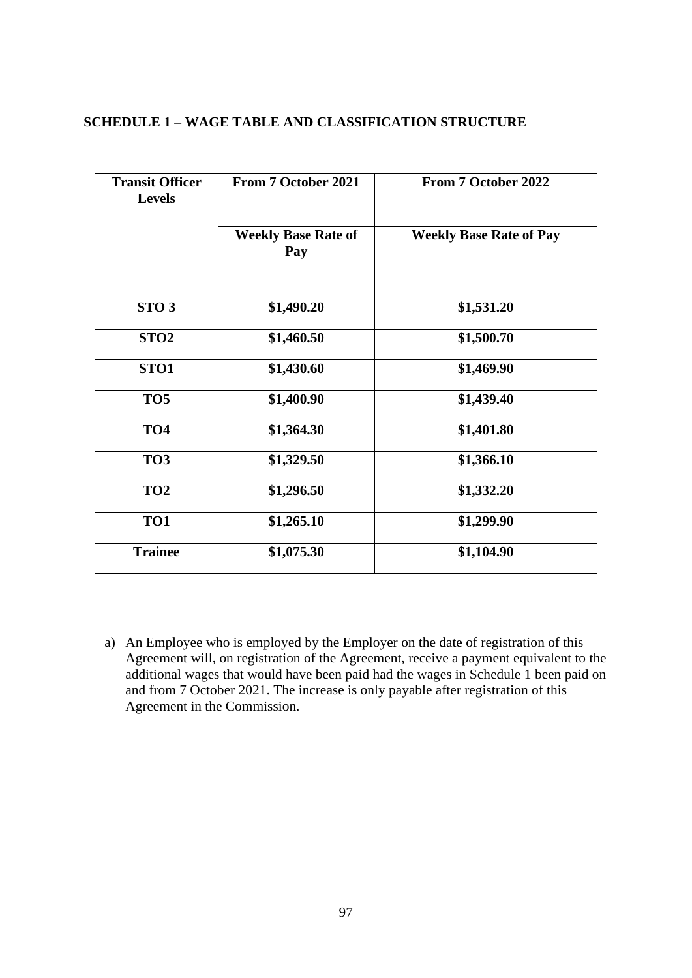#### **SCHEDULE 1 – WAGE TABLE AND CLASSIFICATION STRUCTURE**

| <b>Transit Officer</b><br><b>Levels</b> | <b>From 7 October 2021</b>        | From 7 October 2022            |  |  |  |  |
|-----------------------------------------|-----------------------------------|--------------------------------|--|--|--|--|
|                                         | <b>Weekly Base Rate of</b><br>Pay | <b>Weekly Base Rate of Pay</b> |  |  |  |  |
| STO <sub>3</sub>                        | \$1,490.20                        | \$1,531.20                     |  |  |  |  |
| STO <sub>2</sub>                        | \$1,460.50                        | \$1,500.70                     |  |  |  |  |
| STO <sub>1</sub>                        | \$1,430.60                        | \$1,469.90                     |  |  |  |  |
| TO <sub>5</sub>                         | \$1,400.90                        | \$1,439.40                     |  |  |  |  |
| TO <sub>4</sub>                         | \$1,364.30                        | \$1,401.80                     |  |  |  |  |
| TO <sub>3</sub>                         | \$1,329.50                        | \$1,366.10                     |  |  |  |  |
| TO <sub>2</sub>                         | \$1,296.50                        | \$1,332.20                     |  |  |  |  |
| TO1                                     | \$1,265.10                        | \$1,299.90                     |  |  |  |  |
| <b>Trainee</b>                          | \$1,075.30                        | \$1,104.90                     |  |  |  |  |

a) An Employee who is employed by the Employer on the date of registration of this Agreement will, on registration of the Agreement, receive a payment equivalent to the additional wages that would have been paid had the wages in Schedule 1 been paid on and from 7 October 2021. The increase is only payable after registration of this Agreement in the Commission.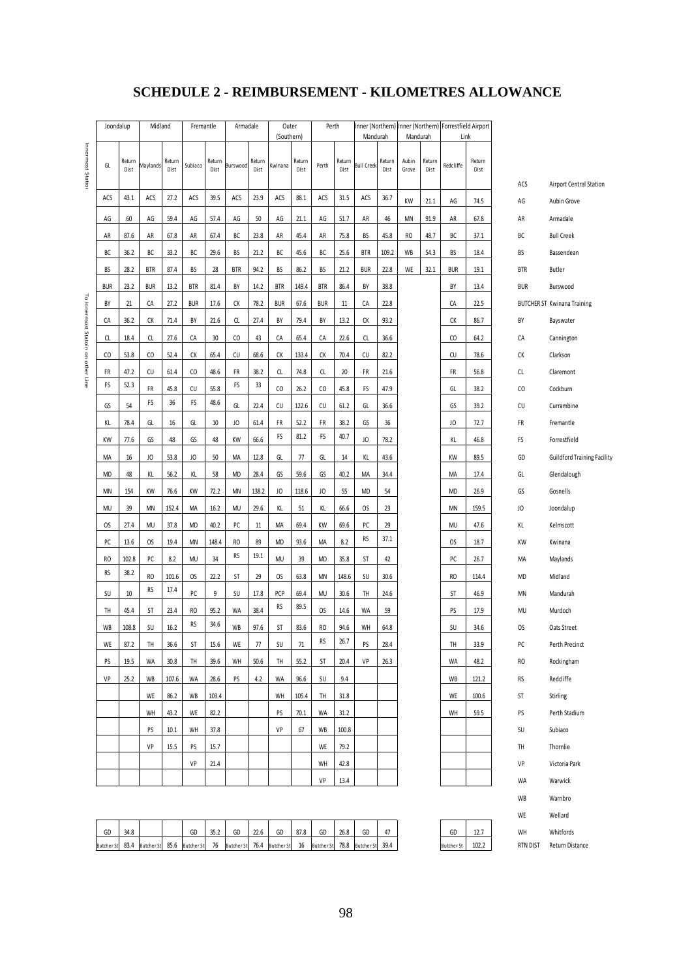# **SCHEDULE 2 - REIMBURSEMENT - KILOMETRES ALLOWANCE**

|                                    | Joondalup         |                | Midland         |                | Fremantle         |                | Armadale          |                | Outer             |                | Perth             |                |                       |                |                |                | Inner (Northern) Inner (Northern) Forrestfield Airport |                |                |                                    |
|------------------------------------|-------------------|----------------|-----------------|----------------|-------------------|----------------|-------------------|----------------|-------------------|----------------|-------------------|----------------|-----------------------|----------------|----------------|----------------|--------------------------------------------------------|----------------|----------------|------------------------------------|
|                                    |                   |                |                 |                |                   |                |                   |                | (Southern)        |                |                   |                | Mandurah              |                | Mandurah       |                |                                                        | Link           |                |                                    |
| Innermost Station                  | GL                | Return<br>Dist | Maylands        | Return<br>Dist | Subiaco           | Return<br>Dist | Burswood          | Return<br>Dist | Kwinana           | Return<br>Dist | Perth             | Return<br>Dist | <b>Bull Creek</b>     | Return<br>Dist | Aubin<br>Grove | Return<br>Dist | Redcliffe                                              | Return<br>Dist |                |                                    |
|                                    |                   |                |                 |                |                   |                |                   |                |                   |                |                   |                |                       |                |                |                |                                                        |                | ACS            | Airport Central Station            |
|                                    | ACS               | 43.1           | ACS             | 27.2           | ACS               | 39.5           | ACS               | 23.9           | ACS               | 88.1           | ACS               | 31.5           | ACS                   | 36.7           | KW             | 21.1           | AG                                                     | 74.5           | AG             | Aubin Grove                        |
|                                    | AG                | 60             | AG              | 59.4           | AG                | 57.4           | AG                | 50             | AG                | 21.1           | AG                | 51.7           | AR                    | 46             | MN             | 91.9           | AR                                                     | 67.8           | AR             | Armadale                           |
|                                    | AR                | 87.6           | AR              | 67.8           | AR                | 67.4           | ВС                | 23.8           | AR                | 45.4           | AR                | 75.8           | BS                    | 45.8           | RO             | 48.7           | ВC                                                     | 37.1           | ВC             | <b>Bull Creek</b>                  |
|                                    | BC                | 36.2           | ВC              | 33.2           | ВC                | 29.6           | BS                | 21.2           | ВC                | 45.6           | ВC                | 25.6           | <b>BTR</b>            | 109.2          | WB             | 54.3           | BS                                                     | 18.4           | BS             | Bassendean                         |
|                                    | BS                | 28.2           | <b>BTR</b>      | 87.4           | BS                | 28             | <b>BTR</b>        | 94.2           | BS                | 86.2           | BS                | 21.2           | <b>BUR</b>            | 22.8           | WE             | 32.1           | <b>BUR</b>                                             | 19.1           | <b>BTR</b>     | <b>Butler</b>                      |
|                                    | <b>BUR</b>        | 23.2           | <b>BUR</b>      | 13.2           | <b>BTR</b>        | 81.4           | BY                | 14.2           | <b>BTR</b>        | 149.4          | <b>BTR</b>        | 86.4           | BY                    | 38.8           |                |                | BY                                                     | 13.4           | <b>BUR</b>     | Burswood                           |
|                                    | BY                | 21             | СА              | 27.2           | <b>BUR</b>        | 17.6           | СK                | 78.2           | <b>BUR</b>        | 67.6           | <b>BUR</b>        | 11             | CA                    | 22.8           |                |                | СA                                                     | 22.5           |                | <b>BUTCHER ST Kwinana Training</b> |
|                                    | СА                | 36.2           | СK              | 71.4           | BY                | 21.6           | CL                | 27.4           | BY                | 79.4           | BY                | 13.2           | СK                    | 93.2           |                |                | СK                                                     | 86.7           | BY             | Bayswater                          |
|                                    | CL                | 18.4           | CL              | 27.6           | СA                | 30             | CO                | 43             | СA                | 65.4           | CA                | 22.6           | CL                    | 36.6           |                |                | CO                                                     | 64.2           | CA             | Cannington                         |
| To Innermost Statoin on other Line | CO                | 53.8           | $\mathsf{CO}$   | 52.4           | СК                | 65.4           | CU                | 68.6           | СK                | 133.4          | СK                | 70.4           | CU                    | 82.2           |                |                | CU                                                     | 78.6           | СK             | Clarkson                           |
|                                    | FR                | 47.2           | CU              | 61.4           | $\mathsf{CO}$     | 48.6           | FR                | 38.2           | CL                | 74.8           | CL                | 20             | FR                    | 21.6           |                |                | FR                                                     | 56.8           | CL             | Claremont                          |
|                                    | FS                | 52.3           | FR              | 45.8           | CU                | 55.8           | FS                | 33             | CO                | 26.2           | CO                | 45.8           | FS                    | 47.9           |                |                | GL                                                     | 38.2           | CO             | Cockburn                           |
|                                    | GS                | 54             | FS              | 36             | FS                | 48.6           | GL                | 22.4           | CU                | 122.6          | CU                | 61.2           | GL                    | 36.6           |                |                | GS                                                     | 39.2           | CU             | Currambine                         |
|                                    | ΚL                | 78.4           | GL              | 16             | GL                | 10             | JO                | 61.4           | FR                | 52.2           | FR                | 38.2           | GS                    | 36             |                |                | JO                                                     | 72.7           | FR             | Fremantle                          |
|                                    | KW                | 77.6           | GS              | 48             | GS                | 48             | KW                | 66.6           | FS                | 81.2           | FS                | 40.7           | JO                    | 78.2           |                |                | KL                                                     | 46.8           | FS             | Forrestfield                       |
|                                    | MA                | 16             | JO              | 53.8           | JO                | 50             | MA                | 12.8           | GL                | 77             | GL                | 14             | KL                    | 43.6           |                |                | KW                                                     | 89.5           | GD             | Guildford Training Facility        |
|                                    | <b>MD</b>         | 48             | KL              | 56.2           | KL                | 58             | MD                | 28.4           | GS                | 59.6           | GS                | 40.2           | MA                    | 34.4           |                |                | MA                                                     | 17.4           | GL             | Glendalough                        |
|                                    | MN                | 154            | KW              | 76.6           | KW                | 72.2           | MN                | 138.2          | JO                | 118.6          | JO                | 55             | <b>MD</b>             | 54             |                |                | <b>MD</b>                                              | 26.9           | GS             | Gosnells                           |
|                                    | MU                | 39             | ΜN              | 152.4          | MA                | 16.2           | MU                | 29.6           | ΚL                | 51             | KL                | 66.6           | OS                    | 23             |                |                | MN                                                     | 159.5          | JO             | Joondalup                          |
|                                    | OS                | 27.4           | MU              | 37.8           | <b>MD</b>         | 40.2           | PC                | 11             | МA                | 69.4           | KW                | 69.6           | PC                    | 29             |                |                | MU                                                     | 47.6           | KL             | Kelmscott                          |
|                                    | PC                | 13.6           | OS              | 19.4           | MN                | 148.4          | RO                | 89             | <b>MD</b>         | 93.6           | MA                | 8.2            | <b>RS</b>             | 37.1           |                |                | OS                                                     | 18.7           | KW             | Kwinana                            |
|                                    | RO                | 102.8          | PC              | 8.2            | MU                | 34             | RS                | 19.1           | MU                | 39             | <b>MD</b>         | 35.8           | ST                    | 42             |                |                | PC                                                     | 26.7           | МA             | Maylands                           |
|                                    | RS                | 38.2           | RO              | 101.6          | OS                | 22.2           | ST                | 29             | OS                | 63.8           | <b>MN</b>         | 148.6          | SU                    | 30.6           |                |                | RO                                                     | 114.4          | <b>MD</b>      | Midland                            |
|                                    | SU                | $10\,$         | RS              | 17.4           | PC                | 9              | SU                | 17.8           | PCP               | 69.4           | MU                | 30.6           | TH                    | 24.6           |                |                | ST                                                     | 46.9           | MN             | Mandurah                           |
|                                    | TH                | 45.4           | ST              | 23.4           | RO                | 95.2           | WA                | 38.4           | RS                | 89.5           | OS                | 14.6           | WA                    | 59             |                |                | PS                                                     | 17.9           | MU             | Murdoch                            |
|                                    | WB                | 108.8          | SU              | 16.2           | <b>RS</b>         | 34.6           | WB                | 97.6           | ST                | 83.6           | RO                | 94.6           | WH                    | 64.8           |                |                | SU                                                     | 34.6           | OS             | Oats Street                        |
|                                    | WE                | 87.2           | TH              | 36.6           | ST                | 15.6           | WE                | 77             | SU                | 71             | RS                | 26.7           | PS                    | 28.4           |                |                | TH                                                     | 33.9           | PC             | Perth Precinct                     |
|                                    |                   |                |                 |                |                   |                |                   |                |                   |                |                   |                | VP                    |                |                |                |                                                        |                |                |                                    |
|                                    | PS<br>VP          | 19.5           | WA              | 30.8           | TH                | 39.6           | WH                | 50.6           | TH                | 55.2           | ST                | 20.4           |                       | 26.3           |                |                | WA                                                     | 48.2           | RO             | Rockingham                         |
|                                    |                   | 25.2           | WB              | 107.6          | WA                | 28.6           | PS                | 4.2            | WA                | 96.6           | SU                | 9.4            |                       |                |                |                | WB                                                     | 121.2          | RS             | Redcliffe                          |
|                                    |                   |                | WE              | 86.2           | WB                | 103.4          |                   |                | WH                | 105.4          | TH                | 31.8           |                       |                |                |                | WE                                                     | 100.6          | ST             | Stirling                           |
|                                    |                   |                | WH              | 43.2           | WE                | 82.2           |                   |                | PS                | 70.1           | WA                | 31.2           |                       |                |                |                | WH                                                     | 59.5           | PS             | Perth Stadium                      |
|                                    |                   |                | PS              | 10.1           | WH                | 37.8           |                   |                | VP                | 67             | WB                | 100.8          |                       |                |                |                |                                                        |                | SU             | Subiaco                            |
|                                    |                   |                | VP              | 15.5           | PS                | 15.7           |                   |                |                   |                | WE                | 79.2           |                       |                |                |                |                                                        |                | TH             | Thornlie                           |
|                                    |                   |                |                 |                | VP                | 21.4           |                   |                |                   |                | WH                | 42.8           |                       |                |                |                |                                                        |                | VP             | Victoria Park                      |
|                                    |                   |                |                 |                |                   |                |                   |                |                   |                | VP                | 13.4           |                       |                |                |                |                                                        |                | WA             | Warwick                            |
|                                    |                   |                |                 |                |                   |                |                   |                |                   |                |                   |                |                       |                |                |                |                                                        |                | WB             | Warnbro                            |
|                                    |                   |                |                 |                |                   |                |                   |                |                   |                |                   |                |                       |                |                |                |                                                        |                | WE             | Wellard                            |
|                                    | GD                | 34.8           | 83.4 Butcher St | 85.6           | GD                | 35.2<br>76     | GD                | 22.6<br>76.4   | GD                | 87.8<br>16     | GD                | 26.8           | GD<br>78.8 Butcher St | 47<br>39.4     |                |                | GD                                                     | 12.7<br>102.2  | WH<br>RTN DIST | Whitfords<br>Return Distance       |
|                                    | <b>Butcher St</b> |                |                 |                | <b>Butcher St</b> |                | <b>Butcher St</b> |                | <b>Butcher St</b> |                | <b>Butcher St</b> |                |                       |                |                |                | <b>Butcher St</b>                                      |                |                |                                    |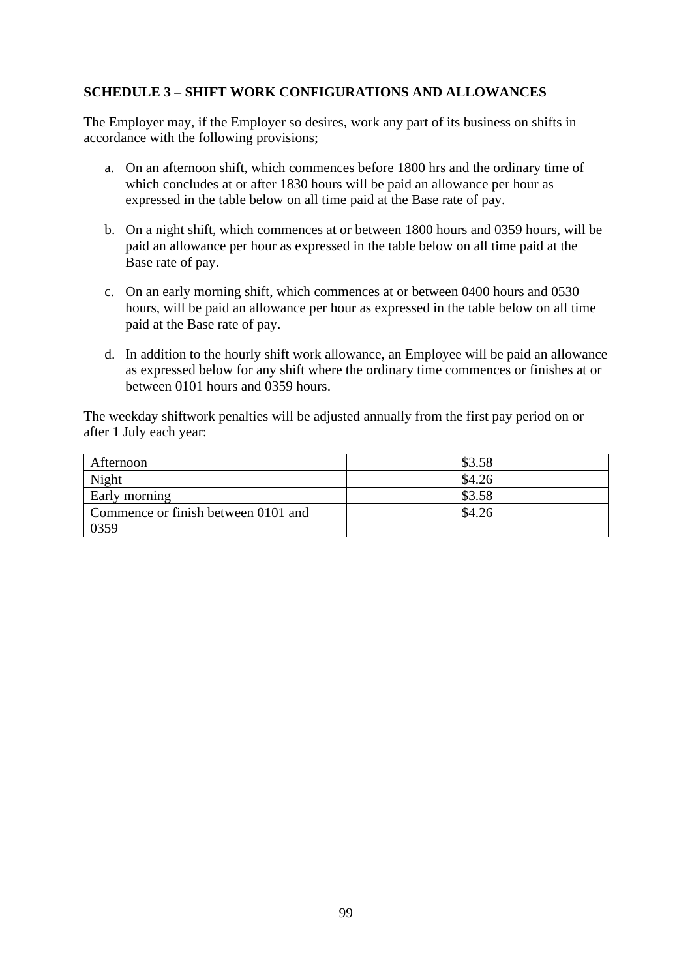# **SCHEDULE 3 – SHIFT WORK CONFIGURATIONS AND ALLOWANCES**

The Employer may, if the Employer so desires, work any part of its business on shifts in accordance with the following provisions;

- a. On an afternoon shift, which commences before 1800 hrs and the ordinary time of which concludes at or after 1830 hours will be paid an allowance per hour as expressed in the table below on all time paid at the Base rate of pay.
- b. On a night shift, which commences at or between 1800 hours and 0359 hours, will be paid an allowance per hour as expressed in the table below on all time paid at the Base rate of pay.
- c. On an early morning shift, which commences at or between 0400 hours and 0530 hours, will be paid an allowance per hour as expressed in the table below on all time paid at the Base rate of pay.
- d. In addition to the hourly shift work allowance, an Employee will be paid an allowance as expressed below for any shift where the ordinary time commences or finishes at or between 0101 hours and 0359 hours.

The weekday shiftwork penalties will be adjusted annually from the first pay period on or after 1 July each year:

| Afternoon                           | \$3.58 |
|-------------------------------------|--------|
| Night                               | \$4.26 |
| Early morning                       | \$3.58 |
| Commence or finish between 0101 and | \$4.26 |
| 0359                                |        |